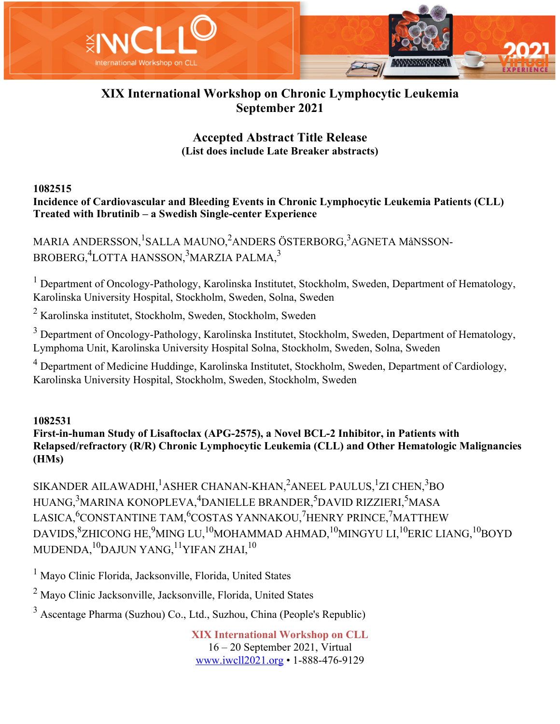

# **XIX International Workshop on Chronic Lymphocytic Leukemia September 2021**

# **Accepted Abstract Title Release (List does include Late Breaker abstracts)**

#### **1082515**

**Incidence of Cardiovascular and Bleeding Events in Chronic Lymphocytic Leukemia Patients (CLL) Treated with Ibrutinib – a Swedish Single-center Experience**

MARIA ANDERSSON,<sup>1</sup>SALLA MAUNO,<sup>2</sup>ANDERS ÖSTERBORG,<sup>3</sup>AGNETA MåNSSON-BROBERG, $^4$ LOTTA HANSSON, $^3$ MARZIA PALMA, $^3$ 

<sup>1</sup> Department of Oncology-Pathology, Karolinska Institutet, Stockholm, Sweden, Department of Hematology, Karolinska University Hospital, Stockholm, Sweden, Solna, Sweden

<sup>2</sup> Karolinska institutet, Stockholm, Sweden, Stockholm, Sweden

<sup>3</sup> Department of Oncology-Pathology, Karolinska Institutet, Stockholm, Sweden, Department of Hematology, Lymphoma Unit, Karolinska University Hospital Solna, Stockholm, Sweden, Solna, Sweden

<sup>4</sup> Department of Medicine Huddinge, Karolinska Institutet, Stockholm, Sweden, Department of Cardiology, Karolinska University Hospital, Stockholm, Sweden, Stockholm, Sweden

#### **1082531**

**First-in-human Study of Lisaftoclax (APG-2575), a Novel BCL-2 Inhibitor, in Patients with Relapsed/refractory (R/R) Chronic Lymphocytic Leukemia (CLL) and Other Hematologic Malignancies (HMs)**

SIKANDER AILAWADHI, $^{1}$ ASHER CHANAN-KHAN, $^{2}$ ANEEL PAULUS, $^{1}$ ZI CHEN, $^{3}$ BO HUANG,<sup>3</sup>MARINA KONOPLEVA,<sup>4</sup>DANIELLE BRANDER,<sup>5</sup>DAVID RIZZIERI,<sup>5</sup>MASA LASICA,<sup>6</sup>CONSTANTINE TAM,<sup>6</sup>COSTAS YANNAKOU,<sup>7</sup>HENRY PRINCE,<sup>7</sup>MATTHEW DAVIDS, ${\rm ^8ZHICONG}$  HE, ${\rm ^9MING}$  LU, ${\rm ^{10}MOMMAD}$  AHMAD, ${\rm ^10MINGYU}$  LI, ${\rm ^{10}ERIC}$  LIANG, ${\rm ^{10}BOYD}$ MUDENDA, $^{10}$ DAJUN YANG, $^{11}$ YIFAN ZHAI, $^{10}$ 

<sup>1</sup> Mayo Clinic Florida, Jacksonville, Florida, United States

<sup>2</sup> Mayo Clinic Jacksonville, Jacksonville, Florida, United States

<sup>3</sup> Ascentage Pharma (Suzhou) Co., Ltd., Suzhou, China (People's Republic)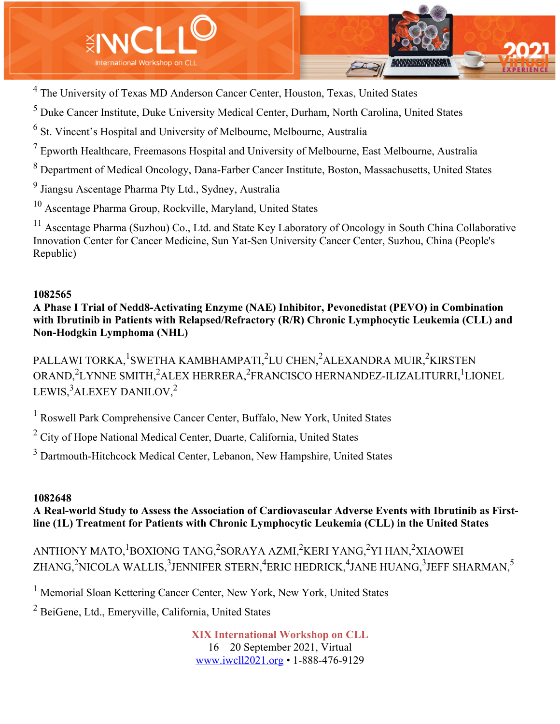

<sup>4</sup> The University of Texas MD Anderson Cancer Center, Houston, Texas, United States

 $<sup>5</sup>$  Duke Cancer Institute, Duke University Medical Center, Durham, North Carolina, United States</sup>

<sup>6</sup> St. Vincent's Hospital and University of Melbourne, Melbourne, Australia

 $<sup>7</sup>$  Epworth Healthcare, Freemasons Hospital and University of Melbourne, East Melbourne, Australia</sup>

<sup>8</sup> Department of Medical Oncology, Dana-Farber Cancer Institute, Boston, Massachusetts, United States

<sup>9</sup> Jiangsu Ascentage Pharma Pty Ltd., Sydney, Australia

<sup>10</sup> Ascentage Pharma Group, Rockville, Maryland, United States

<sup>11</sup> Ascentage Pharma (Suzhou) Co., Ltd. and State Key Laboratory of Oncology in South China Collaborative Innovation Center for Cancer Medicine, Sun Yat-Sen University Cancer Center, Suzhou, China (People's Republic)

#### **1082565**

**A Phase I Trial of Nedd8-Activating Enzyme (NAE) Inhibitor, Pevonedistat (PEVO) in Combination with Ibrutinib in Patients with Relapsed/Refractory (R/R) Chronic Lymphocytic Leukemia (CLL) and Non-Hodgkin Lymphoma (NHL)**

PALLAWI TORKA, <sup>1</sup>SWETHA KAMBHAMPATI, <sup>2</sup>LU CHEN, <sup>2</sup>ALEXANDRA MUIR, <sup>2</sup>KIRSTEN ORAND,<sup>2</sup>LYNNE SMITH,<sup>2</sup>ALEX HERRERA,<sup>2</sup>FRANCISCO HERNANDEZ-ILIZALITURRI,<sup>1</sup>LIONEL LEWIS, $^3$ ALEXEY DANILOV, $^2$ 

<sup>1</sup> Roswell Park Comprehensive Cancer Center, Buffalo, New York, United States

<sup>2</sup> City of Hope National Medical Center, Duarte, California, United States

<sup>3</sup> Dartmouth-Hitchcock Medical Center, Lebanon, New Hampshire, United States

#### **1082648**

**A Real-world Study to Assess the Association of Cardiovascular Adverse Events with Ibrutinib as Firstline (1L) Treatment for Patients with Chronic Lymphocytic Leukemia (CLL) in the United States**

ANTHONY MATO,<sup>1</sup>BOXIONG TANG,<sup>2</sup>SORAYA AZMI,<sup>2</sup>KERI YANG,<sup>2</sup>YI HAN,<sup>2</sup>XIAOWEI ZHANG, $^{2}$ NICOLA WALLIS, $^{3}$ JENNIFER STERN, $^{4}$ ERIC HEDRICK, $^{4}$ JANE HUANG, $^{3}$ JEFF SHARMAN, $^{5}$ 

<sup>1</sup> Memorial Sloan Kettering Cancer Center, New York, New York, United States

<sup>2</sup> BeiGene, Ltd., Emeryville, California, United States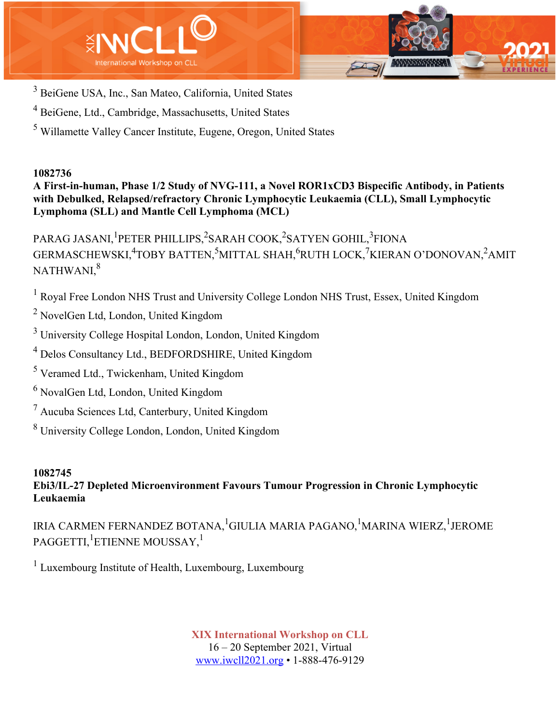



- <sup>3</sup> BeiGene USA, Inc., San Mateo, California, United States
- <sup>4</sup> BeiGene, Ltd., Cambridge, Massachusetts, United States
- <sup>5</sup> Willamette Valley Cancer Institute, Eugene, Oregon, United States

**A First-in-human, Phase 1/2 Study of NVG-111, a Novel ROR1xCD3 Bispecific Antibody, in Patients with Debulked, Relapsed/refractory Chronic Lymphocytic Leukaemia (CLL), Small Lymphocytic Lymphoma (SLL) and Mantle Cell Lymphoma (MCL)**

PARAG JASANI, <sup>1</sup>PETER PHILLIPS, <sup>2</sup>SARAH COOK, <sup>2</sup>SATYEN GOHIL, <sup>3</sup>FIONA GERMASCHEWSKI,<sup>4</sup>TOBY BATTEN,<sup>5</sup>MITTAL SHAH,<sup>6</sup>RUTH LOCK,<sup>7</sup>KIERAN O'DONOVAN,<sup>2</sup>AMIT NATHWANI.<sup>8</sup>

<sup>1</sup> Royal Free London NHS Trust and University College London NHS Trust, Essex, United Kingdom

<sup>2</sup> NovelGen Ltd, London, United Kingdom

<sup>3</sup> University College Hospital London, London, United Kingdom

<sup>4</sup> Delos Consultancy Ltd., BEDFORDSHIRE, United Kingdom

- <sup>5</sup> Veramed Ltd., Twickenham, United Kingdom
- <sup>6</sup> NovalGen Ltd, London, United Kingdom
- <sup>7</sup> Aucuba Sciences Ltd, Canterbury, United Kingdom
- <sup>8</sup> University College London, London, United Kingdom

#### **1082745 Ebi3/IL-27 Depleted Microenvironment Favours Tumour Progression in Chronic Lymphocytic Leukaemia**

IRIA CARMEN FERNANDEZ BOTANA, <sup>1</sup>GIULIA MARIA PAGANO, <sup>1</sup>MARINA WIERZ, <sup>1</sup>JEROME  $\mathrm{PAGGETTI,}^1$ ETIENNE MOUSSAY, $^1$ 

 $<sup>1</sup>$  Luxembourg Institute of Health, Luxembourg, Luxembourg</sup>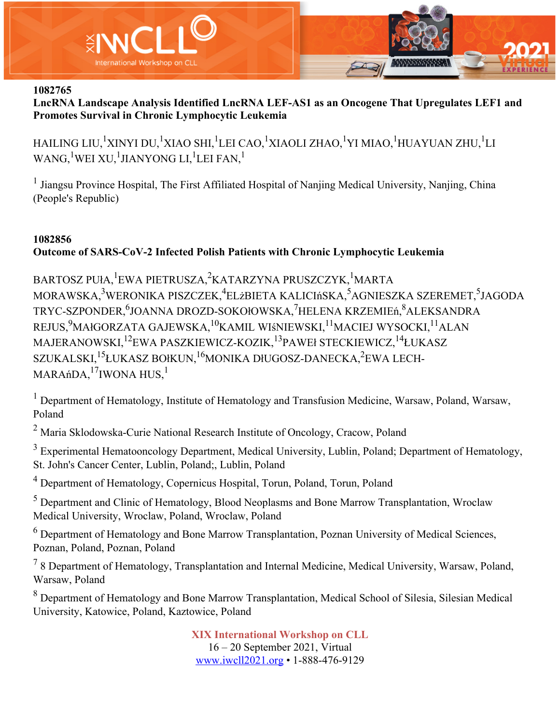

**LncRNA Landscape Analysis Identified LncRNA LEF-AS1 as an Oncogene That Upregulates LEF1 and Promotes Survival in Chronic Lymphocytic Leukemia**

HAILING LIU,<sup>1</sup>XINYI DU,<sup>1</sup>XIAO SHI,<sup>1</sup>LEI CAO,<sup>1</sup>XIAOLI ZHAO,<sup>1</sup>YI MIAO,<sup>1</sup>HUAYUAN ZHU,<sup>1</sup>LI WANG, $^1$ WEI XU, $^1$ JIANYONG LI, $^1$ LEI FAN, $^1$ 

<sup>1</sup> Jiangsu Province Hospital, The First Affiliated Hospital of Nanjing Medical University, Nanjing, China (People's Republic)

# **1082856 Outcome of SARS-CoV-2 Infected Polish Patients with Chronic Lymphocytic Leukemia**

BARTOSZ PUła, <sup>1</sup>EWA PIETRUSZA, <sup>2</sup>KATARZYNA PRUSZCZYK, <sup>1</sup>MARTA MORAWSKA, $^3$ WERONIKA PISZCZEK, $^4$ ELżBIETA KALICIńSKA, $^5$ AGNIESZKA SZEREMET, $^5$ JAGODA TRYC-SZPONDER, <sup>6</sup>JOANNA DROZD-SOKOłOWSKA, <sup>7</sup>HELENA KRZEMIEń, <sup>8</sup>ALEKSANDRA REJUS, $^{9}$ MAłGORZATA GAJEWSKA, $^{10}$ KAMIL WIśNIEWSKI, $^{11}$ MACIEJ WYSOCKI, $^{11}$ ALAN MAJERANOWSKI,<sup>12</sup>EWA PASZKIEWICZ-KOZIK,<sup>13</sup>PAWEł STECKIEWICZ,<sup>14</sup>ŁUKASZ SZUKALSKI, $^{15}$ ŁUKASZ BOłKUN, $^{16}$ MONIKA DłUGOSZ-DANECKA, $^{2}$ EWA LECH-MARAńDA, $^{17}$ IWONA HUS, $^{11}$ 

 $<sup>1</sup>$  Department of Hematology, Institute of Hematology and Transfusion Medicine, Warsaw, Poland, Warsaw,</sup> Poland

 $2$  Maria Sklodowska-Curie National Research Institute of Oncology, Cracow, Poland

<sup>3</sup> Experimental Hematooncology Department, Medical University, Lublin, Poland; Department of Hematology, St. John's Cancer Center, Lublin, Poland;, Lublin, Poland

<sup>4</sup> Department of Hematology, Copernicus Hospital, Torun, Poland, Torun, Poland

<sup>5</sup> Department and Clinic of Hematology, Blood Neoplasms and Bone Marrow Transplantation, Wroclaw Medical University, Wroclaw, Poland, Wroclaw, Poland

<sup>6</sup> Department of Hematology and Bone Marrow Transplantation, Poznan University of Medical Sciences, Poznan, Poland, Poznan, Poland

 $78$  Department of Hematology, Transplantation and Internal Medicine, Medical University, Warsaw, Poland, Warsaw, Poland

<sup>8</sup> Department of Hematology and Bone Marrow Transplantation, Medical School of Silesia, Silesian Medical University, Katowice, Poland, Kaztowice, Poland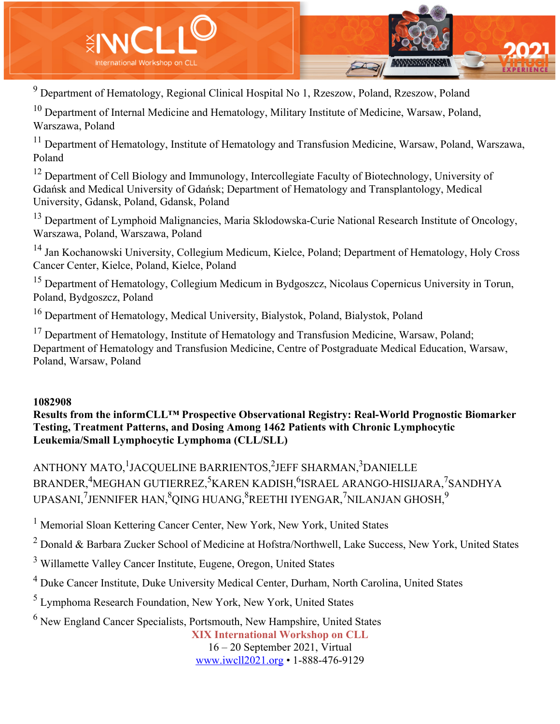

<sup>9</sup> Department of Hematology, Regional Clinical Hospital No 1, Rzeszow, Poland, Rzeszow, Poland

 $10$  Department of Internal Medicine and Hematology, Military Institute of Medicine, Warsaw, Poland, Warszawa, Poland

<sup>11</sup> Department of Hematology, Institute of Hematology and Transfusion Medicine, Warsaw, Poland, Warszawa, Poland

<sup>12</sup> Department of Cell Biology and Immunology, Intercollegiate Faculty of Biotechnology, University of Gdańsk and Medical University of Gdańsk; Department of Hematology and Transplantology, Medical University, Gdansk, Poland, Gdansk, Poland

<sup>13</sup> Department of Lymphoid Malignancies, Maria Sklodowska-Curie National Research Institute of Oncology, Warszawa, Poland, Warszawa, Poland

<sup>14</sup> Jan Kochanowski University, Collegium Medicum, Kielce, Poland; Department of Hematology, Holy Cross Cancer Center, Kielce, Poland, Kielce, Poland

<sup>15</sup> Department of Hematology, Collegium Medicum in Bydgoszcz, Nicolaus Copernicus University in Torun, Poland, Bydgoszcz, Poland

<sup>16</sup> Department of Hematology, Medical University, Bialystok, Poland, Bialystok, Poland

<sup>17</sup> Department of Hematology, Institute of Hematology and Transfusion Medicine, Warsaw, Poland; Department of Hematology and Transfusion Medicine, Centre of Postgraduate Medical Education, Warsaw, Poland, Warsaw, Poland

#### **1082908**

**Results from the informCLL™ Prospective Observational Registry: Real-World Prognostic Biomarker Testing, Treatment Patterns, and Dosing Among 1462 Patients with Chronic Lymphocytic Leukemia/Small Lymphocytic Lymphoma (CLL/SLL)**

ANTHONY MATO,<sup>1</sup>JACQUELINE BARRIENTOS,<sup>2</sup>JEFF SHARMAN,<sup>3</sup>DANIELLE BRANDER,<sup>4</sup>MEGHAN GUTIERREZ,<sup>5</sup>KAREN KADISH,<sup>6</sup>ISRAEL ARANGO-HISIJARA,<sup>7</sup>SANDHYA UPASANI, $^7$ JENNIFER HAN, $^8$ QING HUANG, $^8$ REETHI IYENGAR, $^7$ NILANJAN GHOSH, $^9$ 

<sup>1</sup> Memorial Sloan Kettering Cancer Center, New York, New York, United States

<sup>2</sup> Donald & Barbara Zucker School of Medicine at Hofstra/Northwell, Lake Success, New York, United States

<sup>3</sup> Willamette Valley Cancer Institute, Eugene, Oregon, United States

<sup>4</sup> Duke Cancer Institute, Duke University Medical Center, Durham, North Carolina, United States

<sup>5</sup> Lymphoma Research Foundation, New York, New York, United States

 $6$  New England Cancer Specialists, Portsmouth, New Hampshire, United States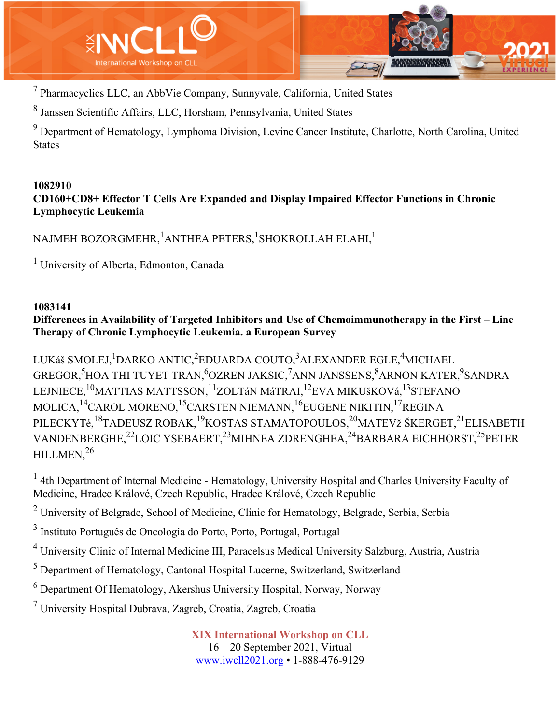

<sup>7</sup> Pharmacyclics LLC, an AbbVie Company, Sunnyvale, California, United States

<sup>8</sup> Janssen Scientific Affairs, LLC, Horsham, Pennsylvania, United States

<sup>9</sup> Department of Hematology, Lymphoma Division, Levine Cancer Institute, Charlotte, North Carolina, United States

#### **1082910 CD160+CD8+ Effector T Cells Are Expanded and Display Impaired Effector Functions in Chronic Lymphocytic Leukemia**

NAJMEH BOZORGMEHR, $^{\rm l}$ ANTHEA PETERS, $^{\rm l}$ SHOKROLLAH ELAHI, $^{\rm l}$ 

<sup>1</sup> University of Alberta, Edmonton, Canada

#### **1083141**

# **Differences in Availability of Targeted Inhibitors and Use of Chemoimmunotherapy in the First – Line Therapy of Chronic Lymphocytic Leukemia. a European Survey**

LUKáš SMOLEJ, <sup>1</sup>DARKO ANTIC, <sup>2</sup>EDUARDA COUTO, <sup>3</sup>ALEXANDER EGLE, <sup>4</sup>MICHAEL GREGOR,<sup>5</sup>HOA THI TUYET TRAN,<sup>6</sup>OZREN JAKSIC,<sup>7</sup>ANN JANSSENS,<sup>8</sup>ARNON KATER,<sup>9</sup>SANDRA LEJNIECE,<sup>10</sup>MATTIAS MATTSSON,<sup>11</sup>ZOLTáN MáTRAI,<sup>12</sup>EVA MIKUšKOVá,<sup>13</sup>STEFANO MOLICA,<sup>14</sup>CAROL MORENO,<sup>15</sup>CARSTEN NIEMANN,<sup>16</sup>EUGENE NIKITIN,<sup>17</sup>REGINA PILECKYTé,<sup>18</sup>TADEUSZ ROBAK,<sup>19</sup>KOSTAS STAMATOPOULOS,<sup>20</sup>MATEVž ŠKERGET,<sup>21</sup>ELISABETH VANDENBERGHE,22LOIC YSEBAERT,23MIHNEA ZDRENGHEA,24BARBARA EICHHORST,25PETER HILLMEN.<sup>26</sup>

<sup>1</sup> 4th Department of Internal Medicine - Hematology, University Hospital and Charles University Faculty of Medicine, Hradec Králové, Czech Republic, Hradec Králové, Czech Republic

 $2$  University of Belgrade, School of Medicine, Clinic for Hematology, Belgrade, Serbia, Serbia

<sup>3</sup> Instituto Português de Oncologia do Porto, Porto, Portugal, Portugal

<sup>4</sup> University Clinic of Internal Medicine III, Paracelsus Medical University Salzburg, Austria, Austria

<sup>5</sup> Department of Hematology, Cantonal Hospital Lucerne, Switzerland, Switzerland

<sup>6</sup> Department Of Hematology, Akershus University Hospital, Norway, Norway

 $<sup>7</sup>$  University Hospital Dubrava, Zagreb, Croatia, Zagreb, Croatia</sup>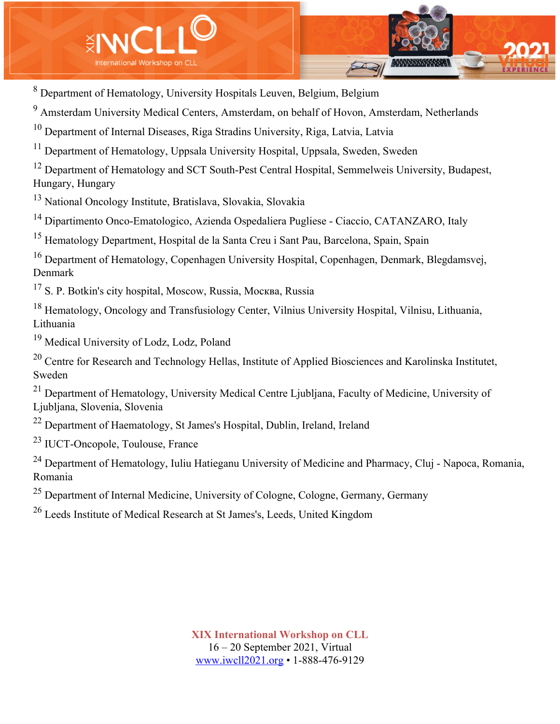

<sup>8</sup> Department of Hematology, University Hospitals Leuven, Belgium, Belgium

<sup>9</sup> Amsterdam University Medical Centers, Amsterdam, on behalf of Hovon, Amsterdam, Netherlands

<sup>10</sup> Department of Internal Diseases, Riga Stradins University, Riga, Latvia, Latvia

<sup>11</sup> Department of Hematology, Uppsala University Hospital, Uppsala, Sweden, Sweden

<sup>12</sup> Department of Hematology and SCT South-Pest Central Hospital, Semmelweis University, Budapest, Hungary, Hungary

<sup>13</sup> National Oncology Institute, Bratislava, Slovakia, Slovakia

<sup>14</sup> Dipartimento Onco-Ematologico, Azienda Ospedaliera Pugliese - Ciaccio, CATANZARO, Italy

<sup>15</sup> Hematology Department, Hospital de la Santa Creu i Sant Pau, Barcelona, Spain, Spain

<sup>16</sup> Department of Hematology, Copenhagen University Hospital, Copenhagen, Denmark, Blegdamsvej, Denmark

<sup>17</sup> S. P. Botkin's city hospital, Moscow, Russia, Москва, Russia

<sup>18</sup> Hematology, Oncology and Transfusiology Center, Vilnius University Hospital, Vilnisu, Lithuania, Lithuania

<sup>19</sup> Medical University of Lodz, Lodz, Poland

<sup>20</sup> Centre for Research and Technology Hellas, Institute of Applied Biosciences and Karolinska Institutet, Sweden

 $^{21}$  Department of Hematology, University Medical Centre Liubliana, Faculty of Medicine, University of Ljubljana, Slovenia, Slovenia

 $22$  Department of Haematology, St James's Hospital, Dublin, Ireland, Ireland

<sup>23</sup> IUCT-Oncopole, Toulouse, France

<sup>24</sup> Department of Hematology, Iuliu Hatieganu University of Medicine and Pharmacy, Cluj - Napoca, Romania, Romania

<sup>25</sup> Department of Internal Medicine, University of Cologne, Cologne, Germany, Germany

<sup>26</sup> Leeds Institute of Medical Research at St James's, Leeds, United Kingdom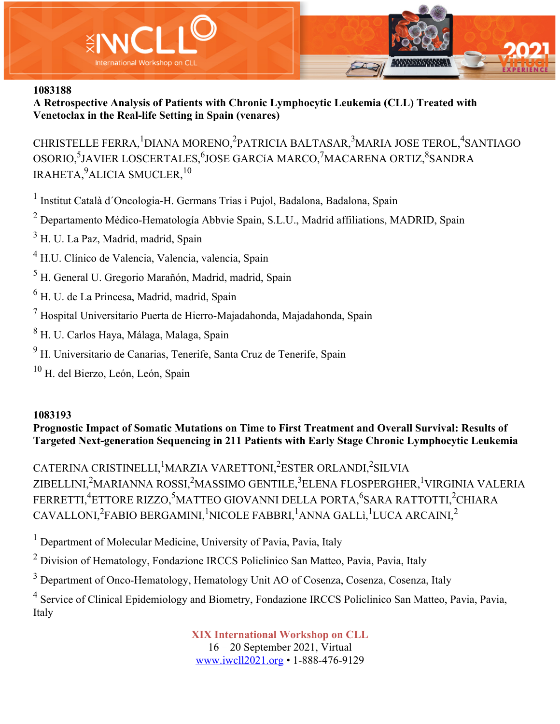



**A Retrospective Analysis of Patients with Chronic Lymphocytic Leukemia (CLL) Treated with Venetoclax in the Real-life Setting in Spain (venares)**

CHRISTELLE FERRA, <sup>1</sup>DIANA MORENO, <sup>2</sup>PATRICIA BALTASAR, <sup>3</sup>MARIA JOSE TEROL, <sup>4</sup>SANTIAGO OSORIO, <sup>5</sup>JAVIER LOSCERTALES, <sup>6</sup>JOSE GARCíA MARCO, <sup>7</sup>MACARENA ORTIZ, <sup>8</sup>SANDRA IRAHETA, $^9$ ALICIA SMUCLER, $^{10}$ 

<sup>1</sup> Institut Català d´Oncologia-H. Germans Trias i Pujol, Badalona, Badalona, Spain

<sup>2</sup> Departamento Médico-Hematología Abbvie Spain, S.L.U., Madrid affiliations, MADRID, Spain

 $3$  H. U. La Paz, Madrid, madrid, Spain

- <sup>4</sup> H.U. Clínico de Valencia, Valencia, valencia, Spain
- <sup>5</sup> H. General U. Gregorio Marañón, Madrid, madrid, Spain
- <sup>6</sup> H. U. de La Princesa, Madrid, madrid, Spain
- $<sup>7</sup>$  Hospital Universitario Puerta de Hierro-Majadahonda, Majadahonda, Spain</sup>
- <sup>8</sup> H. U. Carlos Haya, Málaga, Malaga, Spain
- $9$  H. Universitario de Canarias, Tenerife, Santa Cruz de Tenerife, Spain
- $10$  H. del Bierzo, León, León, Spain

#### **1083193**

**Prognostic Impact of Somatic Mutations on Time to First Treatment and Overall Survival: Results of Targeted Next-generation Sequencing in 211 Patients with Early Stage Chronic Lymphocytic Leukemia**

CATERINA CRISTINELLI, <sup>1</sup>MARZIA VARETTONI, <sup>2</sup>ESTER ORLANDI, <sup>2</sup>SILVIA ZIBELLINI,<sup>2</sup>MARIANNA ROSSI,<sup>2</sup>MASSIMO GENTILE,<sup>3</sup>ELENA FLOSPERGHER,<sup>1</sup>VIRGINIA VALERIA FERRETTI,<sup>4</sup>ETTORE RIZZO,<sup>5</sup>MATTEO GIOVANNI DELLA PORTA,<sup>6</sup>SARA RATTOTTI,<sup>2</sup>CHIARA CAVALLONI,<sup>2</sup>FABIO BERGAMINI,<sup>1</sup>NICOLE FABBRI,<sup>1</sup>ANNA GALLì,<sup>1</sup>LUCA ARCAINI,<sup>2</sup>

<sup>1</sup> Department of Molecular Medicine, University of Pavia, Pavia, Italy

<sup>2</sup> Division of Hematology, Fondazione IRCCS Policlinico San Matteo, Pavia, Pavia, Italy

<sup>3</sup> Department of Onco-Hematology, Hematology Unit AO of Cosenza, Cosenza, Cosenza, Italy

<sup>4</sup> Service of Clinical Epidemiology and Biometry, Fondazione IRCCS Policlinico San Matteo, Pavia, Pavia, Italy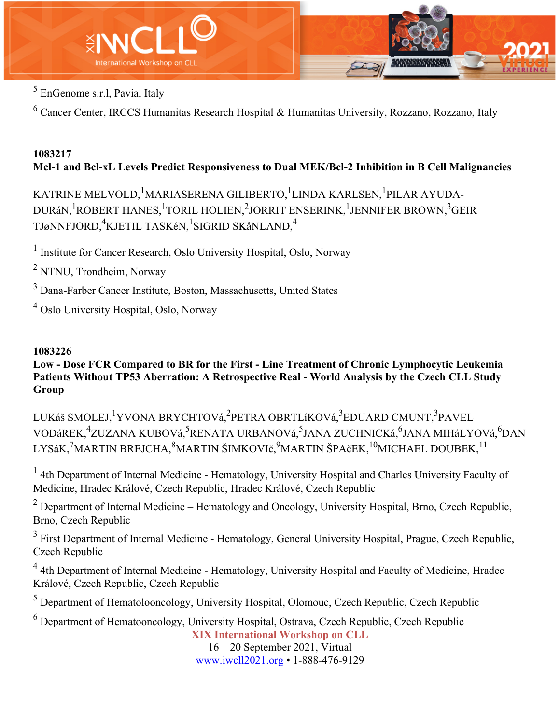

<sup>5</sup> EnGenome s.r.l, Pavia, Italy

<sup>6</sup> Cancer Center, IRCCS Humanitas Research Hospital & Humanitas University, Rozzano, Rozzano, Italy

# **1083217 Mcl-1 and Bcl-xL Levels Predict Responsiveness to Dual MEK/Bcl-2 Inhibition in B Cell Malignancies**

KATRINE MELVOLD, <sup>1</sup>MARIASERENA GILIBERTO, <sup>1</sup>LINDA KARLSEN, <sup>1</sup>PILAR AYUDA-DURáN,<sup>1</sup>ROBERT HANES,<sup>1</sup>TORIL HOLIEN,<sup>2</sup>JORRIT ENSERINK,<sup>1</sup>JENNIFER BROWN,<sup>3</sup>GEIR TJøNNFJORD,<sup>4</sup>KJETIL TASKéN,<sup>1</sup>SIGRID SKåNLAND,<sup>4</sup>

<sup>1</sup> Institute for Cancer Research, Oslo University Hospital, Oslo, Norway

<sup>2</sup> NTNU, Trondheim, Norway

<sup>3</sup> Dana-Farber Cancer Institute, Boston, Massachusetts, United States

<sup>4</sup> Oslo University Hospital, Oslo, Norway

# **1083226**

#### **Low - Dose FCR Compared to BR for the First - Line Treatment of Chronic Lymphocytic Leukemia Patients Without TP53 Aberration: A Retrospective Real - World Analysis by the Czech CLL Study Group**

LUKáš SMOLEJ, <sup>1</sup>YVONA BRYCHTOVá, <sup>2</sup>PETRA OBRTLíKOVá, <sup>3</sup>EDUARD CMUNT, <sup>3</sup>PAVEL VODáREK,<sup>4</sup>ZUZANA KUBOVá,<sup>5</sup>RENATA URBANOVá,<sup>5</sup>JANA ZUCHNICKá,<sup>6</sup>JANA MIHáLYOVá,<sup>6</sup>DAN LYSáK,<sup>7</sup>MARTIN BREJCHA,<sup>8</sup>MARTIN ŠIMKOVIč,<sup>9</sup>MARTIN ŠPAčEK,<sup>10</sup>MICHAEL DOUBEK,<sup>11</sup>

 $<sup>1</sup>$  4th Department of Internal Medicine - Hematology, University Hospital and Charles University Faculty of</sup> Medicine, Hradec Králové, Czech Republic, Hradec Králové, Czech Republic

 $2$  Department of Internal Medicine – Hematology and Oncology, University Hospital, Brno, Czech Republic, Brno, Czech Republic

<sup>3</sup> First Department of Internal Medicine - Hematology, General University Hospital, Prague, Czech Republic, Czech Republic

<sup>4</sup> 4th Department of Internal Medicine - Hematology, University Hospital and Faculty of Medicine, Hradec Králové, Czech Republic, Czech Republic

<sup>5</sup> Department of Hematolooncology, University Hospital, Olomouc, Czech Republic, Czech Republic

**XIX International Workshop on CLL**  $6$  Department of Hematooncology, University Hospital, Ostrava, Czech Republic, Czech Republic

16 – 20 September 2021, Virtual www.iwcll2021.org • 1-888-476-9129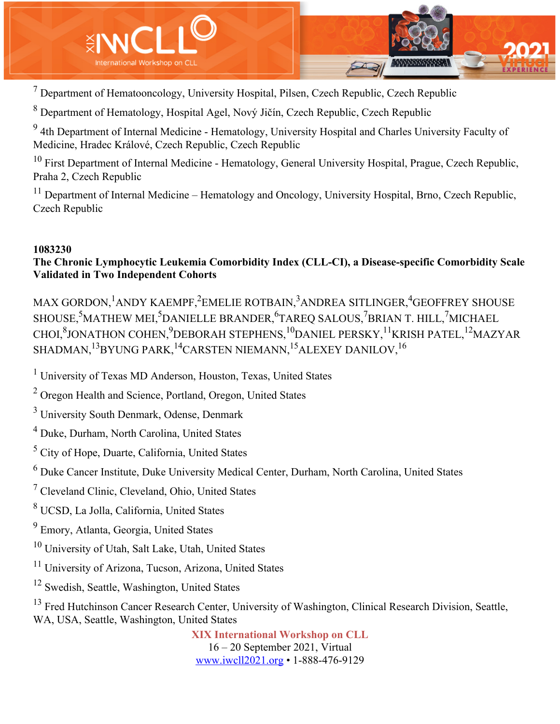

 $<sup>7</sup>$  Department of Hematooncology, University Hospital, Pilsen, Czech Republic, Czech Republic</sup>

<sup>8</sup> Department of Hematology, Hospital Agel, Nový Jičín, Czech Republic, Czech Republic

<sup>9</sup> 4th Department of Internal Medicine - Hematology, University Hospital and Charles University Faculty of Medicine, Hradec Králové, Czech Republic, Czech Republic

 $10$  First Department of Internal Medicine - Hematology, General University Hospital, Prague, Czech Republic, Praha 2, Czech Republic

 $11$  Department of Internal Medicine – Hematology and Oncology, University Hospital, Brno, Czech Republic, Czech Republic

#### **1083230**

# **The Chronic Lymphocytic Leukemia Comorbidity Index (CLL-CI), a Disease-specific Comorbidity Scale Validated in Two Independent Cohorts**

MAX GORDON,  $^1$ ANDY KAEMPF, $^2$ EMELIE ROTBAIN, $^3$ ANDREA SITLINGER, $^4$ GEOFFREY SHOUSE SHOUSE,<sup>5</sup>MATHEW MEI,<sup>5</sup>DANIELLE BRANDER,<sup>6</sup>TAREQ SALOUS,<sup>7</sup>BRIAN T. HILL,<sup>7</sup>MICHAEL CHOI,<sup>8</sup>JONATHON COHEN,<sup>9</sup>DEBORAH STEPHENS,<sup>10</sup>DANIEL PERSKY,<sup>11</sup>KRISH PATEL,<sup>12</sup>MAZYAR SHADMAN, $^{13}$ BYUNG PARK, $^{14}$ CARSTEN NIEMANN, $^{15}$ ALEXEY DANILOV, $^{16}$ 

<sup>1</sup> University of Texas MD Anderson, Houston, Texas, United States

<sup>2</sup> Oregon Health and Science, Portland, Oregon, United States

 $3$  University South Denmark, Odense, Denmark

<sup>4</sup> Duke, Durham, North Carolina, United States

<sup>5</sup> City of Hope, Duarte, California, United States

 $6$  Duke Cancer Institute, Duke University Medical Center, Durham, North Carolina, United States

<sup>7</sup> Cleveland Clinic, Cleveland, Ohio, United States

<sup>8</sup> UCSD, La Jolla, California, United States

<sup>9</sup> Emory, Atlanta, Georgia, United States

<sup>10</sup> University of Utah, Salt Lake, Utah, United States

<sup>11</sup> University of Arizona, Tucson, Arizona, United States

<sup>12</sup> Swedish, Seattle, Washington, United States

<sup>13</sup> Fred Hutchinson Cancer Research Center, University of Washington, Clinical Research Division, Seattle, WA, USA, Seattle, Washington, United States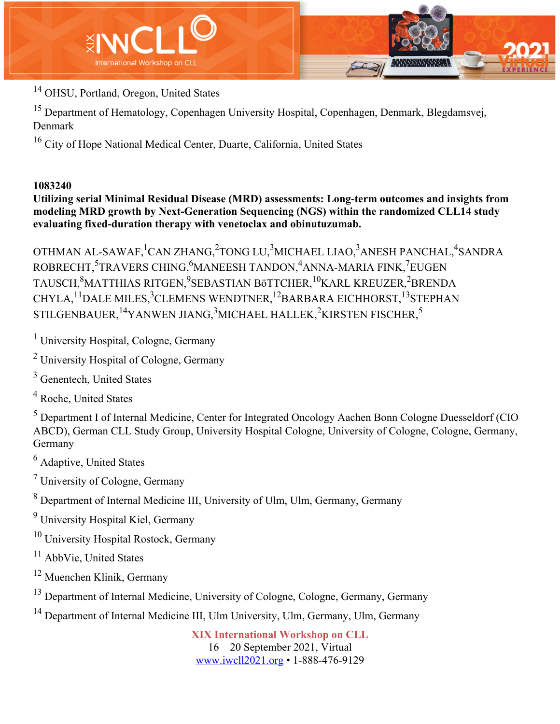

<sup>14</sup> OHSU, Portland, Oregon, United States

<sup>15</sup> Department of Hematology, Copenhagen University Hospital, Copenhagen, Denmark, Blegdamsvej, Denmark

<sup>16</sup> City of Hope National Medical Center, Duarte, California, United States

## **1083240**

**Utilizing serial Minimal Residual Disease (MRD) assessments: Long-term outcomes and insights from modeling MRD growth by Next-Generation Sequencing (NGS) within the randomized CLL14 study evaluating fixed-duration therapy with venetoclax and obinutuzumab.**

OTHMAN AL-SAWAF, $^{1}$ CAN ZHANG, $^{2}$ TONG LU, $^{3}$ MICHAEL LIAO, $^{3}$ ANESH PANCHAL, $^{4}$ SANDRA ROBRECHT,<sup>5</sup>TRAVERS CHING,<sup>6</sup>MANEESH TANDON,<sup>4</sup>ANNA-MARIA FINK,<sup>7</sup>EUGEN TAUSCH, $^{8}$ MATTHIAS RITGEN, $^{9}$ SEBASTIAN BöTTCHER, $^{10}$ KARL KREUZER, $^{2}$ BRENDA CHYLA, <sup>11</sup>DALE MILES, <sup>3</sup>CLEMENS WENDTNER, <sup>12</sup>BARBARA EICHHORST, <sup>13</sup>STEPHAN STILGENBAUER, $^{14}$ YANWEN JIANG, $^{3}$ MICHAEL HALLEK, $^{2}$ KIRSTEN FISCHER, $^{5}$ 

<sup>1</sup> University Hospital, Cologne, Germany

<sup>2</sup> University Hospital of Cologne, Germany

<sup>3</sup> Genentech, United States

<sup>4</sup> Roche, United States

<sup>5</sup> Department I of Internal Medicine, Center for Integrated Oncology Aachen Bonn Cologne Duesseldorf (CIO ABCD), German CLL Study Group, University Hospital Cologne, University of Cologne, Cologne, Germany, Germany

<sup>6</sup> Adaptive, United States

<sup>7</sup> University of Cologne, Germany

<sup>8</sup> Department of Internal Medicine III, University of Ulm, Ulm, Germany, Germany

<sup>9</sup> University Hospital Kiel, Germany

<sup>10</sup> University Hospital Rostock, Germany

<sup>11</sup> AbbVie, United States

<sup>12</sup> Muenchen Klinik, Germany

<sup>13</sup> Department of Internal Medicine, University of Cologne, Cologne, Germany, Germany

<sup>14</sup> Department of Internal Medicine III, Ulm University, Ulm, Germany, Ulm, Germany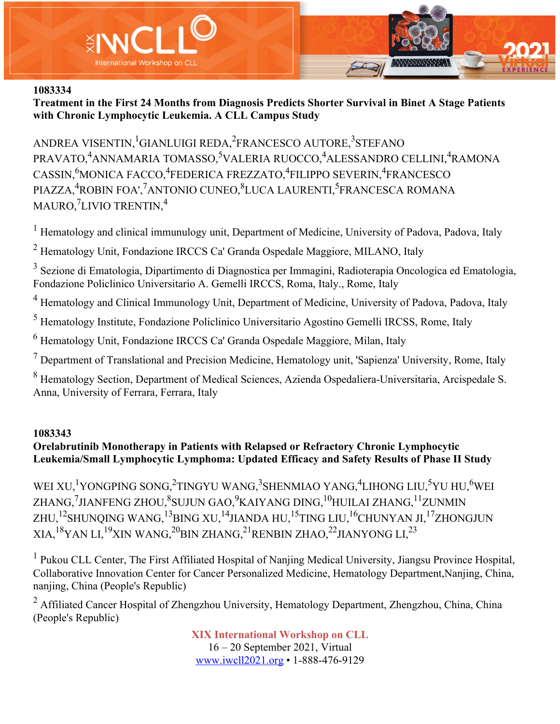



**Treatment in the First 24 Months from Diagnosis Predicts Shorter Survival in Binet A Stage Patients with Chronic Lymphocytic Leukemia. A CLL Campus Study**

ANDREA VISENTIN, <sup>1</sup>GIANLUIGI REDA, <sup>2</sup>FRANCESCO AUTORE, <sup>3</sup>STEFANO PRAVATO,<sup>4</sup>ANNAMARIA TOMASSO,<sup>5</sup>VALERIA RUOCCO,<sup>4</sup>ALESSANDRO CELLINI,<sup>4</sup>RAMONA CASSIN, <sup>6</sup>MONICA FACCO, <sup>4</sup>FEDERICA FREZZATO, <sup>4</sup>FILIPPO SEVERIN, <sup>4</sup>FRANCESCO PIAZZA,<sup>4</sup>ROBIN FOA',<sup>7</sup>ANTONIO CUNEO,<sup>8</sup>LUCA LAURENTI,<sup>5</sup>FRANCESCA ROMANA MAURO, ${\rm ^7}$ LIVIO TRENTIN, $^4$ 

<sup>1</sup> Hematology and clinical immunulogy unit, Department of Medicine, University of Padova, Padova, Italy

<sup>2</sup> Hematology Unit, Fondazione IRCCS Ca' Granda Ospedale Maggiore, MILANO, Italy

<sup>3</sup> Sezione di Ematologia, Dipartimento di Diagnostica per Immagini, Radioterapia Oncologica ed Ematologia, Fondazione Policlinico Universitario A. Gemelli IRCCS, Roma, Italy., Rome, Italy

<sup>4</sup> Hematology and Clinical Immunology Unit, Department of Medicine, University of Padova, Padova, Italy

<sup>5</sup> Hematology Institute, Fondazione Policlinico Universitario Agostino Gemelli IRCSS, Rome, Italy

<sup>6</sup> Hematology Unit, Fondazione IRCCS Ca' Granda Ospedale Maggiore, Milan, Italy

 $<sup>7</sup>$  Department of Translational and Precision Medicine, Hematology unit, 'Sapienza' University, Rome, Italy</sup>

<sup>8</sup> Hematology Section, Department of Medical Sciences, Azienda Ospedaliera-Universitaria, Arcispedale S. Anna, University of Ferrara, Ferrara, Italy

#### **1083343**

## **Orelabrutinib Monotherapy in Patients with Relapsed or Refractory Chronic Lymphocytic Leukemia/Small Lymphocytic Lymphoma: Updated Efficacy and Safety Results of Phase II Study**

WEI XU,<sup>1</sup>YONGPING SONG,<sup>2</sup>TINGYU WANG,<sup>3</sup>SHENMIAO YANG,<sup>4</sup>LIHONG LIU,<sup>5</sup>YU HU,<sup>6</sup>WEI ZHANG,<sup>7</sup>JIANFENG ZHOU,<sup>8</sup>SUJUN GAO,<sup>9</sup>KAIYANG DING,<sup>10</sup>HUILAI ZHANG,<sup>11</sup>ZUNMIN ZHU,<sup>12</sup>SHUNOING WANG,<sup>13</sup>BING XU,<sup>14</sup>JIANDA HU,<sup>15</sup>TING LIU,<sup>16</sup>CHUNYAN JI,<sup>17</sup>ZHONGJUN  $XIA.<sup>18</sup>YAN LI.<sup>19</sup>XIN WANG.<sup>20</sup>BIN ZHANG.<sup>21</sup>RENBIN ZHAO.<sup>22</sup>JIANYONG LI.<sup>23</sup>$ 

<sup>1</sup> Pukou CLL Center, The First Affiliated Hospital of Nanjing Medical University, Jiangsu Province Hospital, Collaborative Innovation Center for Cancer Personalized Medicine, Hematology Department,Nanjing, China, nanjing, China (People's Republic)

<sup>2</sup> Affiliated Cancer Hospital of Zhengzhou University, Hematology Department, Zhengzhou, China, China (People's Republic)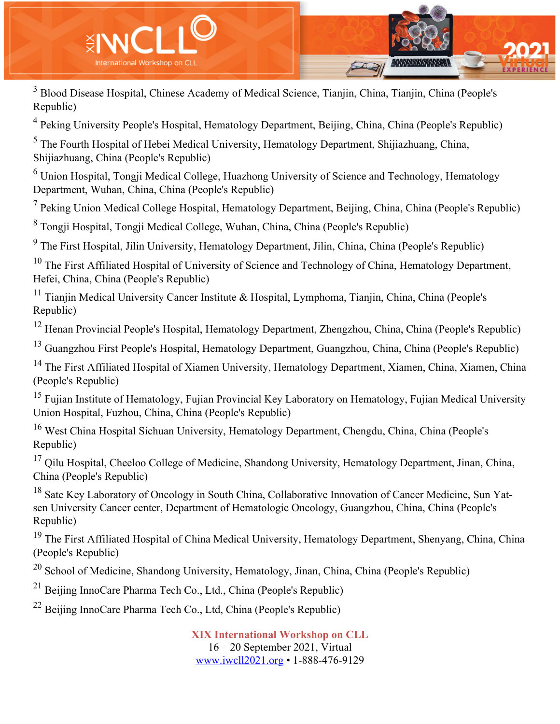

<sup>3</sup> Blood Disease Hospital, Chinese Academy of Medical Science, Tianjin, China, Tianjin, China (People's Republic)

<sup>4</sup> Peking University People's Hospital, Hematology Department, Beijing, China, China (People's Republic)

<sup>5</sup> The Fourth Hospital of Hebei Medical University, Hematology Department, Shijiazhuang, China, Shijiazhuang, China (People's Republic)

<sup>6</sup> Union Hospital, Tongji Medical College, Huazhong University of Science and Technology, Hematology Department, Wuhan, China, China (People's Republic)

 $<sup>7</sup>$  Peking Union Medical College Hospital, Hematology Department, Beijing, China, China (People's Republic)</sup>

<sup>8</sup> Tongji Hospital, Tongji Medical College, Wuhan, China, China (People's Republic)

<sup>9</sup> The First Hospital, Jilin University, Hematology Department, Jilin, China, China (People's Republic)

 $10$  The First Affiliated Hospital of University of Science and Technology of China, Hematology Department, Hefei, China, China (People's Republic)

<sup>11</sup> Tianjin Medical University Cancer Institute & Hospital, Lymphoma, Tianjin, China, China (People's Republic)

<sup>12</sup> Henan Provincial People's Hospital, Hematology Department, Zhengzhou, China, China (People's Republic)

<sup>13</sup> Guangzhou First People's Hospital, Hematology Department, Guangzhou, China, China (People's Republic)

<sup>14</sup> The First Affiliated Hospital of Xiamen University, Hematology Department, Xiamen, China, Xiamen, China (People's Republic)

<sup>15</sup> Fujian Institute of Hematology, Fujian Provincial Key Laboratory on Hematology, Fujian Medical University Union Hospital, Fuzhou, China, China (People's Republic)

<sup>16</sup> West China Hospital Sichuan University, Hematology Department, Chengdu, China, China (People's Republic)

 $17$  Qilu Hospital, Cheeloo College of Medicine, Shandong University, Hematology Department, Jinan, China, China (People's Republic)

<sup>18</sup> Sate Key Laboratory of Oncology in South China, Collaborative Innovation of Cancer Medicine, Sun Yatsen University Cancer center, Department of Hematologic Oncology, Guangzhou, China, China (People's Republic)

<sup>19</sup> The First Affiliated Hospital of China Medical University, Hematology Department, Shenyang, China, China (People's Republic)

 $20$  School of Medicine, Shandong University, Hematology, Jinan, China, China (People's Republic)

 $^{21}$  Beijing InnoCare Pharma Tech Co., Ltd., China (People's Republic)

 $^{22}$  Beijing InnoCare Pharma Tech Co., Ltd, China (People's Republic)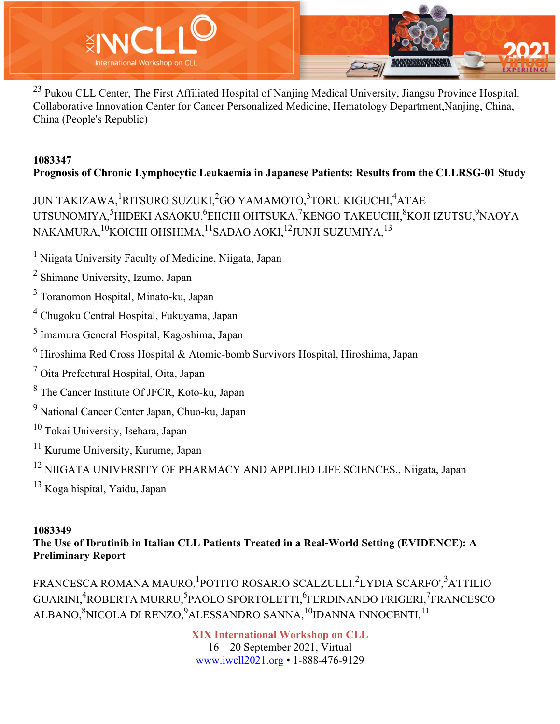

<sup>23</sup> Pukou CLL Center, The First Affiliated Hospital of Nanjing Medical University, Jiangsu Province Hospital, Collaborative Innovation Center for Cancer Personalized Medicine, Hematology Department,Nanjing, China, China (People's Republic)

# **1083347 Prognosis of Chronic Lymphocytic Leukaemia in Japanese Patients: Results from the CLLRSG-01 Study**

JUN TAKIZAWA, <sup>1</sup>RITSURO SUZUKI, <sup>2</sup>GO YAMAMOTO, <sup>3</sup>TORU KIGUCHI, <sup>4</sup>ATAE UTSUNOMIYA,<sup>5</sup>HIDEKI ASAOKU,<sup>6</sup>EIICHI OHTSUKA,<sup>7</sup>KENGO TAKEUCHI,<sup>8</sup>KOJI IZUTSU,<sup>9</sup>NAOYA NAKAMURA,<sup>10</sup>KOICHI OHSHIMA,<sup>11</sup>SADAO AOKI,<sup>12</sup>JUNJI SUZUMIYA,<sup>13</sup>

- <sup>1</sup> Niigata University Faculty of Medicine, Niigata, Japan
- <sup>2</sup> Shimane University, Izumo, Japan
- <sup>3</sup> Toranomon Hospital, Minato-ku, Japan
- <sup>4</sup> Chugoku Central Hospital, Fukuyama, Japan
- <sup>5</sup> Imamura General Hospital, Kagoshima, Japan
- $6$  Hiroshima Red Cross Hospital & Atomic-bomb Survivors Hospital, Hiroshima, Japan
- <sup>7</sup> Oita Prefectural Hospital, Oita, Japan
- <sup>8</sup> The Cancer Institute Of JFCR, Koto-ku, Japan
- <sup>9</sup> National Cancer Center Japan, Chuo-ku, Japan
- <sup>10</sup> Tokai University, Isehara, Japan
- <sup>11</sup> Kurume University, Kurume, Japan
- <sup>12</sup> NIIGATA UNIVERSITY OF PHARMACY AND APPLIED LIFE SCIENCES., Niigata, Japan
- <sup>13</sup> Koga hispital, Yaidu, Japan

# **1083349**

**The Use of Ibrutinib in Italian CLL Patients Treated in a Real-World Setting (EVIDENCE): A Preliminary Report**

FRANCESCA ROMANA MAURO, <sup>1</sup>POTITO ROSARIO SCALZULLI, <sup>2</sup>LYDIA SCARFO', <sup>3</sup>ATTILIO GUARINI,<sup>4</sup>ROBERTA MURRU,<sup>5</sup>PAOLO SPORTOLETTI,<sup>6</sup>FERDINANDO FRIGERI,<sup>7</sup>FRANCESCO ALBANO, $^8$ NICOLA DI RENZO, $^9$ ALESSANDRO SANNA, $^{10}$ IDANNA INNOCENTI, $^{11}$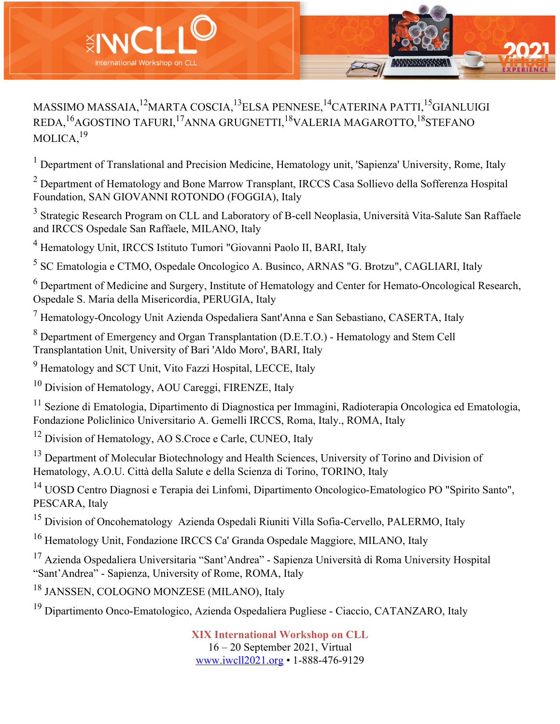

MASSIMO MASSAIA,<sup>12</sup>MARTA COSCIA,<sup>13</sup>ELSA PENNESE,<sup>14</sup>CATERINA PATTI,<sup>15</sup>GIANLUIGI REDA,16AGOSTINO TAFURI,17ANNA GRUGNETTI,18VALERIA MAGAROTTO,18STEFANO MOLICA.<sup>19</sup>

<sup>1</sup> Department of Translational and Precision Medicine, Hematology unit, 'Sapienza' University, Rome, Italy

<sup>2</sup> Department of Hematology and Bone Marrow Transplant, IRCCS Casa Sollievo della Sofferenza Hospital Foundation, SAN GIOVANNI ROTONDO (FOGGIA), Italy

<sup>3</sup> Strategic Research Program on CLL and Laboratory of B-cell Neoplasia, Università Vita-Salute San Raffaele and IRCCS Ospedale San Raffaele, MILANO, Italy

<sup>4</sup> Hematology Unit, IRCCS Istituto Tumori "Giovanni Paolo II, BARI, Italy

<sup>5</sup> SC Ematologia e CTMO, Ospedale Oncologico A. Businco, ARNAS "G. Brotzu", CAGLIARI, Italy

<sup>6</sup> Department of Medicine and Surgery, Institute of Hematology and Center for Hemato-Oncological Research, Ospedale S. Maria della Misericordia, PERUGIA, Italy

<sup>7</sup> Hematology-Oncology Unit Azienda Ospedaliera Sant'Anna e San Sebastiano, CASERTA, Italy

<sup>8</sup> Department of Emergency and Organ Transplantation (D.E.T.O.) - Hematology and Stem Cell Transplantation Unit, University of Bari 'Aldo Moro', BARI, Italy

<sup>9</sup> Hematology and SCT Unit, Vito Fazzi Hospital, LECCE, Italy

<sup>10</sup> Division of Hematology, AOU Careggi, FIRENZE, Italy

<sup>11</sup> Sezione di Ematologia, Dipartimento di Diagnostica per Immagini, Radioterapia Oncologica ed Ematologia, Fondazione Policlinico Universitario A. Gemelli IRCCS, Roma, Italy., ROMA, Italy

<sup>12</sup> Division of Hematology, AO S.Croce e Carle, CUNEO, Italy

<sup>13</sup> Department of Molecular Biotechnology and Health Sciences, University of Torino and Division of Hematology, A.O.U. Città della Salute e della Scienza di Torino, TORINO, Italy

<sup>14</sup> UOSD Centro Diagnosi e Terapia dei Linfomi, Dipartimento Oncologico-Ematologico PO "Spirito Santo", PESCARA, Italy

<sup>15</sup> Division of Oncohematology Azienda Ospedali Riuniti Villa Sofia-Cervello, PALERMO, Italy

<sup>16</sup> Hematology Unit, Fondazione IRCCS Ca' Granda Ospedale Maggiore, MILANO, Italy

<sup>17</sup> Azienda Ospedaliera Universitaria "Sant'Andrea" - Sapienza Università di Roma University Hospital "Sant'Andrea" - Sapienza, University of Rome, ROMA, Italy

<sup>18</sup> JANSSEN, COLOGNO MONZESE (MILANO), Italy

<sup>19</sup> Dipartimento Onco-Ematologico, Azienda Ospedaliera Pugliese - Ciaccio, CATANZARO, Italy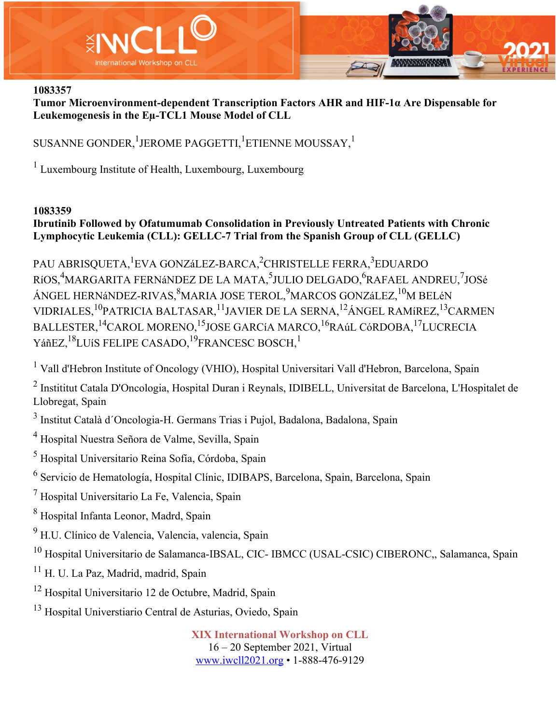

**Tumor Microenvironment-dependent Transcription Factors AHR and HIF-1α Are Dispensable for Leukemogenesis in the Eµ-TCL1 Mouse Model of CLL**

SUSANNE GONDER,  $^1$ JEROME PAGGETTI,  $^1$ ETIENNE MOUSSAY,  $^1$ 

<sup>1</sup> Luxembourg Institute of Health, Luxembourg, Luxembourg

#### **1083359**

## **Ibrutinib Followed by Ofatumumab Consolidation in Previously Untreated Patients with Chronic Lymphocytic Leukemia (CLL): GELLC-7 Trial from the Spanish Group of CLL (GELLC)**

PAU ABRISQUETA,<sup>1</sup>EVA GONZáLEZ-BARCA,<sup>2</sup>CHRISTELLE FERRA,<sup>3</sup>EDUARDO RíOS,<sup>4</sup>MARGARITA FERNáNDEZ DE LA MATA,<sup>5</sup>JULIO DELGADO,<sup>6</sup>RAFAEL ANDREU,<sup>7</sup>JOSé ÁNGEL HERNáNDEZ-RIVAS, $^8$ MARIA JOSE TEROL, $^9$ MARCOS GONZáLEZ, $^{10}$ M BELéN VIDRIALES,10PATRICIA BALTASAR,11JAVIER DE LA SERNA,12ÁNGEL RAMíREZ,13CARMEN BALLESTER, <sup>14</sup>CAROL MORENO, <sup>15</sup>JOSE GARCíA MARCO, <sup>16</sup>RAúL CóRDOBA, <sup>17</sup>LUCRECIA YáñEZ, <sup>18</sup>LUíS FELIPE CASADO, <sup>19</sup>FRANCESC BOSCH, <sup>1</sup>

<sup>1</sup> Vall d'Hebron Institute of Oncology (VHIO), Hospital Universitari Vall d'Hebron, Barcelona, Spain

<sup>2</sup> Instititut Catala D'Oncologia, Hospital Duran i Reynals, IDIBELL, Universitat de Barcelona, L'Hospitalet de Llobregat, Spain

<sup>3</sup> Institut Català d´Oncologia-H. Germans Trias i Pujol, Badalona, Badalona, Spain

<sup>4</sup> Hospital Nuestra Señora de Valme, Sevilla, Spain

<sup>5</sup> Hospital Universitario Reina Sofía, Córdoba, Spain

<sup>6</sup> Servicio de Hematología, Hospital Clínic, IDIBAPS, Barcelona, Spain, Barcelona, Spain

<sup>7</sup> Hospital Universitario La Fe, Valencia, Spain

<sup>8</sup> Hospital Infanta Leonor, Madrd, Spain

<sup>9</sup> H.U. Clínico de Valencia, Valencia, valencia, Spain

<sup>10</sup> Hospital Universitario de Salamanca-IBSAL, CIC- IBMCC (USAL-CSIC) CIBERONC,, Salamanca, Spain

<sup>11</sup> H. U. La Paz, Madrid, madrid, Spain

<sup>12</sup> Hospital Universitario 12 de Octubre, Madrid, Spain

<sup>13</sup> Hospital Universtiario Central de Asturias, Oviedo, Spain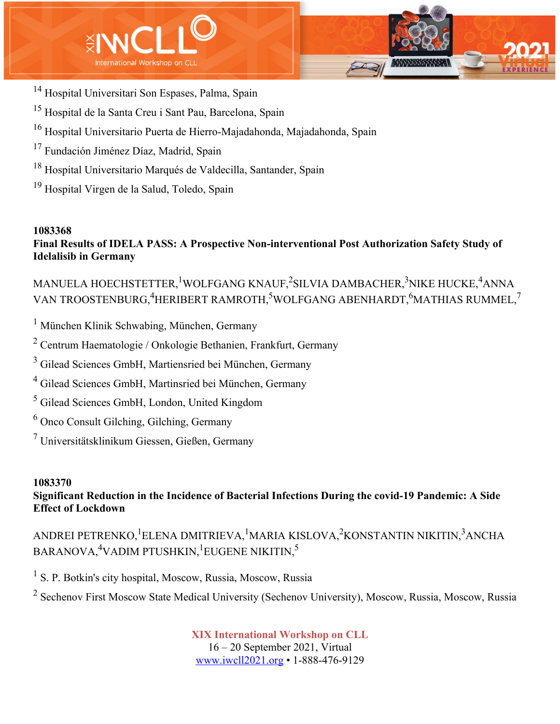



- <sup>14</sup> Hospital Universitari Son Espases, Palma, Spain
- <sup>15</sup> Hospital de la Santa Creu i Sant Pau, Barcelona, Spain
- <sup>16</sup> Hospital Universitario Puerta de Hierro-Majadahonda, Majadahonda, Spain
- <sup>17</sup> Fundación Jiménez Díaz, Madrid, Spain
- <sup>18</sup> Hospital Universitario Marqués de Valdecilla, Santander, Spain
- <sup>19</sup> Hospital Virgen de la Salud, Toledo, Spain

# **Final Results of IDELA PASS: A Prospective Non-interventional Post Authorization Safety Study of Idelalisib in Germany**

MANUELA HOECHSTETTER, $^1$ WOLFGANG KNAUF, $^2$ SILVIA DAMBACHER, $^3$ NIKE HUCKE, $^4$ ANNA VAN TROOSTENBURG, ${\rm ^4}$ HERIBERT RAMROTH, ${\rm ^5}$ WOLFGANG ABENHARDT, ${\rm ^6}$ MATHIAS RUMMEL, ${\rm ^7}$ 

<sup>1</sup> München Klinik Schwabing, München, Germany

<sup>2</sup> Centrum Haematologie / Onkologie Bethanien, Frankfurt, Germany

<sup>3</sup> Gilead Sciences GmbH, Martiensried bei München, Germany

<sup>4</sup> Gilead Sciences GmbH, Martinsried bei München, Germany

<sup>5</sup> Gilead Sciences GmbH, London, United Kingdom

<sup>6</sup> Onco Consult Gilching, Gilching, Germany

<sup>7</sup> Universitätsklinikum Giessen, Gießen, Germany

# **1083370**

**Significant Reduction in the Incidence of Bacterial Infections During the covid-19 Pandemic: A Side Effect of Lockdown**

ANDREI PETRENKO, $^1$ ELENA DMITRIEVA, $^1$ MARIA KISLOVA, $^2$ KONSTANTIN NIKITIN, $^3$ ANCHA BARANOVA, ${\rm ^4}$ VADIM PTUSHKIN, ${\rm ^1}$ EUGENE NIKITIN, ${\rm ^5}$ 

<sup>1</sup> S. P. Botkin's city hospital, Moscow, Russia, Moscow, Russia

<sup>2</sup> Sechenov First Moscow State Medical University (Sechenov University), Moscow, Russia, Moscow, Russia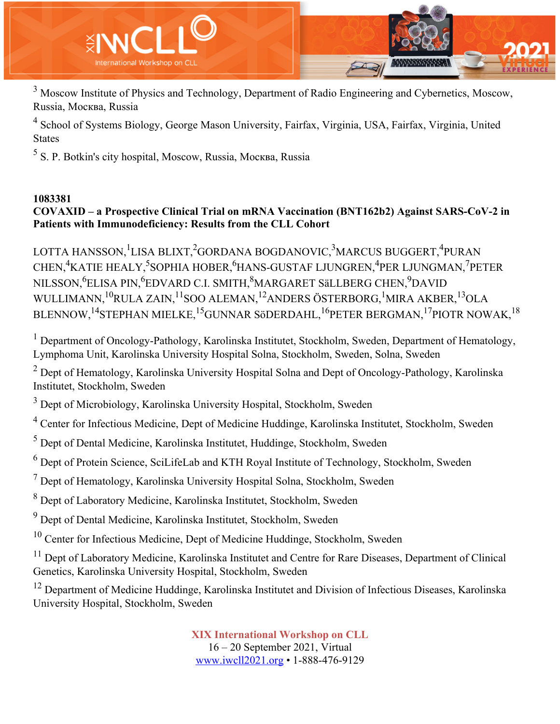

<sup>3</sup> Moscow Institute of Physics and Technology, Department of Radio Engineering and Cybernetics, Moscow, Russia, Москва, Russia

<sup>4</sup> School of Systems Biology, George Mason University, Fairfax, Virginia, USA, Fairfax, Virginia, United States

<sup>5</sup> S. P. Botkin's city hospital, Moscow, Russia, Москва, Russia

#### **1083381**

## **COVAXID – a Prospective Clinical Trial on mRNA Vaccination (BNT162b2) Against SARS-CoV-2 in Patients with Immunodeficiency: Results from the CLL Cohort**

LOTTA HANSSON, <sup>1</sup>LISA BLIXT, <sup>2</sup>GORDANA BOGDANOVIC, <sup>3</sup>MARCUS BUGGERT, <sup>4</sup>PURAN CHEN,<sup>4</sup>KATIE HEALY,<sup>5</sup>SOPHIA HOBER,<sup>6</sup>HANS-GUSTAF LJUNGREN,<sup>4</sup>PER LJUNGMAN,<sup>7</sup>PETER NILSSON,<sup>6</sup>ELISA PIN,<sup>6</sup>EDVARD C.I. SMITH,<sup>8</sup>MARGARET SäLLBERG CHEN,<sup>9</sup>DAVID WULLIMANN,  ${}^{10}$ RULA ZAIN,  ${}^{11}$ SOO ALEMAN,  ${}^{12}$ ANDERS ÖSTERBORG,  ${}^{1}$ MIRA AKBER,  ${}^{13}$ OLA BLENNOW,<sup>14</sup>STEPHAN MIELKE,<sup>15</sup>GUNNAR SöDERDAHL,<sup>16</sup>PETER BERGMAN,<sup>17</sup>PIOTR NOWAK,<sup>18</sup>

 $1$  Department of Oncology-Pathology, Karolinska Institutet, Stockholm, Sweden, Department of Hematology, Lymphoma Unit, Karolinska University Hospital Solna, Stockholm, Sweden, Solna, Sweden

 $2$  Dept of Hematology, Karolinska University Hospital Solna and Dept of Oncology-Pathology, Karolinska Institutet, Stockholm, Sweden

<sup>3</sup> Dept of Microbiology, Karolinska University Hospital, Stockholm, Sweden

<sup>4</sup> Center for Infectious Medicine, Dept of Medicine Huddinge, Karolinska Institutet, Stockholm, Sweden

<sup>5</sup> Dept of Dental Medicine, Karolinska Institutet, Huddinge, Stockholm, Sweden

 $6$  Dept of Protein Science, SciLifeLab and KTH Royal Institute of Technology, Stockholm, Sweden

 $<sup>7</sup>$  Dept of Hematology, Karolinska University Hospital Solna, Stockholm, Sweden</sup>

<sup>8</sup> Dept of Laboratory Medicine, Karolinska Institutet, Stockholm, Sweden

<sup>9</sup> Dept of Dental Medicine, Karolinska Institutet, Stockholm, Sweden

 $10$  Center for Infectious Medicine, Dept of Medicine Huddinge, Stockholm, Sweden

<sup>11</sup> Dept of Laboratory Medicine, Karolinska Institutet and Centre for Rare Diseases, Department of Clinical Genetics, Karolinska University Hospital, Stockholm, Sweden

<sup>12</sup> Department of Medicine Huddinge, Karolinska Institutet and Division of Infectious Diseases, Karolinska University Hospital, Stockholm, Sweden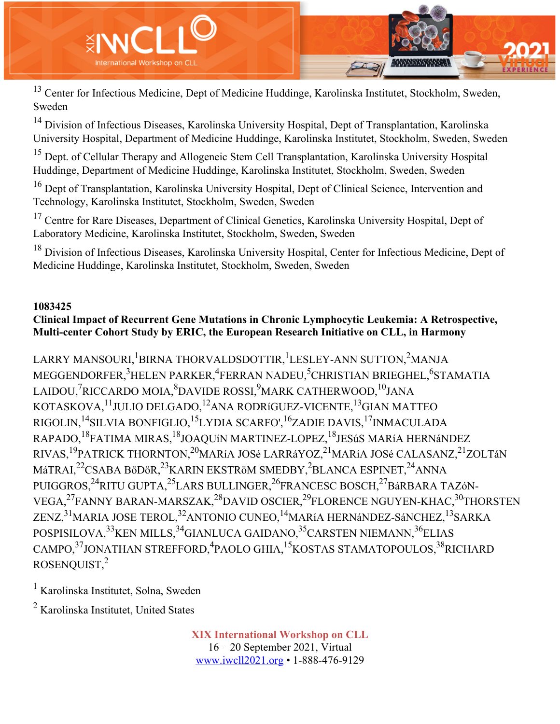

<sup>13</sup> Center for Infectious Medicine, Dept of Medicine Huddinge, Karolinska Institutet, Stockholm, Sweden, Sweden

<sup>14</sup> Division of Infectious Diseases, Karolinska University Hospital, Dept of Transplantation, Karolinska University Hospital, Department of Medicine Huddinge, Karolinska Institutet, Stockholm, Sweden, Sweden

<sup>15</sup> Dept. of Cellular Therapy and Allogeneic Stem Cell Transplantation, Karolinska University Hospital Huddinge, Department of Medicine Huddinge, Karolinska Institutet, Stockholm, Sweden, Sweden

<sup>16</sup> Dept of Transplantation, Karolinska University Hospital, Dept of Clinical Science, Intervention and Technology, Karolinska Institutet, Stockholm, Sweden, Sweden

<sup>17</sup> Centre for Rare Diseases, Department of Clinical Genetics, Karolinska University Hospital, Dept of Laboratory Medicine, Karolinska Institutet, Stockholm, Sweden, Sweden

<sup>18</sup> Division of Infectious Diseases, Karolinska University Hospital, Center for Infectious Medicine, Dept of Medicine Huddinge, Karolinska Institutet, Stockholm, Sweden, Sweden

#### **1083425**

#### **Clinical Impact of Recurrent Gene Mutations in Chronic Lymphocytic Leukemia: A Retrospective, Multi-center Cohort Study by ERIC, the European Research Initiative on CLL, in Harmony**

LARRY MANSOURI, <sup>1</sup>BIRNA THORVALDSDOTTIR, <sup>1</sup>LESLEY-ANN SUTTON, <sup>2</sup>MANJA MEGGENDORFER, $^3$ HELEN PARKER, $^4$ FERRAN NADEU, $^5$ CHRISTIAN BRIEGHEL, $^6$ STAMATIA LAIDOU,<sup>7</sup>RICCARDO MOIA,<sup>8</sup>DAVIDE ROSSI,<sup>9</sup>MARK CATHERWOOD,<sup>10</sup>JANA KOTASKOVA,11JULIO DELGADO,12ANA RODRíGUEZ-VICENTE,13GIAN MATTEO RIGOLIN,<sup>14</sup>SILVIA BONFIGLIO,<sup>15</sup>LYDIA SCARFO',<sup>16</sup>ZADIE DAVIS,<sup>17</sup>INMACULADA RAPADO,18FATIMA MIRAS,18JOAQUíN MARTINEZ-LOPEZ,18JESúS MARíA HERNáNDEZ RIVAS,<sup>19</sup>PATRICK THORNTON,<sup>20</sup>MARíA JOSé LARRáYOZ,<sup>21</sup>MARíA JOSé CALASANZ,<sup>21</sup>ZOLTáN MáTRAI,<sup>22</sup>CSABA BöDöR,<sup>23</sup>KARIN EKSTRöM SMEDBY,<sup>2</sup>BLANCA ESPINET,<sup>24</sup>ANNA PUIGGROS, <sup>24</sup>RITU GUPTA, <sup>25</sup>LARS BULLINGER, <sup>26</sup>FRANCESC BOSCH, <sup>27</sup>BáRBARA TAZóN-VEGA,<sup>27</sup>FANNY BARAN-MARSZAK,<sup>28</sup>DAVID OSCIER,<sup>29</sup>FLORENCE NGUYEN-KHAC,<sup>30</sup>THORSTEN ZENZ,<sup>31</sup>MARIA JOSE TEROL,<sup>32</sup>ANTONIO CUNEO,<sup>14</sup>MARíA HERNáNDEZ-SáNCHEZ,<sup>13</sup>SARKA POSPISILOVA, <sup>33</sup>KEN MILLS, <sup>34</sup>GIANLUCA GAIDANO, <sup>35</sup>CARSTEN NIEMANN, <sup>36</sup>ELIAS CAMPO,<sup>37</sup>JONATHAN STREFFORD,<sup>4</sup>PAOLO GHIA,<sup>15</sup>KOSTAS STAMATOPOULOS,<sup>38</sup>RICHARD ROSENQUIST,2

<sup>1</sup> Karolinska Institutet, Solna, Sweden

<sup>2</sup> Karolinska Institutet, United States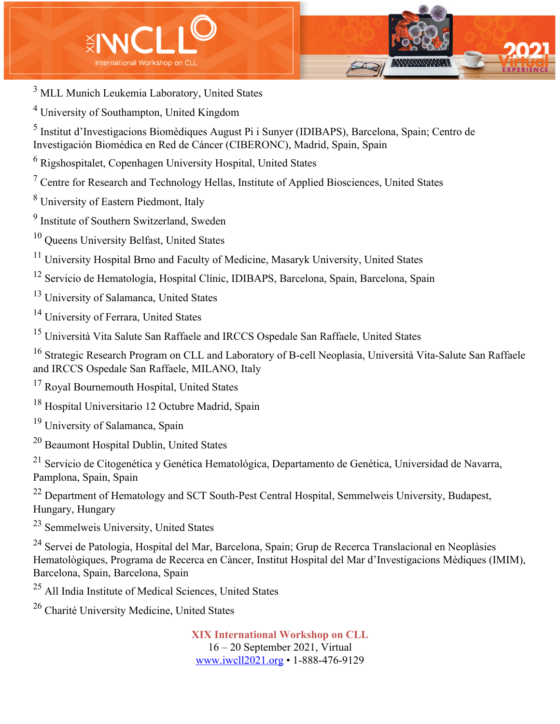



- <sup>3</sup> MLL Munich Leukemia Laboratory, United States
- <sup>4</sup> University of Southampton, United Kingdom

<sup>5</sup> Institut d'Investigacions Biomèdiques August Pi i Sunyer (IDIBAPS), Barcelona, Spain; Centro de Investigación Biomédica en Red de Cáncer (CIBERONC), Madrid, Spain, Spain

<sup>6</sup> Rigshospitalet, Copenhagen University Hospital, United States

- $<sup>7</sup>$  Centre for Research and Technology Hellas, Institute of Applied Biosciences, United States</sup>
- <sup>8</sup> University of Eastern Piedmont, Italy

<sup>9</sup> Institute of Southern Switzerland, Sweden

<sup>10</sup> Queens University Belfast, United States

<sup>11</sup> University Hospital Brno and Faculty of Medicine, Masaryk University, United States

- <sup>12</sup> Servicio de Hematología, Hospital Clínic, IDIBAPS, Barcelona, Spain, Barcelona, Spain
- <sup>13</sup> University of Salamanca, United States
- <sup>14</sup> University of Ferrara, United States

<sup>15</sup> Università Vita Salute San Raffaele and IRCCS Ospedale San Raffaele, United States

<sup>16</sup> Strategic Research Program on CLL and Laboratory of B-cell Neoplasia, Università Vita-Salute San Raffaele and IRCCS Ospedale San Raffaele, MILANO, Italy

- <sup>17</sup> Royal Bournemouth Hospital, United States
- <sup>18</sup> Hospital Universitario 12 Octubre Madrid, Spain
- <sup>19</sup> University of Salamanca, Spain
- <sup>20</sup> Beaumont Hospital Dublin, United States

<sup>21</sup> Servicio de Citogenética y Genética Hematológica, Departamento de Genética, Universidad de Navarra, Pamplona, Spain, Spain

<sup>22</sup> Department of Hematology and SCT South-Pest Central Hospital, Semmelweis University, Budapest, Hungary, Hungary

<sup>23</sup> Semmelweis University, United States

<sup>24</sup> Servei de Patologia, Hospital del Mar, Barcelona, Spain; Grup de Recerca Translacional en Neoplàsies Hematològiques, Programa de Recerca en Càncer, Institut Hospital del Mar d'Investigacions Mèdiques (IMIM), Barcelona, Spain, Barcelona, Spain

<sup>25</sup> All India Institute of Medical Sciences, United States

<sup>26</sup> Charité University Medicine, United States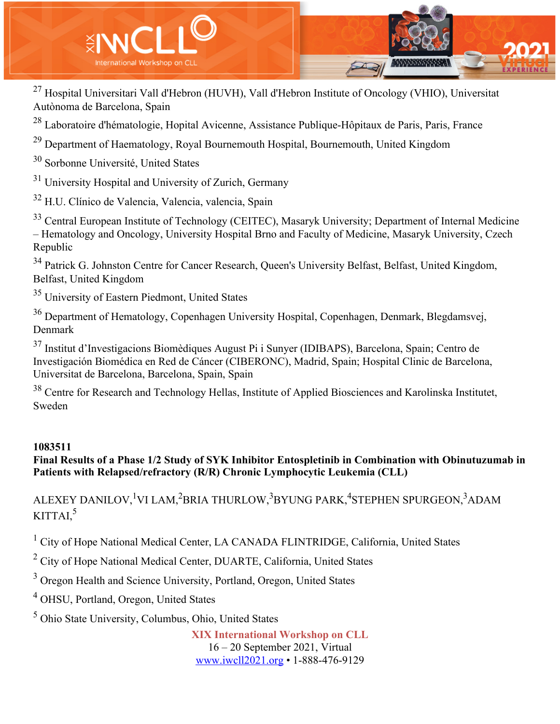

<sup>27</sup> Hospital Universitari Vall d'Hebron (HUVH), Vall d'Hebron Institute of Oncology (VHIO), Universitat Autònoma de Barcelona, Spain

<sup>28</sup> Laboratoire d'hématologie, Hopital Avicenne, Assistance Publique-Hôpitaux de Paris, Paris, France

 $29$  Department of Haematology, Royal Bournemouth Hospital, Bournemouth, United Kingdom

<sup>30</sup> Sorbonne Université, United States

<sup>31</sup> University Hospital and University of Zurich, Germany

<sup>32</sup> H.U. Clínico de Valencia, Valencia, valencia, Spain

<sup>33</sup> Central European Institute of Technology (CEITEC), Masaryk University; Department of Internal Medicine – Hematology and Oncology, University Hospital Brno and Faculty of Medicine, Masaryk University, Czech Republic

<sup>34</sup> Patrick G. Johnston Centre for Cancer Research, Queen's University Belfast, Belfast, United Kingdom, Belfast, United Kingdom

<sup>35</sup> University of Eastern Piedmont, United States

<sup>36</sup> Department of Hematology, Copenhagen University Hospital, Copenhagen, Denmark, Blegdamsvej, Denmark

<sup>37</sup> Institut d'Investigacions Biomèdiques August Pi i Sunyer (IDIBAPS), Barcelona, Spain; Centro de Investigación Biomédica en Red de Cáncer (CIBERONC), Madrid, Spain; Hospital Clinic de Barcelona, Universitat de Barcelona, Barcelona, Spain, Spain

<sup>38</sup> Centre for Research and Technology Hellas, Institute of Applied Biosciences and Karolinska Institutet, Sweden

#### **1083511**

**Final Results of a Phase 1/2 Study of SYK Inhibitor Entospletinib in Combination with Obinutuzumab in Patients with Relapsed/refractory (R/R) Chronic Lymphocytic Leukemia (CLL)**

ALEXEY DANILOV, <sup>1</sup>VI LAM, <sup>2</sup>BRIA THURLOW, <sup>3</sup>BYUNG PARK, <sup>4</sup>STEPHEN SPURGEON, <sup>3</sup>ADAM  $KITTAI.<sup>5</sup>$ 

<sup>1</sup> City of Hope National Medical Center, LA CANADA FLINTRIDGE, California, United States

<sup>2</sup> City of Hope National Medical Center, DUARTE, California, United States

<sup>3</sup> Oregon Health and Science University, Portland, Oregon, United States

<sup>4</sup> OHSU, Portland, Oregon, United States

<sup>5</sup> Ohio State University, Columbus, Ohio, United States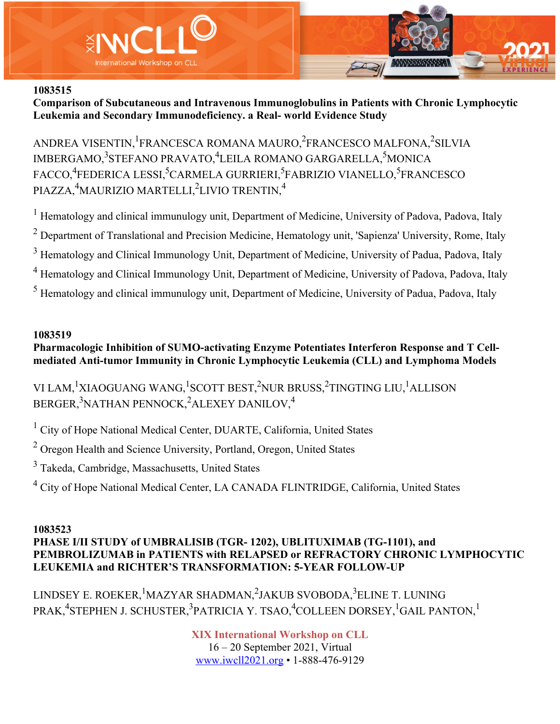



**Comparison of Subcutaneous and Intravenous Immunoglobulins in Patients with Chronic Lymphocytic Leukemia and Secondary Immunodeficiency. a Real- world Evidence Study**

ANDREA VISENTIN, <sup>1</sup>FRANCESCA ROMANA MAURO, <sup>2</sup>FRANCESCO MALFONA, <sup>2</sup>SILVIA IMBERGAMO,<sup>3</sup>STEFANO PRAVATO,<sup>4</sup>LEILA ROMANO GARGARELLA,<sup>5</sup>MONICA FACCO,<sup>4</sup>FEDERICA LESSI,<sup>5</sup>CARMELA GURRIERI,<sup>5</sup>FABRIZIO VIANELLO,<sup>5</sup>FRANCESCO PIAZZA,<sup>4</sup>MAURIZIO MARTELLI,<sup>2</sup>LIVIO TRENTIN,<sup>4</sup>

<sup>1</sup> Hematology and clinical immunulogy unit, Department of Medicine, University of Padova, Padova, Italy <sup>2</sup> Department of Translational and Precision Medicine, Hematology unit, 'Sapienza' University, Rome, Italy <sup>3</sup> Hematology and Clinical Immunology Unit, Department of Medicine, University of Padua, Padova, Italy <sup>4</sup> Hematology and Clinical Immunology Unit, Department of Medicine, University of Padova, Padova, Italy <sup>5</sup> Hematology and clinical immunulogy unit, Department of Medicine, University of Padua, Padova, Italy

#### **1083519**

## **Pharmacologic Inhibition of SUMO-activating Enzyme Potentiates Interferon Response and T Cellmediated Anti-tumor Immunity in Chronic Lymphocytic Leukemia (CLL) and Lymphoma Models**

VI LAM,<sup>1</sup>XIAOGUANG WANG,<sup>1</sup>SCOTT BEST,<sup>2</sup>NUR BRUSS,<sup>2</sup>TINGTING LIU,<sup>1</sup>ALLISON BERGER, $^3$ NATHAN PENNOCK, $^2$ ALEXEY DANILOV, $^4$ 

<sup>1</sup> City of Hope National Medical Center, DUARTE, California, United States

<sup>2</sup> Oregon Health and Science University, Portland, Oregon, United States

<sup>3</sup> Takeda, Cambridge, Massachusetts, United States

<sup>4</sup> City of Hope National Medical Center, LA CANADA FLINTRIDGE, California, United States

#### **1083523 PHASE I/II STUDY of UMBRALISIB (TGR- 1202), UBLITUXIMAB (TG-1101), and PEMBROLIZUMAB in PATIENTS with RELAPSED or REFRACTORY CHRONIC LYMPHOCYTIC LEUKEMIA and RICHTER'S TRANSFORMATION: 5-YEAR FOLLOW-UP**

LINDSEY E. ROEKER, <sup>1</sup>MAZYAR SHADMAN, <sup>2</sup>JAKUB SVOBODA, <sup>3</sup>ELINE T. LUNING PRAK,<sup>4</sup>STEPHEN J. SCHUSTER,<sup>3</sup>PATRICIA Y. TSAO,<sup>4</sup>COLLEEN DORSEY,<sup>1</sup>GAIL PANTON,<sup>1</sup>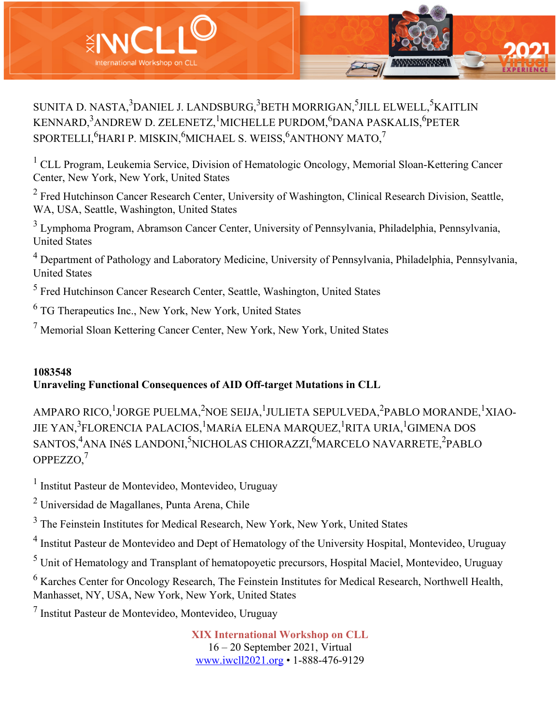

SUNITA D. NASTA, $^3$ DANIEL J. LANDSBURG, $^3$ BETH MORRIGAN, $^5$ JILL ELWELL, $^5$ KAITLIN KENNARD,<sup>3</sup>ANDREW D. ZELENETZ,<sup>1</sup>MICHELLE PURDOM,<sup>6</sup>DANA PASKALIS,<sup>6</sup>PETER  ${\rm SPORTELLI,^6}$ HARI P. MISKIN, $^{6}$ MICHAEL S. WEISS, $^{6}$ ANTHONY MATO, $^{7}$ 

<sup>1</sup> CLL Program, Leukemia Service, Division of Hematologic Oncology, Memorial Sloan-Kettering Cancer Center, New York, New York, United States

<sup>2</sup> Fred Hutchinson Cancer Research Center, University of Washington, Clinical Research Division, Seattle, WA, USA, Seattle, Washington, United States

<sup>3</sup> Lymphoma Program, Abramson Cancer Center, University of Pennsylvania, Philadelphia, Pennsylvania, United States

<sup>4</sup> Department of Pathology and Laboratory Medicine, University of Pennsylvania, Philadelphia, Pennsylvania, United States

<sup>5</sup> Fred Hutchinson Cancer Research Center, Seattle, Washington, United States

<sup>6</sup> TG Therapeutics Inc., New York, New York, United States

<sup>7</sup> Memorial Sloan Kettering Cancer Center, New York, New York, United States

# **1083548 Unraveling Functional Consequences of AID Off-target Mutations in CLL**

AMPARO RICO,<sup>1</sup>JORGE PUELMA,<sup>2</sup>NOE SEIJA,<sup>1</sup>JULIETA SEPULVEDA,<sup>2</sup>PABLO MORANDE,<sup>1</sup>XIAO-JIE YAN,<sup>3</sup>FLORENCIA PALACIOS, <sup>1</sup>MARíA ELENA MARQUEZ, <sup>1</sup>RITA URIA, <sup>1</sup>GIMENA DOS SANTOS,<sup>4</sup>ANA INéS LANDONI,<sup>5</sup>NICHOLAS CHIORAZZI,<sup>6</sup>MARCELO NAVARRETE,<sup>2</sup>PABLO OPPEZZO,7

<sup>1</sup> Institut Pasteur de Montevideo, Montevideo, Uruguay

<sup>2</sup> Universidad de Magallanes, Punta Arena, Chile

<sup>3</sup> The Feinstein Institutes for Medical Research, New York, New York, United States

<sup>4</sup> Institut Pasteur de Montevideo and Dept of Hematology of the University Hospital, Montevideo, Uruguay

<sup>5</sup> Unit of Hematology and Transplant of hematopoyetic precursors, Hospital Maciel, Montevideo, Uruguay

<sup>6</sup> Karches Center for Oncology Research, The Feinstein Institutes for Medical Research, Northwell Health, Manhasset, NY, USA, New York, New York, United States

<sup>7</sup> Institut Pasteur de Montevideo, Montevideo, Uruguay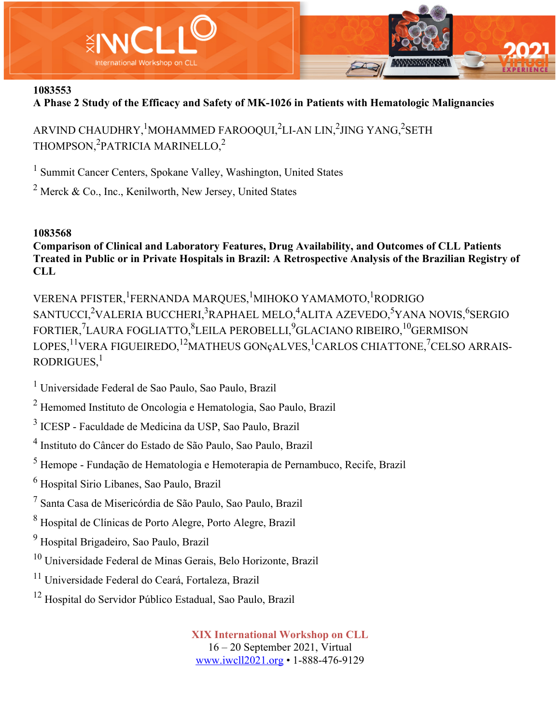

**A Phase 2 Study of the Efficacy and Safety of MK-1026 in Patients with Hematologic Malignancies**

ARVIND CHAUDHRY, $^{1}$ MOHAMMED FAROOQUI, $^{2}$ LI-AN LIN, $^{2}$ JING YANG, $^{2}$ SETH THOMPSON, $^{2}$ PATRICIA MARINELLO, $^{2}$ 

<sup>1</sup> Summit Cancer Centers, Spokane Valley, Washington, United States

<sup>2</sup> Merck & Co., Inc., Kenilworth, New Jersey, United States

#### **1083568**

**Comparison of Clinical and Laboratory Features, Drug Availability, and Outcomes of CLL Patients Treated in Public or in Private Hospitals in Brazil: A Retrospective Analysis of the Brazilian Registry of CLL**

VERENA PFISTER, <sup>1</sup>FERNANDA MARQUES, <sup>1</sup>MIHOKO YAMAMOTO, <sup>1</sup>RODRIGO SANTUCCI, $^{2}$ VALERIA BUCCHERI, $^{3}$ RAPHAEL MELO, $^{4}$ ALITA AZEVEDO, $^{5}$ YANA NOVIS, $^{6}$ SERGIO FORTIER,<sup>7</sup>LAURA FOGLIATTO,<sup>8</sup>LEILA PEROBELLI,<sup>9</sup>GLACIANO RIBEIRO,<sup>10</sup>GERMISON LOPES,<sup>11</sup>VERA FIGUEIREDO,<sup>12</sup>MATHEUS GONçALVES,<sup>1</sup>CARLOS CHIATTONE,<sup>7</sup>CELSO ARRAIS-RODRIGUES. $<sup>1</sup>$ </sup>

<sup>1</sup> Universidade Federal de Sao Paulo, Sao Paulo, Brazil

<sup>2</sup> Hemomed Instituto de Oncologia e Hematologia, Sao Paulo, Brazil

<sup>3</sup> ICESP - Faculdade de Medicina da USP, Sao Paulo, Brazil

<sup>4</sup> Instituto do Câncer do Estado de São Paulo, Sao Paulo, Brazil

<sup>5</sup> Hemope - Fundação de Hematologia e Hemoterapia de Pernambuco, Recife, Brazil

<sup>6</sup> Hospital Sirio Libanes, Sao Paulo, Brazil

<sup>7</sup> Santa Casa de Misericórdia de São Paulo, Sao Paulo, Brazil

<sup>8</sup> Hospital de Clínicas de Porto Alegre, Porto Alegre, Brazil

<sup>9</sup> Hospital Brigadeiro, Sao Paulo, Brazil

<sup>10</sup> Universidade Federal de Minas Gerais, Belo Horizonte, Brazil

<sup>11</sup> Universidade Federal do Ceará, Fortaleza, Brazil

<sup>12</sup> Hospital do Servidor Público Estadual, Sao Paulo, Brazil

**XIX International Workshop on CLL** 16 – 20 September 2021, Virtual

www.iwcll2021.org • 1-888-476-9129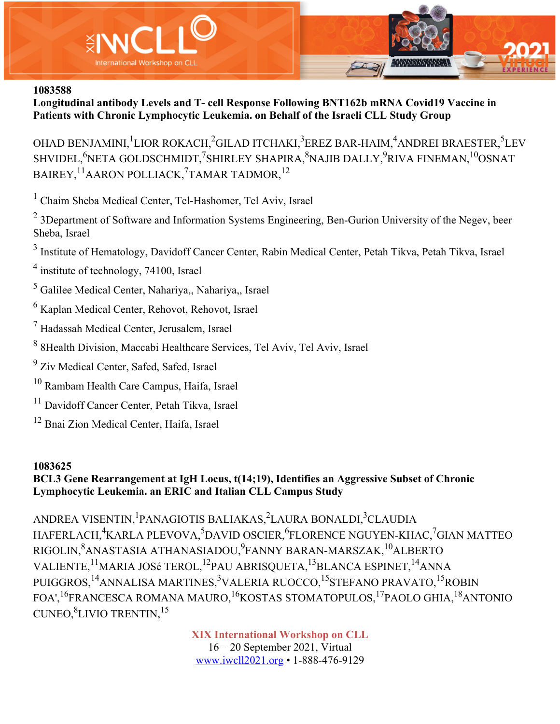



**Longitudinal antibody Levels and T- cell Response Following BNT162b mRNA Covid19 Vaccine in Patients with Chronic Lymphocytic Leukemia. on Behalf of the Israeli CLL Study Group**

OHAD BENJAMINI, <sup>1</sup>LIOR ROKACH, <sup>2</sup>GILAD ITCHAKI, <sup>3</sup>EREZ BAR-HAIM, <sup>4</sup>ANDREI BRAESTER, <sup>5</sup>LEV SHVIDEL, $\rm^{6}$ NETA GOLDSCHMIDT, $\rm ^{7}$ SHIRLEY SHAPIRA, $\rm ^{8}$ NAJIB DALLY, $\rm ^{9}$ RIVA FINEMAN, $\rm ^{10}$ OSNAT BAIREY, <sup>11</sup>AARON POLLIACK, <sup>7</sup>TAMAR TADMOR, <sup>12</sup>

<sup>1</sup> Chaim Sheba Medical Center, Tel-Hashomer, Tel Aviv, Israel

<sup>2</sup> 3Department of Software and Information Systems Engineering, Ben-Gurion University of the Negev, beer Sheba, Israel

<sup>3</sup> Institute of Hematology, Davidoff Cancer Center, Rabin Medical Center, Petah Tikva, Petah Tikva, Israel

<sup>4</sup> institute of technology, 74100, Israel

<sup>5</sup> Galilee Medical Center, Nahariya,, Nahariya,, Israel

<sup>6</sup> Kaplan Medical Center, Rehovot, Rehovot, Israel

<sup>7</sup> Hadassah Medical Center, Jerusalem, Israel

<sup>8</sup> 8Health Division, Maccabi Healthcare Services, Tel Aviv, Tel Aviv, Israel

<sup>9</sup> Ziv Medical Center, Safed, Safed, Israel

<sup>10</sup> Rambam Health Care Campus, Haifa, Israel

<sup>11</sup> Davidoff Cancer Center, Petah Tikva, Israel

<sup>12</sup> Bnai Zion Medical Center, Haifa, Israel

#### **1083625**

#### **BCL3 Gene Rearrangement at IgH Locus, t(14;19), Identifies an Aggressive Subset of Chronic Lymphocytic Leukemia. an ERIC and Italian CLL Campus Study**

ANDREA VISENTIN, <sup>1</sup>PANAGIOTIS BALIAKAS, <sup>2</sup>LAURA BONALDI, <sup>3</sup>CLAUDIA HAFERLACH,<sup>4</sup>KARLA PLEVOVA,<sup>5</sup>DAVID OSCIER,<sup>6</sup>FLORENCE NGUYEN-KHAC,<sup>7</sup>GIAN MATTEO RIGOLIN, $^{8}$ ANASTASIA ATHANASIADOU, $^{9}$ FANNY BARAN-MARSZAK, $^{10}$ ALBERTO VALIENTE,<sup>11</sup>MARIA JOSé TEROL,<sup>12</sup>PAU ABRISQUETA,<sup>13</sup>BLANCA ESPINET,<sup>14</sup>ANNA PUIGGROS, <sup>14</sup>ANNALISA MARTINES, <sup>3</sup>VALERIA RUOCCO, <sup>15</sup>STEFANO PRAVATO, <sup>15</sup>ROBIN FOA',16FRANCESCA ROMANA MAURO,16KOSTAS STOMATOPULOS,17PAOLO GHIA,18ANTONIO CUNEO, <sup>8</sup>LIVIO TRENTIN, <sup>15</sup>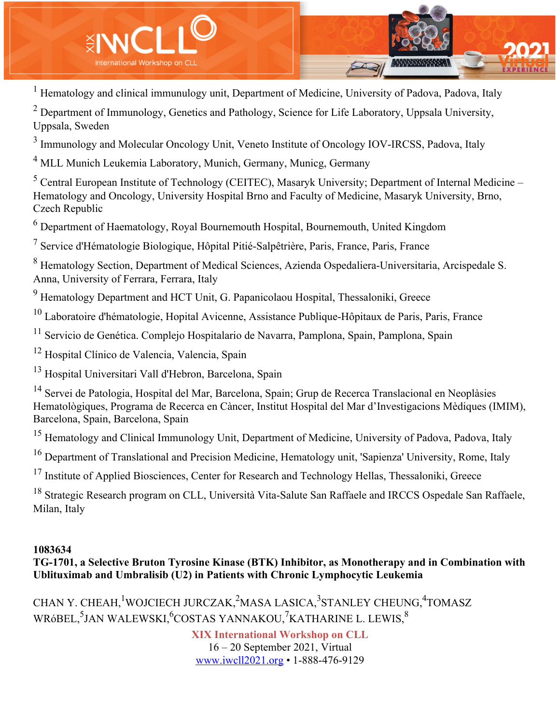

<sup>1</sup> Hematology and clinical immunulogy unit, Department of Medicine, University of Padova, Padova, Italy

<sup>2</sup> Department of Immunology, Genetics and Pathology, Science for Life Laboratory, Uppsala University, Uppsala, Sweden

<sup>3</sup> Immunology and Molecular Oncology Unit, Veneto Institute of Oncology IOV-IRCSS, Padova, Italy

<sup>4</sup> MLL Munich Leukemia Laboratory, Munich, Germany, Municg, Germany

<sup>5</sup> Central European Institute of Technology (CEITEC), Masaryk University; Department of Internal Medicine – Hematology and Oncology, University Hospital Brno and Faculty of Medicine, Masaryk University, Brno, Czech Republic

 $6$  Department of Haematology, Royal Bournemouth Hospital, Bournemouth, United Kingdom

 $<sup>7</sup>$  Service d'Hématologie Biologique, Hôpital Pitié-Salpêtrière, Paris, France, Paris, France</sup>

<sup>8</sup> Hematology Section, Department of Medical Sciences, Azienda Ospedaliera-Universitaria, Arcispedale S. Anna, University of Ferrara, Ferrara, Italy

<sup>9</sup> Hematology Department and HCT Unit, G. Papanicolaou Hospital, Thessaloniki, Greece

 $10$  Laboratoire d'hématologie, Hopital Avicenne, Assistance Publique-Hôpitaux de Paris, Paris, France

<sup>11</sup> Servicio de Genética. Complejo Hospitalario de Navarra, Pamplona, Spain, Pamplona, Spain

<sup>12</sup> Hospital Clínico de Valencia, Valencia, Spain

<sup>13</sup> Hospital Universitari Vall d'Hebron, Barcelona, Spain

<sup>14</sup> Servei de Patologia, Hospital del Mar, Barcelona, Spain; Grup de Recerca Translacional en Neoplàsies Hematològiques, Programa de Recerca en Càncer, Institut Hospital del Mar d'Investigacions Mèdiques (IMIM), Barcelona, Spain, Barcelona, Spain

<sup>15</sup> Hematology and Clinical Immunology Unit, Department of Medicine, University of Padova, Padova, Italy

<sup>16</sup> Department of Translational and Precision Medicine, Hematology unit, 'Sapienza' University, Rome, Italy

<sup>17</sup> Institute of Applied Biosciences, Center for Research and Technology Hellas, Thessaloniki, Greece

<sup>18</sup> Strategic Research program on CLL, Università Vita-Salute San Raffaele and IRCCS Ospedale San Raffaele, Milan, Italy

#### **1083634**

#### **TG-1701, a Selective Bruton Tyrosine Kinase (BTK) Inhibitor, as Monotherapy and in Combination with Ublituximab and Umbralisib (U2) in Patients with Chronic Lymphocytic Leukemia**

CHAN Y. CHEAH, WOJCIECH JURCZAK, <sup>2</sup>MASA LASICA, <sup>3</sup>STANLEY CHEUNG, <sup>4</sup>TOMASZ WRóBEL, $^5$ JAN WALEWSKI, $^6$ COSTAS YANNAKOU, $^7$ KATHARINE L. LEWIS, $^8$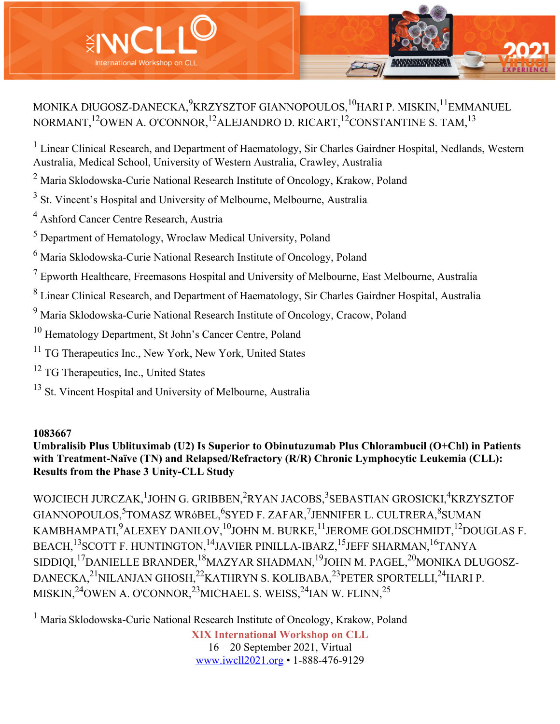

# MONIKA DłUGOSZ-DANECKA, $^9$ KRZYSZTOF GIANNOPOULOS, $^{10}$ HARI P. MISKIN, $^{11}$ EMMANUEL NORMANT,<sup>12</sup>OWEN A. O'CONNOR,<sup>12</sup>ALEJANDRO D. RICART,<sup>12</sup>CONSTANTINE S. TAM.<sup>13</sup>

<sup>1</sup> Linear Clinical Research, and Department of Haematology, Sir Charles Gairdner Hospital, Nedlands, Western Australia, Medical School, University of Western Australia, Crawley, Australia

<sup>2</sup> Maria Sklodowska-Curie National Research Institute of Oncology, Krakow, Poland

<sup>3</sup> St. Vincent's Hospital and University of Melbourne, Melbourne, Australia

<sup>4</sup> Ashford Cancer Centre Research, Austria

<sup>5</sup> Department of Hematology, Wroclaw Medical University, Poland

<sup>6</sup> Maria Sklodowska-Curie National Research Institute of Oncology, Poland

 $7$  Epworth Healthcare, Freemasons Hospital and University of Melbourne, East Melbourne, Australia

<sup>8</sup> Linear Clinical Research, and Department of Haematology, Sir Charles Gairdner Hospital, Australia

<sup>9</sup> Maria Sklodowska-Curie National Research Institute of Oncology, Cracow, Poland

<sup>10</sup> Hematology Department, St John's Cancer Centre, Poland

<sup>11</sup> TG Therapeutics Inc., New York, New York, United States

<sup>12</sup> TG Therapeutics, Inc., United States

<sup>13</sup> St. Vincent Hospital and University of Melbourne, Australia

#### **1083667**

**Umbralisib Plus Ublituximab (U2) Is Superior to Obinutuzumab Plus Chlorambucil (O+Chl) in Patients with Treatment-Naïve (TN) and Relapsed/Refractory (R/R) Chronic Lymphocytic Leukemia (CLL): Results from the Phase 3 Unity-CLL Study**

WOJCIECH JURCZAK, <sup>1</sup>JOHN G. GRIBBEN, <sup>2</sup>RYAN JACOBS, <sup>3</sup>SEBASTIAN GROSICKI, <sup>4</sup>KRZYSZTOF GIANNOPOULOS,<sup>5</sup>TOMASZ WRóBEL,<sup>6</sup>SYED F. ZAFAR,<sup>7</sup>JENNIFER L. CULTRERA,<sup>8</sup>SUMAN KAMBHAMPATI, $^{9}$ ALEXEY DANILOV, $^{10}$ JOHN M. BURKE, $^{11}$ JEROME GOLDSCHMIDT, $^{12}$ DOUGLAS F. BEACH,<sup>13</sup>SCOTT F. HUNTINGTON,<sup>14</sup>JAVIER PINILLA-IBARZ,<sup>15</sup>JEFF SHARMAN,<sup>16</sup>TANYA SIDDIQI,<sup>17</sup>DANIELLE BRANDER,<sup>18</sup>MAZYAR SHADMAN,<sup>19</sup>JOHN M. PAGEL,<sup>20</sup>MONIKA DLUGOSZ-DANECKA,<sup>21</sup>NILANJAN GHOSH,<sup>22</sup>KATHRYN S. KOLIBABA,<sup>23</sup>PETER SPORTELLI,<sup>24</sup>HARI P. MISKIN, $^{24}$ OWEN A. O'CONNOR, $^{23}$ MICHAEL S. WEISS, $^{24}$ IAN W. FLINN, $^{25}$ 

**XIX International Workshop on CLL** 16 – 20 September 2021, Virtual www.iwcll2021.org • 1-888-476-9129 <sup>1</sup> Maria Sklodowska-Curie National Research Institute of Oncology, Krakow, Poland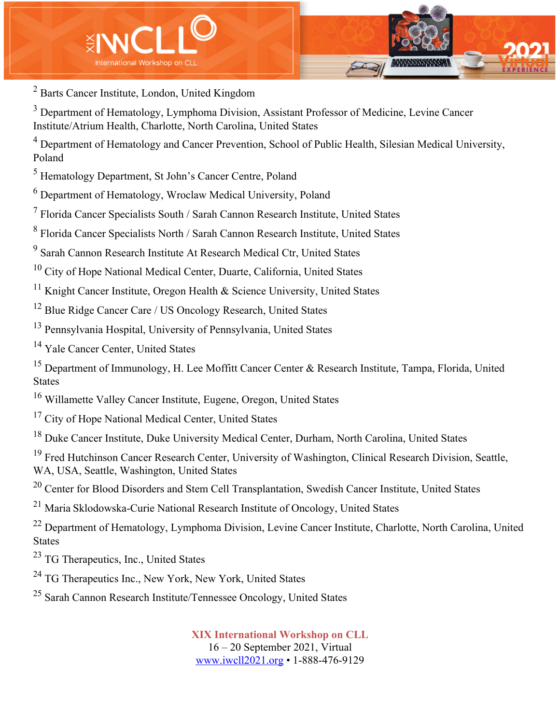

<sup>2</sup> Barts Cancer Institute, London, United Kingdom

<sup>3</sup> Department of Hematology, Lymphoma Division, Assistant Professor of Medicine, Levine Cancer Institute/Atrium Health, Charlotte, North Carolina, United States

<sup>4</sup> Department of Hematology and Cancer Prevention, School of Public Health, Silesian Medical University, Poland

<sup>5</sup> Hematology Department, St John's Cancer Centre, Poland

<sup>6</sup> Department of Hematology, Wroclaw Medical University, Poland

<sup>7</sup> Florida Cancer Specialists South / Sarah Cannon Research Institute, United States

<sup>8</sup> Florida Cancer Specialists North / Sarah Cannon Research Institute, United States

<sup>9</sup> Sarah Cannon Research Institute At Research Medical Ctr, United States

<sup>10</sup> City of Hope National Medical Center, Duarte, California, United States

<sup>11</sup> Knight Cancer Institute, Oregon Health & Science University, United States

<sup>12</sup> Blue Ridge Cancer Care / US Oncology Research, United States

<sup>13</sup> Pennsylvania Hospital, University of Pennsylvania, United States

<sup>14</sup> Yale Cancer Center, United States

<sup>15</sup> Department of Immunology, H. Lee Moffitt Cancer Center & Research Institute, Tampa, Florida, United States

<sup>16</sup> Willamette Valley Cancer Institute, Eugene, Oregon, United States

<sup>17</sup> City of Hope National Medical Center, United States

<sup>18</sup> Duke Cancer Institute, Duke University Medical Center, Durham, North Carolina, United States

<sup>19</sup> Fred Hutchinson Cancer Research Center, University of Washington, Clinical Research Division, Seattle, WA, USA, Seattle, Washington, United States

<sup>20</sup> Center for Blood Disorders and Stem Cell Transplantation, Swedish Cancer Institute, United States

<sup>21</sup> Maria Sklodowska-Curie National Research Institute of Oncology, United States

<sup>22</sup> Department of Hematology, Lymphoma Division, Levine Cancer Institute, Charlotte, North Carolina, United States

<sup>23</sup> TG Therapeutics, Inc., United States

<sup>24</sup> TG Therapeutics Inc., New York, New York, United States

<sup>25</sup> Sarah Cannon Research Institute/Tennessee Oncology, United States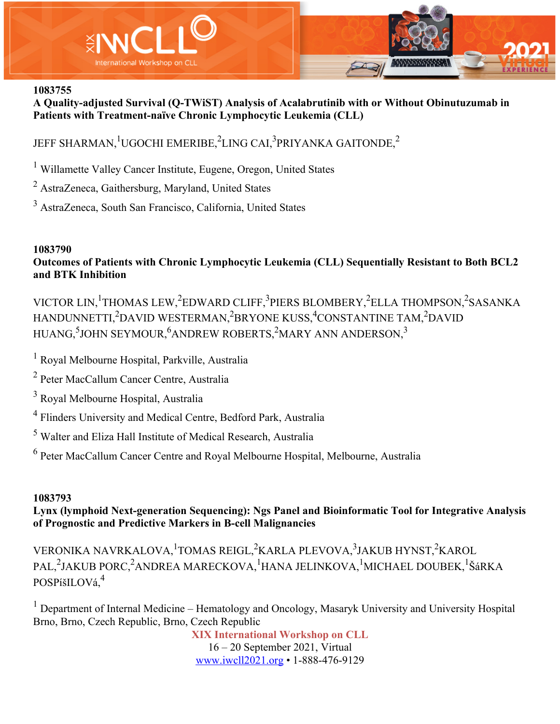

**A Quality-adjusted Survival (Q-TWiST) Analysis of Acalabrutinib with or Without Obinutuzumab in Patients with Treatment-naïve Chronic Lymphocytic Leukemia (CLL)**

# JEFF SHARMAN, $^1$ UGOCHI EMERIBE, $^2$ LING CAI, $^3$ PRIYANKA GAITONDE, $^2$

<sup>1</sup> Willamette Valley Cancer Institute, Eugene, Oregon, United States

<sup>2</sup> AstraZeneca, Gaithersburg, Maryland, United States

<sup>3</sup> AstraZeneca, South San Francisco, California, United States

#### **1083790**

**Outcomes of Patients with Chronic Lymphocytic Leukemia (CLL) Sequentially Resistant to Both BCL2 and BTK Inhibition**

VICTOR LIN, <sup>1</sup>THOMAS LEW, <sup>2</sup>EDWARD CLIFF, <sup>3</sup>PIERS BLOMBERY, <sup>2</sup>ELLA THOMPSON, <sup>2</sup>SASANKA HANDUNNETTI,<sup>2</sup>DAVID WESTERMAN,<sup>2</sup>BRYONE KUSS,<sup>4</sup>CONSTANTINE TAM,<sup>2</sup>DAVID HUANG,<sup>5</sup>JOHN SEYMOUR,<sup>6</sup>ANDREW ROBERTS,<sup>2</sup>MARY ANN ANDERSON,<sup>3</sup>

<sup>1</sup> Royal Melbourne Hospital, Parkville, Australia

<sup>2</sup> Peter MacCallum Cancer Centre, Australia

<sup>3</sup> Royal Melbourne Hospital, Australia

<sup>4</sup> Flinders University and Medical Centre, Bedford Park, Australia

<sup>5</sup> Walter and Eliza Hall Institute of Medical Research, Australia

<sup>6</sup> Peter MacCallum Cancer Centre and Royal Melbourne Hospital, Melbourne, Australia

#### **1083793**

#### **Lynx (lymphoid Next-generation Sequencing): Ngs Panel and Bioinformatic Tool for Integrative Analysis of Prognostic and Predictive Markers in B-cell Malignancies**

VERONIKA NAVRKALOVA, <sup>1</sup>TOMAS REIGL, <sup>2</sup>KARLA PLEVOVA, <sup>3</sup>JAKUB HYNST, <sup>2</sup>KAROL PAL,<sup>2</sup>JAKUB PORC,<sup>2</sup>ANDREA MARECKOVA,<sup>1</sup>HANA JELINKOVA,<sup>1</sup>MICHAEL DOUBEK,<sup>1</sup>ŠáRKA POSPíšILOVá,4

 $1$  Department of Internal Medicine – Hematology and Oncology, Masaryk University and University Hospital Brno, Brno, Czech Republic, Brno, Czech Republic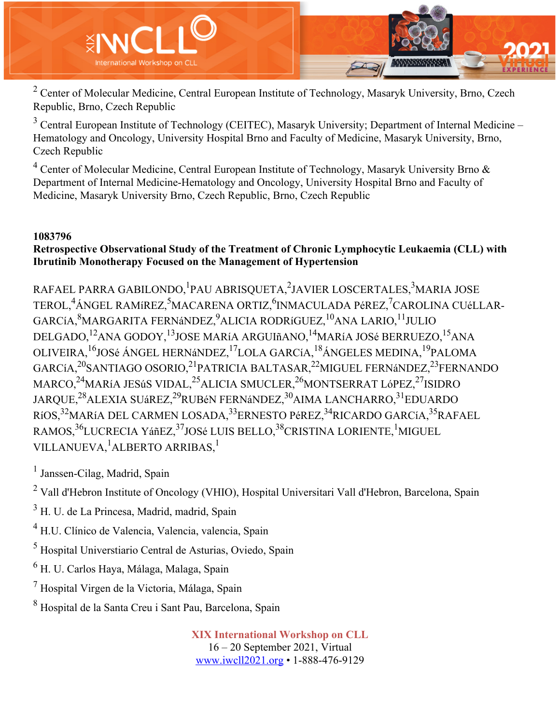

<sup>2</sup> Center of Molecular Medicine, Central European Institute of Technology, Masaryk University, Brno, Czech Republic, Brno, Czech Republic

<sup>3</sup> Central European Institute of Technology (CEITEC), Masaryk University; Department of Internal Medicine – Hematology and Oncology, University Hospital Brno and Faculty of Medicine, Masaryk University, Brno, Czech Republic

<sup>4</sup> Center of Molecular Medicine, Central European Institute of Technology, Masaryk University Brno & Department of Internal Medicine-Hematology and Oncology, University Hospital Brno and Faculty of Medicine, Masaryk University Brno, Czech Republic, Brno, Czech Republic

#### **1083796**

#### **Retrospective Observational Study of the Treatment of Chronic Lymphocytic Leukaemia (CLL) with Ibrutinib Monotherapy Focused on the Management of Hypertension**

RAFAEL PARRA GABILONDO, <sup>1</sup>PAU ABRISQUETA, <sup>2</sup>JAVIER LOSCERTALES, <sup>3</sup>MARIA JOSE TEROL,<sup>4</sup>ÁNGEL RAMíREZ,<sup>5</sup>MACARENA ORTIZ,<sup>6</sup>INMACULADA PéREZ,<sup>7</sup>CAROLINA CUéLLAR-GARCíA, $^8$ MARGARITA FERNáNDEZ, $^9$ ALICIA RODRíGUEZ, $^{10}$ ANA LARIO, $^{11}$ JULIO DELGADO,<sup>12</sup>ANA GODOY,<sup>13</sup>JOSE MARíA ARGUIñANO,<sup>14</sup>MARíA JOSé BERRUEZO,<sup>15</sup>ANA OLIVEIRA,16JOSé ÁNGEL HERNáNDEZ,17LOLA GARCíA,18ÁNGELES MEDINA,19PALOMA GARCíA,<sup>20</sup>SANTIAGO OSORIO,<sup>21</sup>PATRICIA BALTASAR,<sup>22</sup>MIGUEL FERNáNDEZ,<sup>23</sup>FERNANDO MARCO,<sup>24</sup>MARíA JESúS VIDAL,<sup>25</sup>ALICIA SMUCLER,<sup>26</sup>MONTSERRAT LóPEZ,<sup>27</sup>ISIDRO JARQUE,<sup>28</sup>ALEXIA SUáREZ,<sup>29</sup>RUBéN FERNáNDEZ,<sup>30</sup>AIMA LANCHARRO,<sup>31</sup>EDUARDO RíOS,<sup>32</sup>MARíA DEL CARMEN LOSADA,<sup>33</sup>ERNESTO PéREZ,<sup>34</sup>RICARDO GARCíA,<sup>35</sup>RAFAEL RAMOS,<sup>36</sup>LUCRECIA YáñEZ,<sup>37</sup>JOSé LUIS BELLO,<sup>38</sup>CRISTINA LORIENTE,<sup>1</sup>MIGUEL VILLANUEVA, <sup>1</sup>ALBERTO ARRIBAS, <sup>1</sup>

<sup>1</sup> Janssen-Cilag, Madrid, Spain

<sup>2</sup> Vall d'Hebron Institute of Oncology (VHIO), Hospital Universitari Vall d'Hebron, Barcelona, Spain

<sup>3</sup> H. U. de La Princesa, Madrid, madrid, Spain

<sup>4</sup> H.U. Clínico de Valencia, Valencia, valencia, Spain

<sup>5</sup> Hospital Universtiario Central de Asturias, Oviedo, Spain

<sup>6</sup> H. U. Carlos Haya, Málaga, Malaga, Spain

<sup>7</sup> Hospital Virgen de la Victoria, Málaga, Spain

<sup>8</sup> Hospital de la Santa Creu i Sant Pau, Barcelona, Spain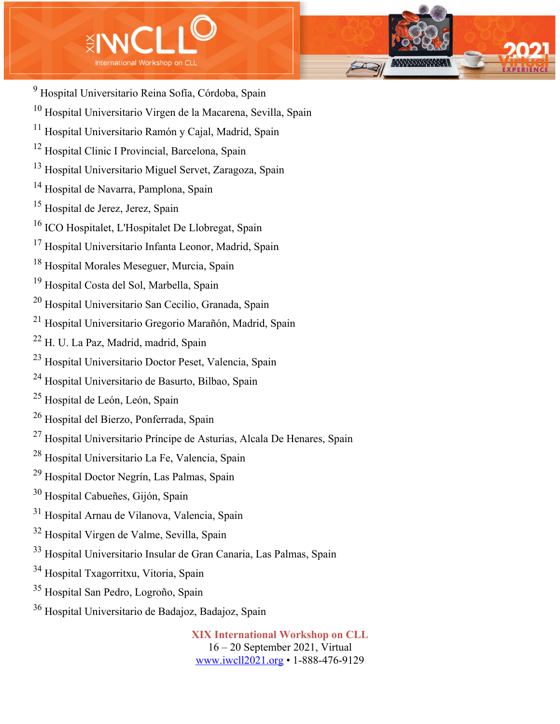



- Hospital Universitario Virgen de la Macarena, Sevilla, Spain
- Hospital Universitario Ramón y Cajal, Madrid, Spain
- <sup>12</sup> Hospital Clinic I Provincial, Barcelona, Spain
- Hospital Universitario Miguel Servet, Zaragoza, Spain
- Hospital de Navarra, Pamplona, Spain
- Hospital de Jerez, Jerez, Spain
- ICO Hospitalet, L'Hospitalet De Llobregat, Spain
- Hospital Universitario Infanta Leonor, Madrid, Spain
- Hospital Morales Meseguer, Murcia, Spain
- Hospital Costa del Sol, Marbella, Spain
- Hospital Universitario San Cecilio, Granada, Spain
- Hospital Universitario Gregorio Marañón, Madrid, Spain
- H. U. La Paz, Madrid, madrid, Spain
- Hospital Universitario Doctor Peset, Valencia, Spain
- Hospital Universitario de Basurto, Bilbao, Spain
- Hospital de León, León, Spain
- Hospital del Bierzo, Ponferrada, Spain
- Hospital Universitario Príncipe de Asturias, Alcala De Henares, Spain
- Hospital Universitario La Fe, Valencia, Spain
- Hospital Doctor Negrín, Las Palmas, Spain
- Hospital Cabueñes, Gijón, Spain
- Hospital Arnau de Vilanova, Valencia, Spain
- Hospital Virgen de Valme, Sevilla, Spain
- Hospital Universitario Insular de Gran Canaria, Las Palmas, Spain
- Hospital Txagorritxu, Vitoria, Spain
- Hospital San Pedro, Logroño, Spain
- Hospital Universitario de Badajoz, Badajoz, Spain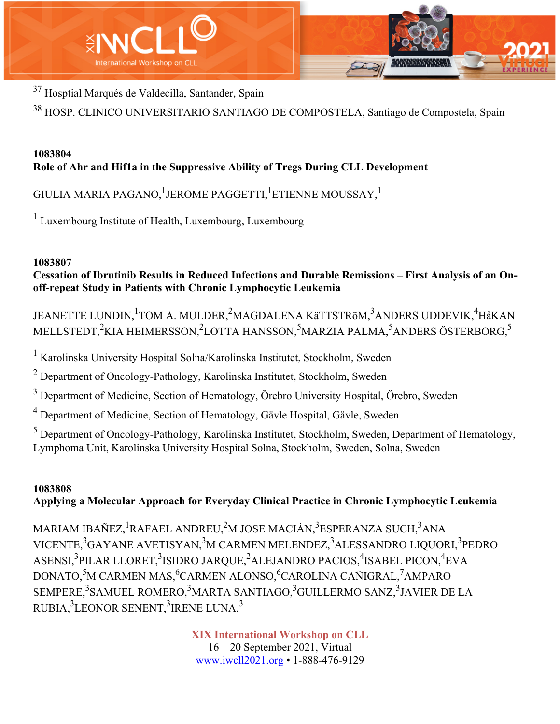



<sup>37</sup> Hosptial Marqués de Valdecilla, Santander, Spain

<sup>38</sup> HOSP. CLINICO UNIVERSITARIO SANTIAGO DE COMPOSTELA, Santiago de Compostela, Spain

## **1083804 Role of Ahr and Hif1a in the Suppressive Ability of Tregs During CLL Development**

GIULIA MARIA PAGANO, $^1$ JEROME PAGGETTI, $^1$ ETIENNE MOUSSAY, $^1$ 

<sup>1</sup> Luxembourg Institute of Health, Luxembourg, Luxembourg

# **1083807**

**Cessation of Ibrutinib Results in Reduced Infections and Durable Remissions – First Analysis of an Onoff-repeat Study in Patients with Chronic Lymphocytic Leukemia**

JEANETTE LUNDIN, <sup>1</sup>TOM A. MULDER, <sup>2</sup>MAGDALENA KäTTSTRöM, <sup>3</sup>ANDERS UDDEVIK, <sup>4</sup>HåKAN MELLSTEDT,<sup>2</sup>KIA HEIMERSSON,<sup>2</sup>LOTTA HANSSON,<sup>5</sup>MARZIA PALMA,<sup>5</sup>ANDERS ÖSTERBORG,<sup>5</sup>

<sup>1</sup> Karolinska University Hospital Solna/Karolinska Institutet, Stockholm, Sweden

 $2$  Department of Oncology-Pathology, Karolinska Institutet, Stockholm, Sweden

<sup>3</sup> Department of Medicine, Section of Hematology, Örebro University Hospital, Örebro, Sweden

<sup>4</sup> Department of Medicine, Section of Hematology, Gävle Hospital, Gävle, Sweden

<sup>5</sup> Department of Oncology-Pathology, Karolinska Institutet, Stockholm, Sweden, Department of Hematology, Lymphoma Unit, Karolinska University Hospital Solna, Stockholm, Sweden, Solna, Sweden

# **1083808 Applying a Molecular Approach for Everyday Clinical Practice in Chronic Lymphocytic Leukemia**

MARIAM IBAÑEZ, <sup>1</sup>RAFAEL ANDREU,<sup>2</sup>M JOSE MACIÁN,<sup>3</sup>ESPERANZA SUCH,<sup>3</sup>ANA VICENTE,<sup>3</sup>GAYANE AVETISYAN,<sup>3</sup>M CARMEN MELENDEZ,<sup>3</sup>ALESSANDRO LIQUORI,<sup>3</sup>PEDRO ASENSI,<sup>3</sup>PILAR LLORET,<sup>3</sup>ISIDRO JARQUE,<sup>2</sup>ALEJANDRO PACIOS,<sup>4</sup>ISABEL PICON,<sup>4</sup>EVA DONATO,<sup>5</sup>M CARMEN MAS,<sup>6</sup>CARMEN ALONSO,<sup>6</sup>CAROLINA CAÑIGRAL,<sup>7</sup>AMPARO SEMPERE,<sup>3</sup>SAMUEL ROMERO,<sup>3</sup>MARTA SANTIAGO,<sup>3</sup>GUILLERMO SANZ,<sup>3</sup>JAVIER DE LA RUBIA, $^3$ LEONOR SENENT, $^3$ IRENE LUNA, $^3$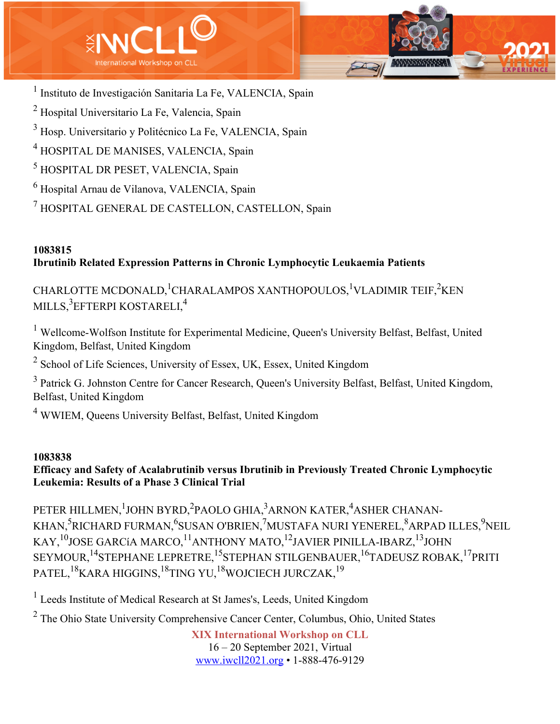

 Instituto de Investigación Sanitaria La Fe, VALENCIA, Spain Hospital Universitario La Fe, Valencia, Spain Hosp. Universitario y Politécnico La Fe, VALENCIA, Spain HOSPITAL DE MANISES, VALENCIA, Spain HOSPITAL DR PESET, VALENCIA, Spain Hospital Arnau de Vilanova, VALENCIA, Spain HOSPITAL GENERAL DE CASTELLON, CASTELLON, Spain

# **1083815 Ibrutinib Related Expression Patterns in Chronic Lymphocytic Leukaemia Patients**

CHARLOTTE MCDONALD, <sup>1</sup>CHARALAMPOS XANTHOPOULOS, <sup>1</sup>VLADIMIR TEIF, <sup>2</sup>KEN MILLS, $^3$ EFTERPI KOSTARELI, $^4$ 

<sup>1</sup> Wellcome-Wolfson Institute for Experimental Medicine, Queen's University Belfast, Belfast, United Kingdom, Belfast, United Kingdom

 $2$  School of Life Sciences, University of Essex, UK, Essex, United Kingdom

<sup>3</sup> Patrick G. Johnston Centre for Cancer Research, Queen's University Belfast, Belfast, United Kingdom, Belfast, United Kingdom

<sup>4</sup> WWIEM, Queens University Belfast, Belfast, United Kingdom

#### **1083838**

# **Efficacy and Safety of Acalabrutinib versus Ibrutinib in Previously Treated Chronic Lymphocytic Leukemia: Results of a Phase 3 Clinical Trial**

PETER HILLMEN,  $^1$ JOHN BYRD, $^2$ PAOLO GHIA, $^3$ ARNON KATER, $^4$ ASHER CHANAN-KHAN,<sup>5</sup>RICHARD FURMAN,<sup>6</sup>SUSAN O'BRIEN,<sup>7</sup>MUSTAFA NURI YENEREL,<sup>8</sup>ARPAD ILLES,<sup>9</sup>NEIL KAY,  $^{10}$  JOSE GARCíA MARCO,  $^{11}$  ANTHONY MATO,  $^{12}$  JAVIER PINILLA-IBARZ,  $^{13}$  JOHN SEYMOUR,<sup>14</sup>STEPHANE LEPRETRE,<sup>15</sup>STEPHAN STILGENBAUER,<sup>16</sup>TADEUSZ ROBAK,<sup>17</sup>PRITI PATEL,<sup>18</sup>KARA HIGGINS,<sup>18</sup>TING YU,<sup>18</sup>WOJCIECH JURCZAK,<sup>19</sup>

<sup>1</sup> Leeds Institute of Medical Research at St James's, Leeds, United Kingdom

<sup>2</sup> The Ohio State University Comprehensive Cancer Center, Columbus, Ohio, United States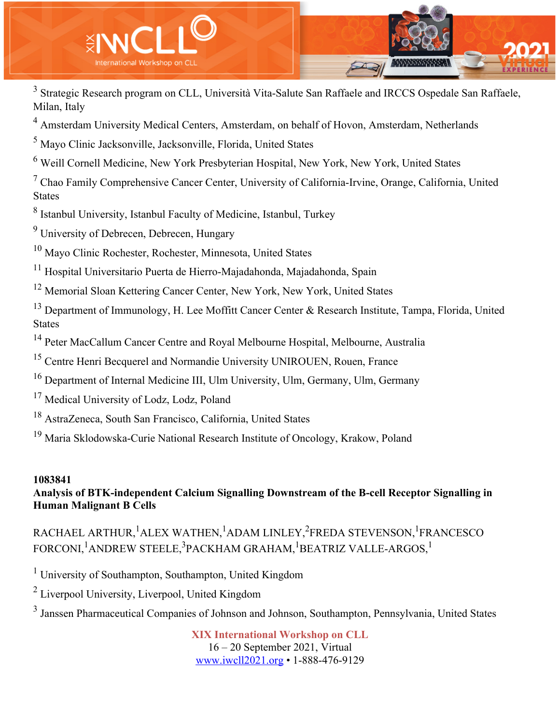

<sup>3</sup> Strategic Research program on CLL, Università Vita-Salute San Raffaele and IRCCS Ospedale San Raffaele, Milan, Italy

<sup>4</sup> Amsterdam University Medical Centers, Amsterdam, on behalf of Hovon, Amsterdam, Netherlands

<sup>5</sup> Mayo Clinic Jacksonville, Jacksonville, Florida, United States

<sup>6</sup> Weill Cornell Medicine, New York Presbyterian Hospital, New York, New York, United States

 $<sup>7</sup>$  Chao Family Comprehensive Cancer Center, University of California-Irvine, Orange, California, United</sup> States

<sup>8</sup> Istanbul University, Istanbul Faculty of Medicine, Istanbul, Turkey

<sup>9</sup> University of Debrecen, Debrecen, Hungary

<sup>10</sup> Mayo Clinic Rochester, Rochester, Minnesota, United States

<sup>11</sup> Hospital Universitario Puerta de Hierro-Majadahonda, Majadahonda, Spain

<sup>12</sup> Memorial Sloan Kettering Cancer Center, New York, New York, United States

<sup>13</sup> Department of Immunology, H. Lee Moffitt Cancer Center & Research Institute, Tampa, Florida, United **States** 

<sup>14</sup> Peter MacCallum Cancer Centre and Royal Melbourne Hospital, Melbourne, Australia

<sup>15</sup> Centre Henri Becquerel and Normandie University UNIROUEN, Rouen, France

<sup>16</sup> Department of Internal Medicine III, Ulm University, Ulm, Germany, Ulm, Germany

- <sup>17</sup> Medical University of Lodz, Lodz, Poland
- <sup>18</sup> AstraZeneca, South San Francisco, California, United States

<sup>19</sup> Maria Sklodowska-Curie National Research Institute of Oncology, Krakow, Poland

#### **1083841 Analysis of BTK-independent Calcium Signalling Downstream of the B-cell Receptor Signalling in Human Malignant B Cells**

RACHAEL ARTHUR, <sup>1</sup>ALEX WATHEN, <sup>1</sup>ADAM LINLEY, <sup>2</sup>FREDA STEVENSON, <sup>1</sup>FRANCESCO FORCONI, <sup>1</sup>ANDREW STEELE, <sup>3</sup>PACKHAM GRAHAM, <sup>1</sup>BEATRIZ VALLE-ARGOS, <sup>1</sup>

<sup>1</sup> University of Southampton, Southampton, United Kingdom

<sup>2</sup> Liverpool University, Liverpool, United Kingdom

<sup>3</sup> Janssen Pharmaceutical Companies of Johnson and Johnson, Southampton, Pennsylvania, United States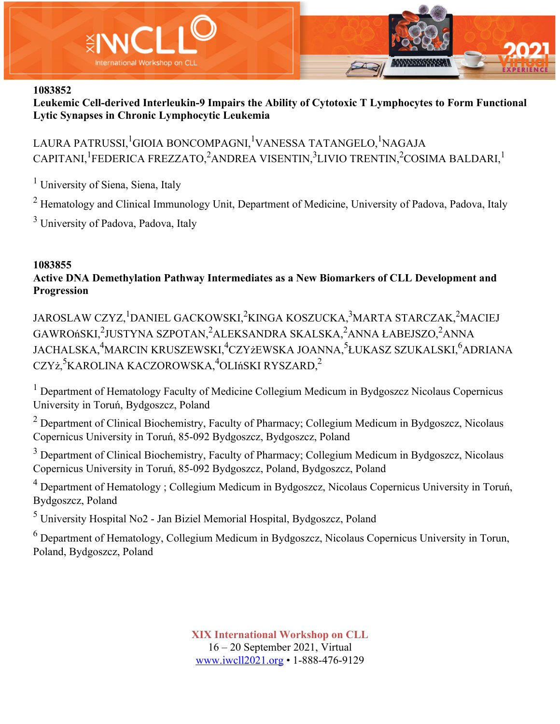

**Leukemic Cell-derived Interleukin-9 Impairs the Ability of Cytotoxic T Lymphocytes to Form Functional Lytic Synapses in Chronic Lymphocytic Leukemia**

LAURA PATRUSSI, <sup>1</sup>GIOIA BONCOMPAGNI, <sup>1</sup>VANESSA TATANGELO, <sup>1</sup>NAGAJA CAPITANI, <sup>1</sup>FEDERICA FREZZATO,<sup>2</sup>ANDREA VISENTIN,<sup>3</sup>LIVIO TRENTIN,<sup>2</sup>COSIMA BALDARI,<sup>1</sup>

<sup>1</sup> University of Siena, Siena, Italy

 $2$  Hematology and Clinical Immunology Unit, Department of Medicine, University of Padova, Padova, Italy

<sup>3</sup> University of Padova, Padova, Italy

#### **1083855**

**Active DNA Demethylation Pathway Intermediates as a New Biomarkers of CLL Development and Progression**

JAROSLAW CZYZ, <sup>1</sup>DANIEL GACKOWSKI, <sup>2</sup>KINGA KOSZUCKA, <sup>3</sup>MARTA STARCZAK, <sup>2</sup>MACIEJ GAWROńSKI,<sup>2</sup>JUSTYNA SZPOTAN,<sup>2</sup>ALEKSANDRA SKALSKA,<sup>2</sup>ANNA ŁABEJSZO,<sup>2</sup>ANNA JACHALSKA,<sup>4</sup>MARCIN KRUSZEWSKI,<sup>4</sup>CZYżEWSKA JOANNA,<sup>5</sup>ŁUKASZ SZUKALSKI,<sup>6</sup>ADRIANA CZYż,<sup>5</sup>KAROLINA KACZOROWSKA,<sup>4</sup>OLIńSKI RYSZARD,<sup>2</sup>

<sup>1</sup> Department of Hematology Faculty of Medicine Collegium Medicum in Bydgoszcz Nicolaus Copernicus University in Toruń, Bydgoszcz, Poland

 $2$  Department of Clinical Biochemistry, Faculty of Pharmacy; Collegium Medicum in Bydgoszcz, Nicolaus Copernicus University in Toruń, 85-092 Bydgoszcz, Bydgoszcz, Poland

<sup>3</sup> Department of Clinical Biochemistry, Faculty of Pharmacy; Collegium Medicum in Bydgoszcz, Nicolaus Copernicus University in Toruń, 85-092 Bydgoszcz, Poland, Bydgoszcz, Poland

<sup>4</sup> Department of Hematology ; Collegium Medicum in Bydgoszcz, Nicolaus Copernicus University in Toruń, Bydgoszcz, Poland

<sup>5</sup> University Hospital No2 - Jan Biziel Memorial Hospital, Bydgoszcz, Poland

<sup>6</sup> Department of Hematology, Collegium Medicum in Bydgoszcz, Nicolaus Copernicus University in Torun, Poland, Bydgoszcz, Poland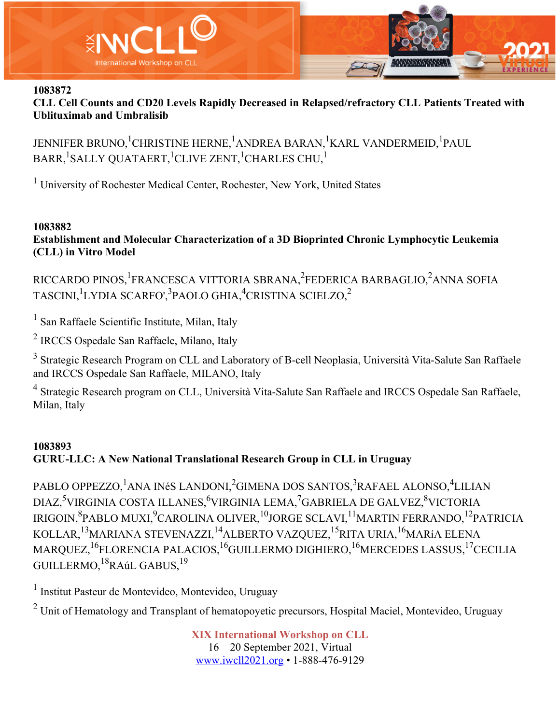

**CLL Cell Counts and CD20 Levels Rapidly Decreased in Relapsed/refractory CLL Patients Treated with Ublituximab and Umbralisib**

JENNIFER BRUNO, <sup>1</sup>CHRISTINE HERNE, <sup>1</sup>ANDREA BARAN, <sup>1</sup>KARL VANDERMEID, <sup>1</sup>PAUL  $\texttt{BARR}\textsuperscript{1}\textsubscript{1}\textsubscript{1}\textsubscript{2}\textsubscript{2}\textsubscript{3}\textsubscript{3}\textsubscript{4}\textsubscript{5}\textsubscript{5}\textsubscript{6}\textsubscript{7}\textsubscript{1}\textsubscript{1}\textsubscript{1}\textsubscript{2}\textsubscript{3}\textsubscript{5}\textsubscript{6}\textsubscript{7}\textsubscript{7}\textsubscript{7}\textsubscript{8}\textsubscript{7}\textsubscript{8}\textsubscript{7}\textsubscript{7}\textsubscript{8}\textsubscript{7}\textsubscript{8}\textsubscript{7}\textsubscript{7}\textsubscript{8}\textsubscript{7}\textsubscript{7}\textsub$ 

<sup>1</sup> University of Rochester Medical Center, Rochester, New York, United States

#### **1083882**

**Establishment and Molecular Characterization of a 3D Bioprinted Chronic Lymphocytic Leukemia (CLL) in Vitro Model**

RICCARDO PINOS, <sup>1</sup>FRANCESCA VITTORIA SBRANA, <sup>2</sup>FEDERICA BARBAGLIO, <sup>2</sup>ANNA SOFIA  $\mathrm{TASCINI,}^1$ lydia scarfo', $^3$ paolo ghia, $^4$ cristina scielzo, $^2$ 

<sup>1</sup> San Raffaele Scientific Institute, Milan, Italy

<sup>2</sup> IRCCS Ospedale San Raffaele, Milano, Italy

<sup>3</sup> Strategic Research Program on CLL and Laboratory of B-cell Neoplasia, Università Vita-Salute San Raffaele and IRCCS Ospedale San Raffaele, MILANO, Italy

<sup>4</sup> Strategic Research program on CLL, Università Vita-Salute San Raffaele and IRCCS Ospedale San Raffaele, Milan, Italy

## **1083893 GURU-LLC: A New National Translational Research Group in CLL in Uruguay**

PABLO OPPEZZO,<sup>1</sup>ANA INéS LANDONI,<sup>2</sup>GIMENA DOS SANTOS,<sup>3</sup>RAFAEL ALONSO,<sup>4</sup>LILIAN DIAZ,<sup>5</sup>VIRGINIA COSTA ILLANES,<sup>6</sup>VIRGINIA LEMA,<sup>7</sup>GABRIELA DE GALVEZ,<sup>8</sup>VICTORIA IRIGOIN, $^8$ PABLO MUXI, $^9$ CAROLINA OLIVER, $^{10}$ JORGE SCLAVI, $^{11}$ MARTIN FERRANDO, $^{12}$ PATRICIA KOLLAR,<sup>13</sup>MARIANA STEVENAZZI,<sup>14</sup>ALBERTO VAZQUEZ,<sup>15</sup>RITA URIA,<sup>16</sup>MARíA ELENA MARQUEZ, <sup>16</sup>FLORENCIA PALACIOS, <sup>16</sup>GUILLERMO DIGHIERO, <sup>16</sup>MERCEDES LASSUS, <sup>17</sup>CECILIA GUILLERMO, <sup>18</sup>RAúL GABUS, <sup>19</sup>

<sup>1</sup> Institut Pasteur de Montevideo, Montevideo, Uruguay

 $2 \text{ Unit of Hematology and Transplant of hematopovetic precursors, Hospital Maciel, Montevideo, Uruguay}$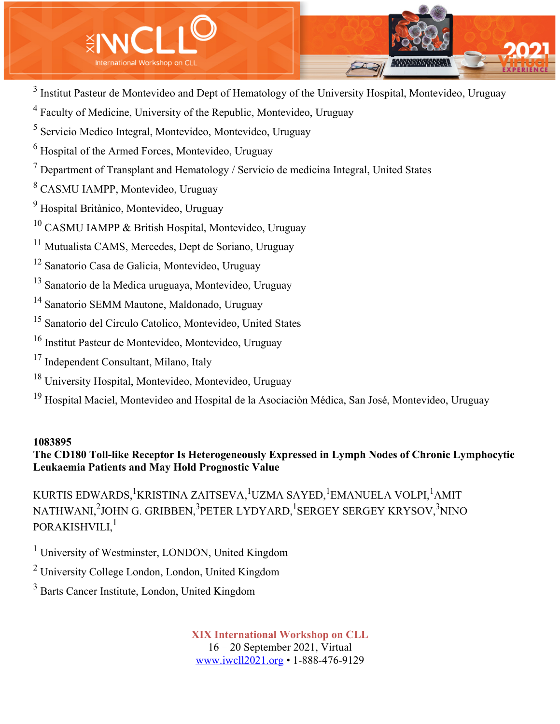

<sup>3</sup> Institut Pasteur de Montevideo and Dept of Hematology of the University Hospital, Montevideo, Uruguay

Faculty of Medicine, University of the Republic, Montevideo, Uruguay

Servicio Medico Integral, Montevideo, Montevideo, Uruguay

Hospital of the Armed Forces, Montevideo, Uruguay

Department of Transplant and Hematology / Servicio de medicina Integral, United States

CASMU IAMPP, Montevideo, Uruguay

Hospital Britànico, Montevideo, Uruguay

CASMU IAMPP & British Hospital, Montevideo, Uruguay

Mutualista CAMS, Mercedes, Dept de Soriano, Uruguay

Sanatorio Casa de Galicia, Montevideo, Uruguay

Sanatorio de la Medica uruguaya, Montevideo, Uruguay

Sanatorio SEMM Mautone, Maldonado, Uruguay

Sanatorio del Circulo Catolico, Montevideo, United States

Institut Pasteur de Montevideo, Montevideo, Uruguay

- Independent Consultant, Milano, Italy
- University Hospital, Montevideo, Montevideo, Uruguay

<sup>19</sup> Hospital Maciel, Montevideo and Hospital de la Asociación Médica, San José, Montevideo, Uruguay

### 

# **The CD180 Toll-like Receptor Is Heterogeneously Expressed in Lymph Nodes of Chronic Lymphocytic Leukaemia Patients and May Hold Prognostic Value**

KURTIS EDWARDS, <sup>1</sup>KRISTINA ZAITSEVA, <sup>1</sup>UZMA SAYED, <sup>1</sup>EMANUELA VOLPI, <sup>1</sup>AMIT NATHWANI,<sup>2</sup>JOHN G. GRIBBEN,<sup>3</sup>PETER LYDYARD,<sup>1</sup>SERGEY SERGEY KRYSOV,<sup>3</sup>NINO PORAKISHVILI,<sup>1</sup>

<sup>1</sup> University of Westminster, LONDON, United Kingdom

University College London, London, United Kingdom

Barts Cancer Institute, London, United Kingdom

**XIX International Workshop on CLL** 16 – 20 September 2021, Virtual

www.iwcll2021.org • 1-888-476-9129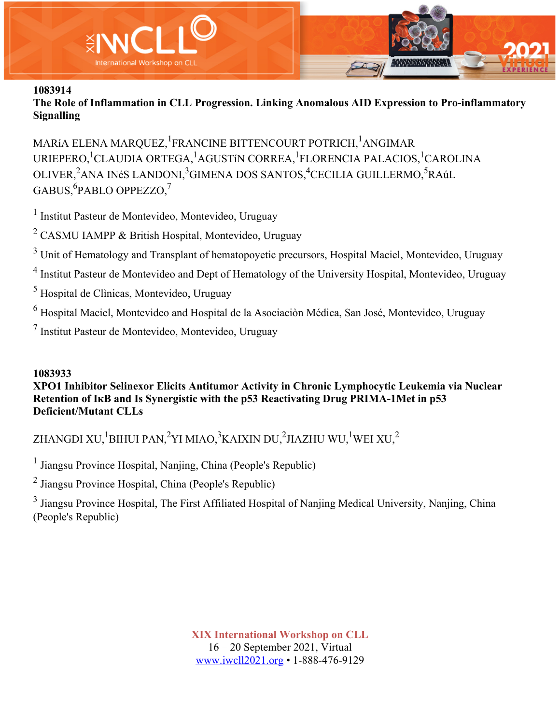

**The Role of Inflammation in CLL Progression. Linking Anomalous AID Expression to Pro-inflammatory Signalling**

MARíA ELENA MARQUEZ, <sup>1</sup>FRANCINE BITTENCOURT POTRICH, <sup>1</sup>ANGIMAR URIEPERO, <sup>1</sup>CLAUDIA ORTEGA, <sup>1</sup>AGUSTíN CORREA, <sup>1</sup>FLORENCIA PALACIOS, <sup>1</sup>CAROLINA OLIVER,<sup>2</sup>ANA INéS LANDONI,<sup>3</sup>GIMENA DOS SANTOS,<sup>4</sup>CECILIA GUILLERMO,<sup>5</sup>RAúL  $\mathrm{GABUS,}^6$ PABLO OPPEZZO, $^7$ 

<sup>1</sup> Institut Pasteur de Montevideo, Montevideo, Uruguay

<sup>2</sup> CASMU IAMPP & British Hospital, Montevideo, Uruguay

<sup>3</sup> Unit of Hematology and Transplant of hematopoyetic precursors, Hospital Maciel, Montevideo, Uruguay

<sup>4</sup> Institut Pasteur de Montevideo and Dept of Hematology of the University Hospital, Montevideo, Uruguay

<sup>5</sup> Hospital de Clìnicas, Montevideo, Uruguay

<sup>6</sup> Hospital Maciel, Montevideo and Hospital de la Asociaciòn Médica, San José, Montevideo, Uruguay

<sup>7</sup> Institut Pasteur de Montevideo, Montevideo, Uruguay

## **1083933**

**XPO1 Inhibitor Selinexor Elicits Antitumor Activity in Chronic Lymphocytic Leukemia via Nuclear Retention of IκB and Is Synergistic with the p53 Reactivating Drug PRIMA-1Met in p53 Deficient/Mutant CLLs**

ZHANGDI XU, $^1$ BIHUI PAN, $^2$ YI MIAO, $^3$ KAIXIN DU, $^2$ JIAZHU WU, $^1$ WEI XU, $^2$ 

<sup>1</sup> Jiangsu Province Hospital, Nanjing, China (People's Republic)

<sup>2</sup> Jiangsu Province Hospital, China (People's Republic)

<sup>3</sup> Jiangsu Province Hospital, The First Affiliated Hospital of Nanjing Medical University, Nanjing, China (People's Republic)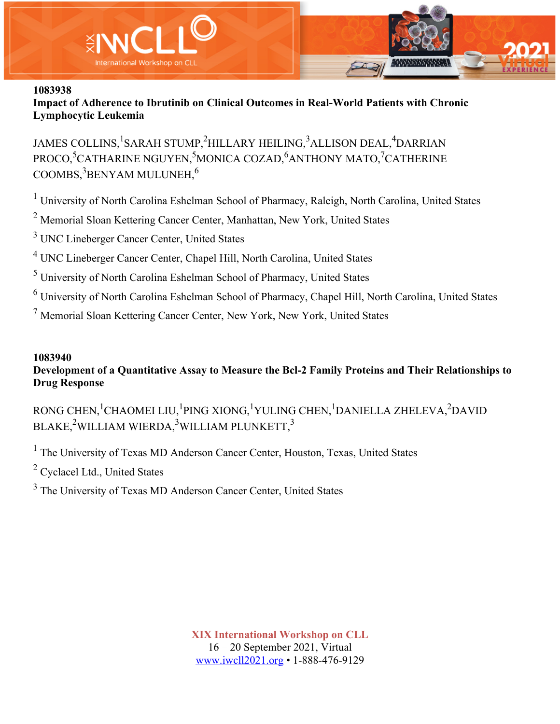



**Impact of Adherence to Ibrutinib on Clinical Outcomes in Real-World Patients with Chronic Lymphocytic Leukemia**

JAMES COLLINS, <sup>1</sup>SARAH STUMP, <sup>2</sup>HILLARY HEILING, <sup>3</sup>ALLISON DEAL, <sup>4</sup>DARRIAN PROCO,<sup>5</sup>CATHARINE NGUYEN,<sup>5</sup>MONICA COZAD,<sup>6</sup>ANTHONY MATO,<sup>7</sup>CATHERINE  $\rm{COOMBS}, ^3\rm{BENYAM}$  MULUNEH, $^6$ 

<sup>1</sup> University of North Carolina Eshelman School of Pharmacy, Raleigh, North Carolina, United States

<sup>2</sup> Memorial Sloan Kettering Cancer Center, Manhattan, New York, United States

<sup>3</sup> UNC Lineberger Cancer Center, United States

<sup>4</sup> UNC Lineberger Cancer Center, Chapel Hill, North Carolina, United States

<sup>5</sup> University of North Carolina Eshelman School of Pharmacy, United States

<sup>6</sup> University of North Carolina Eshelman School of Pharmacy, Chapel Hill, North Carolina, United States

<sup>7</sup> Memorial Sloan Kettering Cancer Center, New York, New York, United States

## **1083940**

**Development of a Quantitative Assay to Measure the Bcl-2 Family Proteins and Their Relationships to Drug Response**

RONG CHEN, <sup>1</sup>CHAOMEI LIU, <sup>1</sup>PING XIONG, <sup>1</sup>YULING CHEN, <sup>1</sup>DANIELLA ZHELEVA, <sup>2</sup>DAVID BLAKE, $^2$ WILLIAM WIERDA, $^3$ WILLIAM PLUNKETT, $^3$ 

<sup>1</sup> The University of Texas MD Anderson Cancer Center, Houston, Texas, United States

<sup>2</sup> Cyclacel Ltd., United States

<sup>3</sup> The University of Texas MD Anderson Cancer Center, United States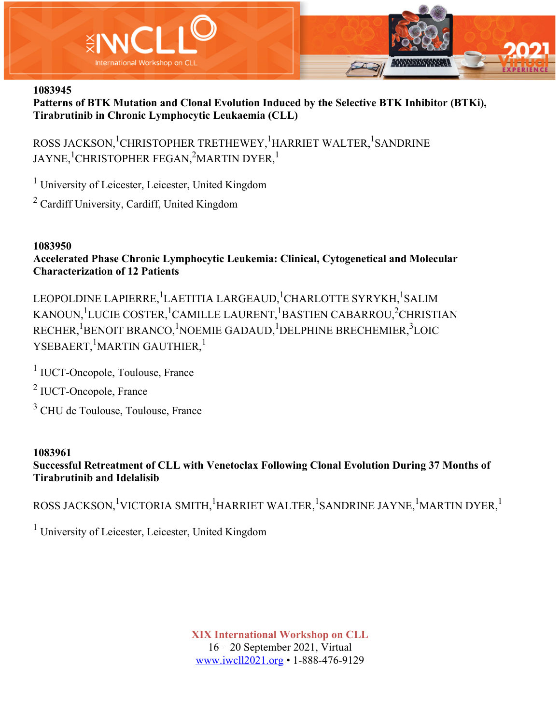

**Patterns of BTK Mutation and Clonal Evolution Induced by the Selective BTK Inhibitor (BTKi), Tirabrutinib in Chronic Lymphocytic Leukaemia (CLL)**

ROSS JACKSON, <sup>1</sup>CHRISTOPHER TRETHEWEY, <sup>1</sup>HARRIET WALTER, <sup>1</sup>SANDRINE JAYNE, $^1$ CHRISTOPHER FEGAN, $^2$ MARTIN DYER, $^1$ 

<sup>1</sup> University of Leicester, Leicester, United Kingdom

<sup>2</sup> Cardiff University, Cardiff, United Kingdom

## **1083950**

**Accelerated Phase Chronic Lymphocytic Leukemia: Clinical, Cytogenetical and Molecular Characterization of 12 Patients**

LEOPOLDINE LAPIERRE, <sup>1</sup>LAETITIA LARGEAUD, <sup>1</sup>CHARLOTTE SYRYKH, <sup>1</sup>SALIM KANOUN,<sup>1</sup>LUCIE COSTER,<sup>1</sup>CAMILLE LAURENT,<sup>1</sup>BASTIEN CABARROU,<sup>2</sup>CHRISTIAN RECHER, <sup>1</sup>BENOIT BRANCO, <sup>1</sup>NOEMIE GADAUD, <sup>1</sup>DELPHINE BRECHEMIER, <sup>3</sup>LOIC YSEBAERT, <sup>1</sup>MARTIN GAUTHIER, <sup>1</sup>

<sup>1</sup> IUCT-Oncopole, Toulouse, France

<sup>2</sup> IUCT-Oncopole, France

<sup>3</sup> CHU de Toulouse, Toulouse, France

## **1083961**

**Successful Retreatment of CLL with Venetoclax Following Clonal Evolution During 37 Months of Tirabrutinib and Idelalisib**

ROSS JACKSON,<sup>1</sup>VICTORIA SMITH,<sup>1</sup>HARRIET WALTER,<sup>1</sup>SANDRINE JAYNE,<sup>1</sup>MARTIN DYER,<sup>1</sup>

<sup>1</sup> University of Leicester, Leicester, United Kingdom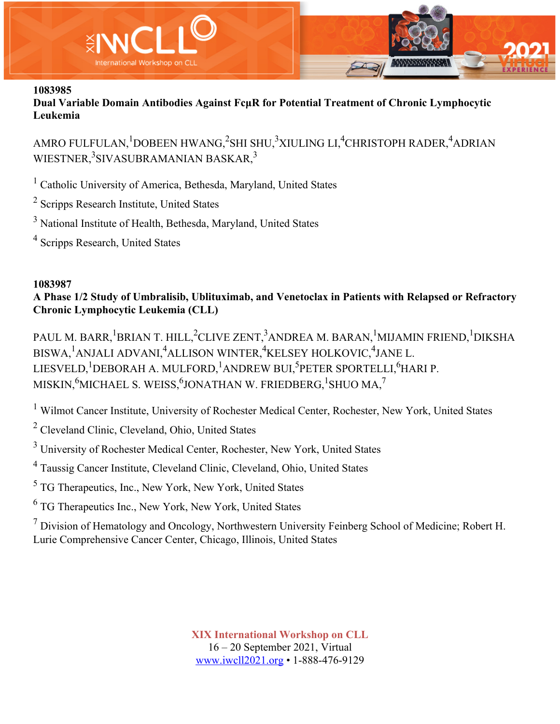

**Dual Variable Domain Antibodies Against FcμR for Potential Treatment of Chronic Lymphocytic Leukemia**

AMRO FULFULAN, $^1$ DOBEEN HWANG, $^2$ SHI SHU, $^3$ XIULING LI, $^4$ CHRISTOPH RADER, $^4$ ADRIAN WIESTNER,<sup>3</sup>SIVASUBRAMANIAN BASKAR,<sup>3</sup>

<sup>1</sup> Catholic University of America, Bethesda, Maryland, United States

- <sup>2</sup> Scripps Research Institute, United States
- <sup>3</sup> National Institute of Health, Bethesda, Maryland, United States
- <sup>4</sup> Scripps Research, United States

## **1083987**

**A Phase 1/2 Study of Umbralisib, Ublituximab, and Venetoclax in Patients with Relapsed or Refractory Chronic Lymphocytic Leukemia (CLL)**

PAUL M. BARR,<sup>1</sup>BRIAN T. HILL,<sup>2</sup>CLIVE ZENT,<sup>3</sup>ANDREA M. BARAN,<sup>1</sup>MIJAMIN FRIEND,<sup>1</sup>DIKSHA BISWA,<sup>1</sup>ANJALI ADVANI,<sup>4</sup>ALLISON WINTER,<sup>4</sup>KELSEY HOLKOVIC,<sup>4</sup>JANE L. LIESVELD, $^1$ DEBORAH A. MULFORD, $^1$ ANDREW BUI, $^5$ PETER SPORTELLI, $^6$ HARI P. MISKIN, $^6$ MICHAEL S. WEISS, $^6$ JONATHAN W. FRIEDBERG, $^1$ SHUO MA, $^7$ 

<sup>1</sup> Wilmot Cancer Institute, University of Rochester Medical Center, Rochester, New York, United States

<sup>2</sup> Cleveland Clinic, Cleveland, Ohio, United States

<sup>3</sup> University of Rochester Medical Center, Rochester, New York, United States

<sup>4</sup> Taussig Cancer Institute, Cleveland Clinic, Cleveland, Ohio, United States

<sup>5</sup> TG Therapeutics, Inc., New York, New York, United States

<sup>6</sup> TG Therapeutics Inc., New York, New York, United States

 $<sup>7</sup>$  Division of Hematology and Oncology, Northwestern University Feinberg School of Medicine; Robert H.</sup> Lurie Comprehensive Cancer Center, Chicago, Illinois, United States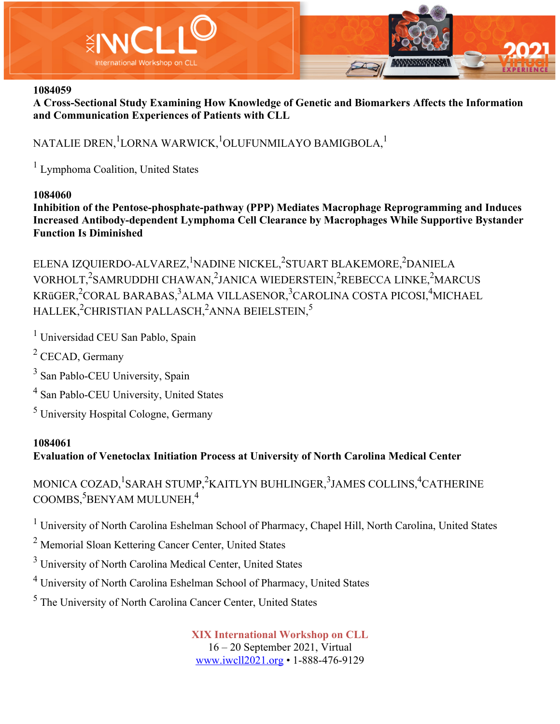

**A Cross-Sectional Study Examining How Knowledge of Genetic and Biomarkers Affects the Information and Communication Experiences of Patients with CLL**

# NATALIE DREN, $^1$ LORNA WARWICK, $^1$ OLUFUNMILAYO BAMIGBOLA, $^1$

<sup>1</sup> Lymphoma Coalition, United States

### **1084060**

**Inhibition of the Pentose-phosphate-pathway (PPP) Mediates Macrophage Reprogramming and Induces Increased Antibody-dependent Lymphoma Cell Clearance by Macrophages While Supportive Bystander Function Is Diminished**

ELENA IZQUIERDO-ALVAREZ, <sup>1</sup>NADINE NICKEL, <sup>2</sup>STUART BLAKEMORE, <sup>2</sup>DANIELA VORHOLT,<sup>2</sup>SAMRUDDHI CHAWAN,<sup>2</sup>JANICA WIEDERSTEIN,<sup>2</sup>REBECCA LINKE,<sup>2</sup>MARCUS KRüGER,<sup>2</sup>CORAL BARABAS,<sup>3</sup>ALMA VILLASENOR,<sup>3</sup>CAROLINA COSTA PICOSI,<sup>4</sup>MICHAEL  $\mathrm{HALLEX}_i^2$ CHRISTIAN PALLASCH, $^2$ ANNA BEIELSTEIN, $^5$ 

<sup>1</sup> Universidad CEU San Pablo, Spain

 $2$  CECAD, Germany

<sup>3</sup> San Pablo-CEU University, Spain

<sup>4</sup> San Pablo-CEU University, United States

<sup>5</sup> University Hospital Cologne, Germany

## **1084061**

# **Evaluation of Venetoclax Initiation Process at University of North Carolina Medical Center**

MONICA COZAD, <sup>1</sup>SARAH STUMP, <sup>2</sup>KAITLYN BUHLINGER, <sup>3</sup>JAMES COLLINS, <sup>4</sup>CATHERINE  $\mathrm{COOMBS}^{5}_{1}$ BENYAM MULUNEH, $^{4}$ 

<sup>1</sup> University of North Carolina Eshelman School of Pharmacy, Chapel Hill, North Carolina, United States

<sup>2</sup> Memorial Sloan Kettering Cancer Center, United States

<sup>3</sup> University of North Carolina Medical Center, United States

<sup>4</sup> University of North Carolina Eshelman School of Pharmacy, United States

<sup>5</sup> The University of North Carolina Cancer Center, United States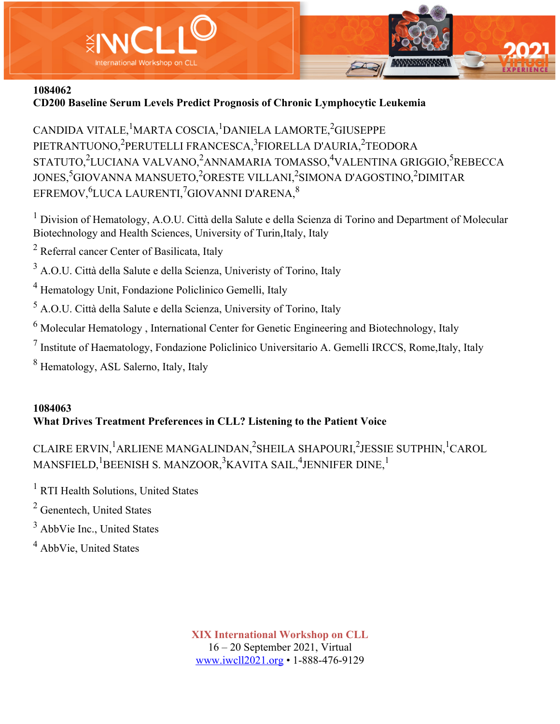

# **CD200 Baseline Serum Levels Predict Prognosis of Chronic Lymphocytic Leukemia**

CANDIDA VITALE, <sup>1</sup>MARTA COSCIA, <sup>1</sup>DANIELA LAMORTE, <sup>2</sup>GIUSEPPE PIETRANTUONO,<sup>2</sup>PERUTELLI FRANCESCA,<sup>3</sup>FIORELLA D'AURIA,<sup>2</sup>TEODORA STATUTO,<sup>2</sup>LUCIANA VALVANO,<sup>2</sup>ANNAMARIA TOMASSO,<sup>4</sup>VALENTINA GRIGGIO,<sup>5</sup>REBECCA JONES,<sup>5</sup>GIOVANNA MANSUETO,<sup>2</sup>ORESTE VILLANI,<sup>2</sup>SIMONA D'AGOSTINO,<sup>2</sup>DIMITAR EFREMOV, $^6$ LUCA LAURENTI, $^7$ GIOVANNI D'ARENA, $^8$ 

<sup>1</sup> Division of Hematology, A.O.U. Città della Salute e della Scienza di Torino and Department of Molecular Biotechnology and Health Sciences, University of Turin,Italy, Italy

<sup>2</sup> Referral cancer Center of Basilicata, Italy

<sup>3</sup> A.O.U. Città della Salute e della Scienza, Univeristy of Torino, Italy

<sup>4</sup> Hematology Unit, Fondazione Policlinico Gemelli, Italy

<sup>5</sup> A.O.U. Città della Salute e della Scienza, University of Torino, Italy

 $<sup>6</sup>$  Molecular Hematology, International Center for Genetic Engineering and Biotechnology, Italy</sup>

<sup>7</sup> Institute of Haematology, Fondazione Policlinico Universitario A. Gemelli IRCCS, Rome,Italy, Italy

<sup>8</sup> Hematology, ASL Salerno, Italy, Italy

# **1084063 What Drives Treatment Preferences in CLL? Listening to the Patient Voice**

CLAIRE ERVIN,<sup>1</sup>ARLIENE MANGALINDAN,<sup>2</sup>SHEILA SHAPOURI,<sup>2</sup>JESSIE SUTPHIN,<sup>1</sup>CAROL  $\mathrm{MANSFIELD,^{1}BEENISH\ S.\ MANZOOR,^{3}KAVITA\ SAIL,^{4}JENNIFER\ DINE,^{1}}$ 

<sup>1</sup> RTI Health Solutions, United States

<sup>2</sup> Genentech, United States

 $3$  AbbVie Inc., United States

<sup>4</sup> AbbVie, United States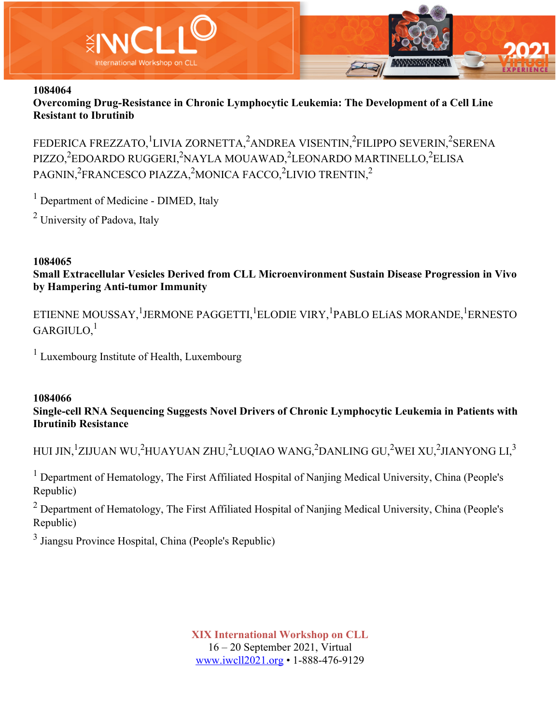

**Overcoming Drug-Resistance in Chronic Lymphocytic Leukemia: The Development of a Cell Line Resistant to Ibrutinib**

FEDERICA FREZZATO,<sup>1</sup>LIVIA ZORNETTA,<sup>2</sup>ANDREA VISENTIN,<sup>2</sup>FILIPPO SEVERIN,<sup>2</sup>SERENA PIZZO,<sup>2</sup>EDOARDO RUGGERI,<sup>2</sup>NAYLA MOUAWAD,<sup>2</sup>LEONARDO MARTINELLO,<sup>2</sup>ELISA PAGNIN,<sup>2</sup>FRANCESCO PIAZZA,<sup>2</sup>MONICA FACCO,<sup>2</sup>LIVIO TRENTIN,<sup>2</sup>

<sup>1</sup> Department of Medicine - DIMED, Italy

<sup>2</sup> University of Padova, Italy

### **1084065 Small Extracellular Vesicles Derived from CLL Microenvironment Sustain Disease Progression in Vivo by Hampering Anti-tumor Immunity**

ETIENNE MOUSSAY, <sup>1</sup>JERMONE PAGGETTI, <sup>1</sup>ELODIE VIRY, <sup>1</sup>PABLO ELíAS MORANDE, <sup>1</sup>ERNESTO  $GARGIULO.<sup>1</sup>$ 

<sup>1</sup> Luxembourg Institute of Health, Luxembourg

### **1084066**

## **Single-cell RNA Sequencing Suggests Novel Drivers of Chronic Lymphocytic Leukemia in Patients with Ibrutinib Resistance**

HUI JIN,<sup>1</sup>ZIJUAN WU,<sup>2</sup>HUAYUAN ZHU,<sup>2</sup>LUQIAO WANG,<sup>2</sup>DANLING GU,<sup>2</sup>WEI XU,<sup>2</sup>JIANYONG LI,<sup>3</sup>

<sup>1</sup> Department of Hematology, The First Affiliated Hospital of Nanjing Medical University, China (People's Republic)

 $2$  Department of Hematology, The First Affiliated Hospital of Nanjing Medical University, China (People's Republic)

<sup>3</sup> Jiangsu Province Hospital, China (People's Republic)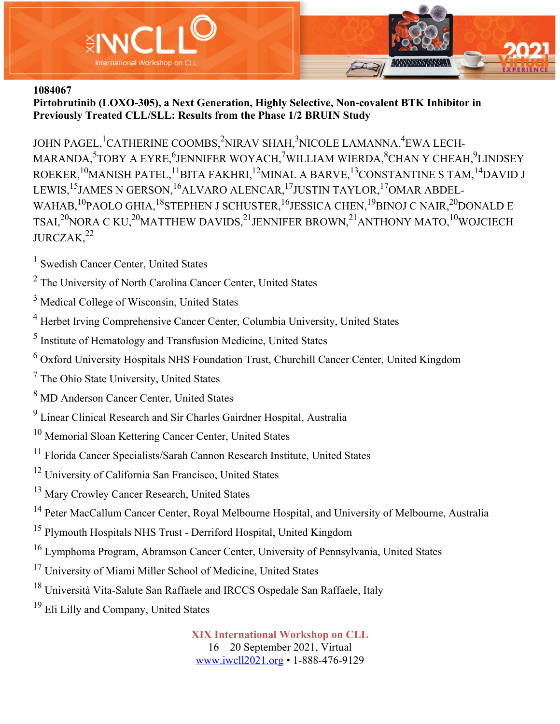

**Pirtobrutinib (LOXO-305), a Next Generation, Highly Selective, Non-covalent BTK Inhibitor in Previously Treated CLL/SLL: Results from the Phase 1/2 BRUIN Study**

JOHN PAGEL, <sup>1</sup>CATHERINE COOMBS,<sup>2</sup>NIRAV SHAH,<sup>3</sup>NICOLE LAMANNA,<sup>4</sup>EWA LECH-MARANDA,<sup>5</sup>TOBY A EYRE,<sup>6</sup>JENNIFER WOYACH,<sup>7</sup>WILLIAM WIERDA,<sup>8</sup>CHAN Y CHEAH,<sup>9</sup>LINDSEY ROEKER,<sup>10</sup>MANISH PATEL,<sup>11</sup>BITA FAKHRI,<sup>12</sup>MINAL A BARVE,<sup>13</sup>CONSTANTINE S TAM,<sup>14</sup>DAVID J LEWIS,<sup>15</sup>JAMES N GERSON,<sup>16</sup>ALVARO ALENCAR,<sup>17</sup>JUSTIN TAYLOR,<sup>17</sup>OMAR ABDEL-WAHAB,  $^{10}$ PAOLO GHIA,  $^{18}$ STEPHEN J SCHUSTER,  $^{16}$ JESSICA CHEN,  $^{19}$ BINOJ C NAIR, $^{20}$ DONALD E TSAI, $^{20}$ NORA C KU, $^{20}$ MATTHEW DAVIDS, $^{21}$ JENNIFER BROWN, $^{21}$ ANTHONY MATO, $^{10}$ WOJCIECH  $JURCZAK<sup>22</sup>$ 

<sup>1</sup> Swedish Cancer Center, United States

- <sup>2</sup> The University of North Carolina Cancer Center, United States
- <sup>3</sup> Medical College of Wisconsin, United States
- <sup>4</sup> Herbet Irving Comprehensive Cancer Center, Columbia University, United States
- <sup>5</sup> Institute of Hematology and Transfusion Medicine, United States
- $6$  Oxford University Hospitals NHS Foundation Trust, Churchill Cancer Center, United Kingdom
- <sup>7</sup> The Ohio State University, United States
- <sup>8</sup> MD Anderson Cancer Center, United States
- <sup>9</sup> Linear Clinical Research and Sir Charles Gairdner Hospital, Australia
- <sup>10</sup> Memorial Sloan Kettering Cancer Center, United States
- <sup>11</sup> Florida Cancer Specialists/Sarah Cannon Research Institute, United States
- <sup>12</sup> University of California San Francisco, United States
- <sup>13</sup> Mary Crowley Cancer Research, United States
- <sup>14</sup> Peter MacCallum Cancer Center, Royal Melbourne Hospital, and University of Melbourne, Australia
- <sup>15</sup> Plymouth Hospitals NHS Trust Derriford Hospital, United Kingdom
- <sup>16</sup> Lymphoma Program, Abramson Cancer Center, University of Pennsylvania, United States
- <sup>17</sup> University of Miami Miller School of Medicine, United States
- <sup>18</sup> Università Vita-Salute San Raffaele and IRCCS Ospedale San Raffaele, Italy
- <sup>19</sup> Eli Lilly and Company, United States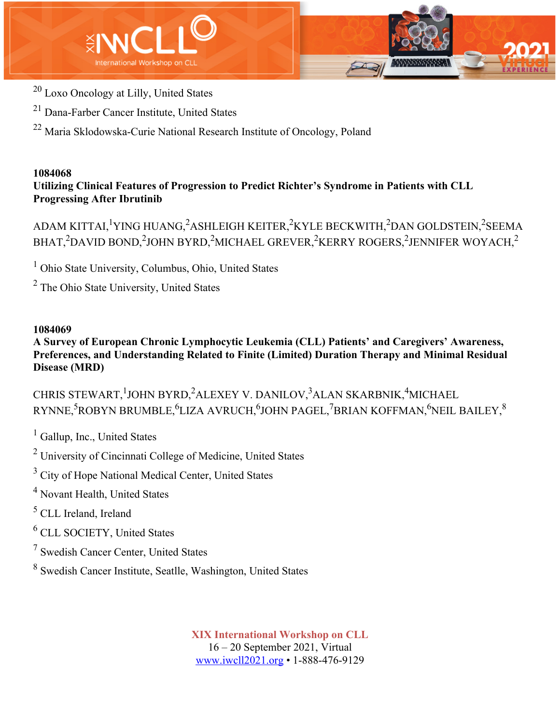



- <sup>20</sup> Loxo Oncology at Lilly, United States
- <sup>21</sup> Dana-Farber Cancer Institute, United States
- <sup>22</sup> Maria Sklodowska-Curie National Research Institute of Oncology, Poland

**Utilizing Clinical Features of Progression to Predict Richter's Syndrome in Patients with CLL Progressing After Ibrutinib**

ADAM KITTAI, $^1$ YING HUANG, $^2$ ASHLEIGH KEITER, $^2$ KYLE BECKWITH, $^2$ DAN GOLDSTEIN, $^2$ SEEMA BHAT, $^2$ DAVID BOND, $^2$ JOHN BYRD, $^2$ MICHAEL GREVER, $^2$ KERRY ROGERS, $^2$ JENNIFER WOYACH, $^2$ 

 $<sup>1</sup>$  Ohio State University, Columbus, Ohio, United States</sup>

<sup>2</sup> The Ohio State University, United States

# **1084069**

**A Survey of European Chronic Lymphocytic Leukemia (CLL) Patients' and Caregivers' Awareness, Preferences, and Understanding Related to Finite (Limited) Duration Therapy and Minimal Residual Disease (MRD)**

CHRIS STEWART, <sup>1</sup>JOHN BYRD, <sup>2</sup>ALEXEY V. DANILOV, <sup>3</sup>ALAN SKARBNIK, <sup>4</sup>MICHAEL RYNNE, $^5$ ROBYN BRUMBLE, $^6$ LIZA AVRUCH, $^6$ JOHN PAGEL, $^7$ BRIAN KOFFMAN, $^6$ NEIL BAILEY, $^8$ 

 $<sup>1</sup>$  Gallup, Inc., United States</sup>

<sup>2</sup> University of Cincinnati College of Medicine, United States

<sup>3</sup> City of Hope National Medical Center, United States

<sup>4</sup> Novant Health, United States

<sup>5</sup> CLL Ireland, Ireland

<sup>6</sup> CLL SOCIETY, United States

- <sup>7</sup> Swedish Cancer Center, United States
- <sup>8</sup> Swedish Cancer Institute, Seatlle, Washington, United States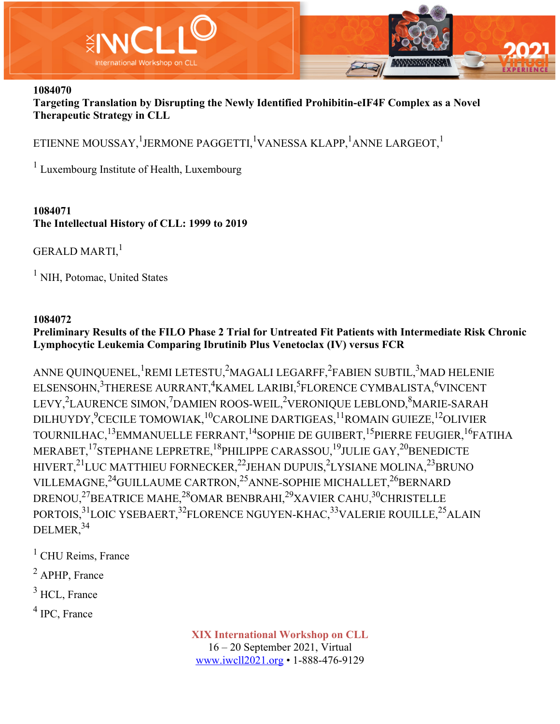

**Targeting Translation by Disrupting the Newly Identified Prohibitin-eIF4F Complex as a Novel Therapeutic Strategy in CLL**

ETIENNE MOUSSAY, $^{\rm l}$ JERMONE PAGGETTI, $^{\rm l}$ VANESSA KLAPP, $^{\rm l}$ ANNE LARGEOT, $^{\rm l}$ 

<sup>1</sup> Luxembourg Institute of Health, Luxembourg

## **1084071 The Intellectual History of CLL: 1999 to 2019**

GERALD MARTI,<sup>1</sup>

 $<sup>1</sup>$  NIH, Potomac, United States</sup>

## **1084072**

# **Preliminary Results of the FILO Phase 2 Trial for Untreated Fit Patients with Intermediate Risk Chronic Lymphocytic Leukemia Comparing Ibrutinib Plus Venetoclax (IV) versus FCR**

ANNE QUINQUENEL, $^1$ REMI LETESTU, $^2$ MAGALI LEGARFF, $^2$ FABIEN SUBTIL, $^3$ MAD HELENIE ELSENSOHN,<sup>3</sup>THERESE AURRANT,<sup>4</sup>KAMEL LARIBI,<sup>5</sup>FLORENCE CYMBALISTA,<sup>6</sup>VINCENT LEVY,<sup>2</sup>LAURENCE SIMON,<sup>7</sup>DAMIEN ROOS-WEIL,<sup>2</sup>VERONIQUE LEBLOND,<sup>8</sup>MARIE-SARAH DILHUYDY, $^9$ CECILE TOMOWIAK, $^{10}$ CAROLINE DARTIGEAS, $^{11}$ ROMAIN GUIEZE, $^{12}$ OLIVIER TOURNILHAC,<sup>13</sup>EMMANUELLE FERRANT,<sup>14</sup>SOPHIE DE GUIBERT,<sup>15</sup>PIERRE FEUGIER,<sup>16</sup>FATIHA MERABET, <sup>17</sup>STEPHANE LEPRETRE, <sup>18</sup>PHILIPPE CARASSOU, <sup>19</sup>JULIE GAY, <sup>20</sup>BENEDICTE HIVERT,<sup>21</sup>LUC MATTHIEU FORNECKER,<sup>22</sup>JEHAN DUPUIS,<sup>2</sup>LYSIANE MOLINA,<sup>23</sup>BRUNO VILLEMAGNE, $^{24}$ GUILLAUME CARTRON, $^{25}$ ANNE-SOPHIE MICHALLET, $^{26}$ BERNARD DRENOU,<sup>27</sup>BEATRICE MAHE,<sup>28</sup>OMAR BENBRAHI,<sup>29</sup>XAVIER CAHU,<sup>30</sup>CHRISTELLE PORTOIS,<sup>31</sup>LOIC YSEBAERT,<sup>32</sup>FLORENCE NGUYEN-KHAC,<sup>33</sup>VALERIE ROUILLE,<sup>25</sup>ALAIN DELMER,<sup>34</sup>

 $<sup>1</sup>$  CHU Reims, France</sup>

<sup>2</sup> APHP, France

 $3$  HCL, France

<sup>4</sup> IPC, France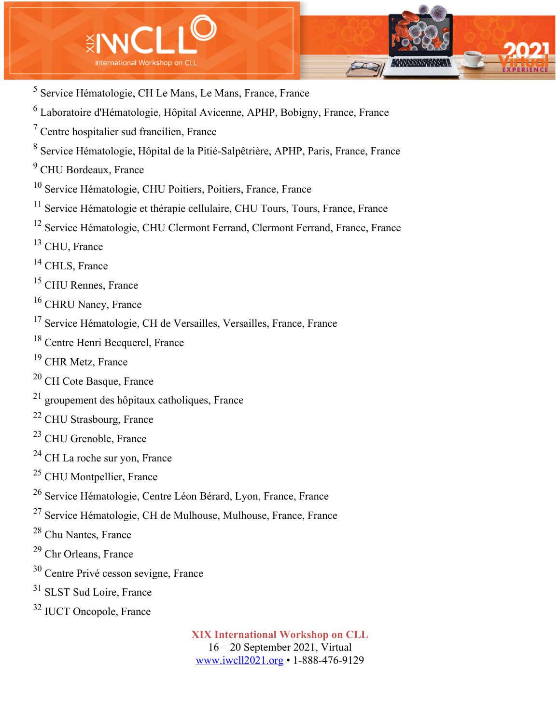

- Service Hématologie, CH Le Mans, Le Mans, France, France
- Laboratoire d'Hématologie, Hôpital Avicenne, APHP, Bobigny, France, France
- Centre hospitalier sud francilien, France
- Service Hématologie, Hôpital de la Pitié-Salpêtrière, APHP, Paris, France, France
- CHU Bordeaux, France
- Service Hématologie, CHU Poitiers, Poitiers, France, France
- <sup>11</sup> Service Hématologie et thérapie cellulaire, CHU Tours, Tours, France, France
- <sup>12</sup> Service Hématologie, CHU Clermont Ferrand, Clermont Ferrand, France, France
- CHU, France
- <sup>14</sup> CHLS, France
- <sup>15</sup> CHU Rennes, France
- <sup>16</sup> CHRU Nancy, France
- Service Hématologie, CH de Versailles, Versailles, France, France
- Centre Henri Becquerel, France
- <sup>19</sup> CHR Metz, France
- CH Cote Basque, France
- groupement des hôpitaux catholiques, France
- CHU Strasbourg, France
- CHU Grenoble, France
- CH La roche sur yon, France
- CHU Montpellier, France
- Service Hématologie, Centre Léon Bérard, Lyon, France, France
- Service Hématologie, CH de Mulhouse, Mulhouse, France, France
- Chu Nantes, France
- Chr Orleans, France
- Centre Privé cesson sevigne, France
- <sup>31</sup> SLST Sud Loire, France
- IUCT Oncopole, France

**XIX International Workshop on CLL** 16 – 20 September 2021, Virtual

www.iwcll2021.org • 1-888-476-9129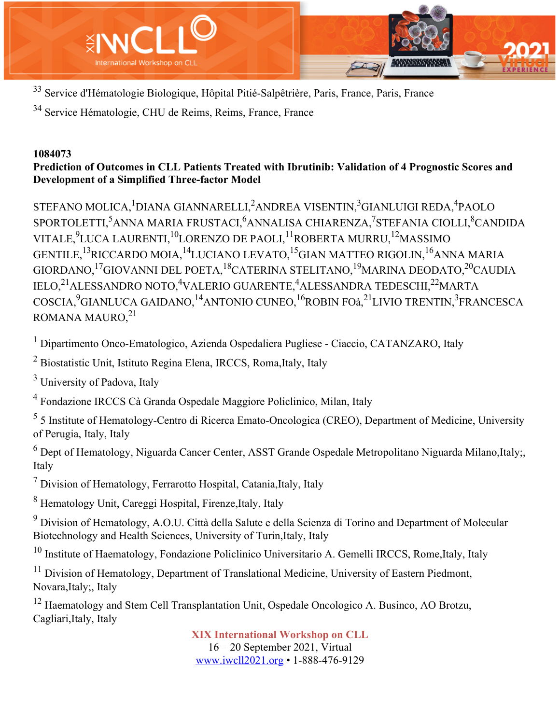

<sup>33</sup> Service d'Hématologie Biologique, Hôpital Pitié-Salpêtrière, Paris, France, Paris, France

<sup>34</sup> Service Hématologie, CHU de Reims, Reims, France, France

## **1084073**

# **Prediction of Outcomes in CLL Patients Treated with Ibrutinib: Validation of 4 Prognostic Scores and Development of a Simplified Three-factor Model**

STEFANO MOLICA, <sup>1</sup>DIANA GIANNARELLI, <sup>2</sup>ANDREA VISENTIN, <sup>3</sup>GIANLUIGI REDA, <sup>4</sup>PAOLO SPORTOLETTI,<sup>5</sup>ANNA MARIA FRUSTACI,<sup>6</sup>ANNALISA CHIARENZA,<sup>7</sup>STEFANIA CIOLLI,<sup>8</sup>CANDIDA VITALE, $^9$ LUCA LAURENTI, $^{10}$ LORENZO DE PAOLI, $^{11}$ ROBERTA MURRU, $^{12}$ MASSIMO GENTILE,<sup>13</sup>RICCARDO MOIA,<sup>14</sup>LUCIANO LEVATO,<sup>15</sup>GIAN MATTEO RIGOLIN,<sup>16</sup>ANNA MARIA GIORDANO, <sup>17</sup>GIOVANNI DEL POETA, <sup>18</sup>CATERINA STELITANO, <sup>19</sup>MARINA DEODATO, <sup>20</sup>CAUDIA IELO,<sup>21</sup>ALESSANDRO NOTO,<sup>4</sup>VALERIO GUARENTE,<sup>4</sup>ALESSANDRA TEDESCHI,<sup>22</sup>MARTA COSCIA,<sup>9</sup>GIANLUCA GAIDANO,<sup>14</sup>ANTONIO CUNEO,<sup>16</sup>ROBIN FOà,<sup>21</sup>LIVIO TRENTIN,<sup>3</sup>FRANCESCA ROMANA MAURO, <sup>21</sup>

<sup>1</sup> Dipartimento Onco-Ematologico, Azienda Ospedaliera Pugliese - Ciaccio, CATANZARO, Italy

<sup>2</sup> Biostatistic Unit, Istituto Regina Elena, IRCCS, Roma,Italy, Italy

<sup>3</sup> University of Padova, Italy

<sup>4</sup> Fondazione IRCCS Cà Granda Ospedale Maggiore Policlinico, Milan, Italy

<sup>5</sup> 5 Institute of Hematology-Centro di Ricerca Emato-Oncologica (CREO), Department of Medicine, University of Perugia, Italy, Italy

 $6$  Dept of Hematology, Niguarda Cancer Center, ASST Grande Ospedale Metropolitano Niguarda Milano, Italy; Italy

 $<sup>7</sup>$  Division of Hematology, Ferrarotto Hospital, Catania, Italy, Italy</sup>

<sup>8</sup> Hematology Unit, Careggi Hospital, Firenze,Italy, Italy

<sup>9</sup> Division of Hematology, A.O.U. Città della Salute e della Scienza di Torino and Department of Molecular Biotechnology and Health Sciences, University of Turin,Italy, Italy

 $10$  Institute of Haematology, Fondazione Policlinico Universitario A. Gemelli IRCCS, Rome, Italy, Italy

<sup>11</sup> Division of Hematology, Department of Translational Medicine, University of Eastern Piedmont, Novara,Italy;, Italy

<sup>12</sup> Haematology and Stem Cell Transplantation Unit, Ospedale Oncologico A. Businco, AO Brotzu, Cagliari,Italy, Italy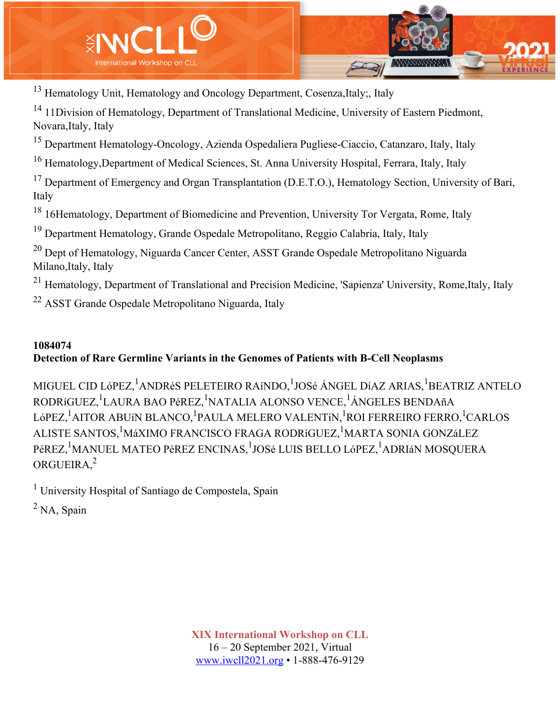

<sup>13</sup> Hematology Unit, Hematology and Oncology Department, Cosenza, Italy; Italy

<sup>14</sup> 11Division of Hematology, Department of Translational Medicine, University of Eastern Piedmont, Novara,Italy, Italy

<sup>15</sup> Department Hematology-Oncology, Azienda Ospedaliera Pugliese-Ciaccio, Catanzaro, Italy, Italy

<sup>16</sup> Hematology, Department of Medical Sciences, St. Anna University Hospital, Ferrara, Italy, Italy

<sup>17</sup> Department of Emergency and Organ Transplantation (D.E.T.O.), Hematology Section, University of Bari, Italy

<sup>18</sup> 16Hematology, Department of Biomedicine and Prevention, University Tor Vergata, Rome, Italy

<sup>19</sup> Department Hematology, Grande Ospedale Metropolitano, Reggio Calabria, Italy, Italy

<sup>20</sup> Dept of Hematology, Niguarda Cancer Center, ASST Grande Ospedale Metropolitano Niguarda Milano,Italy, Italy

<sup>21</sup> Hematology, Department of Translational and Precision Medicine, 'Sapienza' University, Rome, Italy, Italy

<sup>22</sup> ASST Grande Ospedale Metropolitano Niguarda, Italy

## **1084074**

# **Detection of Rare Germline Variants in the Genomes of Patients with B-Cell Neoplasms**

MIGUEL CID LóPEZ, <sup>1</sup>ANDRéS PELETEIRO RAíNDO, <sup>1</sup>JOSé ÁNGEL DíAZ ARIAS, <sup>1</sup>BEATRIZ ANTELO RODRíGUEZ, <sup>1</sup>LAURA BAO PéREZ, <sup>1</sup>NATALIA ALONSO VENCE, <sup>1</sup>ÁNGELES BENDAñA LóPEZ, <sup>1</sup>AITOR ABUíN BLANCO, <sup>1</sup>PAULA MELERO VALENTíN, <sup>1</sup>ROI FERREIRO FERRO, <sup>1</sup>CARLOS ALISTE SANTOS, <sup>1</sup>MáXIMO FRANCISCO FRAGA RODRíGUEZ, <sup>1</sup>MARTA SONIA GONZáLEZ PéREZ, <sup>1</sup>MANUEL MATEO PéREZ ENCINAS, <sup>1</sup>JOSé LUIS BELLO LóPEZ, <sup>1</sup>ADRIáN MOSQUERA ORGUEIRA,2

<sup>1</sup> University Hospital of Santiago de Compostela, Spain

 $<sup>2</sup>$  NA, Spain</sup>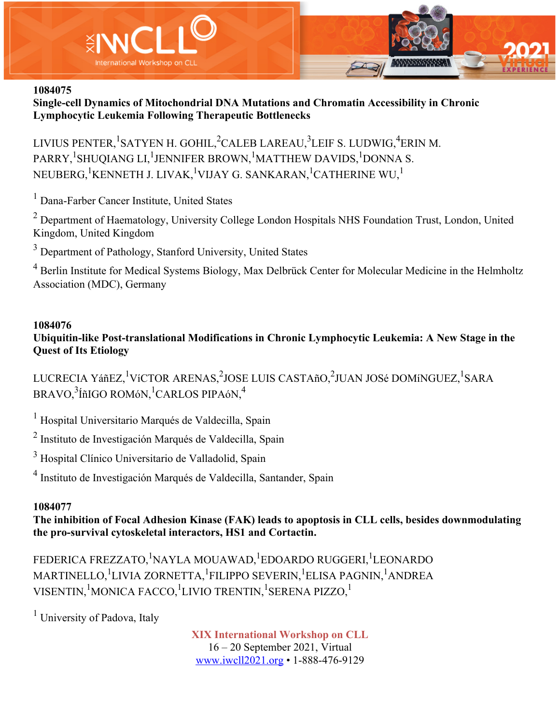



**Single-cell Dynamics of Mitochondrial DNA Mutations and Chromatin Accessibility in Chronic Lymphocytic Leukemia Following Therapeutic Bottlenecks**

LIVIUS PENTER, <sup>1</sup>SATYEN H. GOHIL, <sup>2</sup>CALEB LAREAU, <sup>3</sup>LEIF S. LUDWIG, <sup>4</sup>ERIN M. PARRY, <sup>1</sup>SHUQIANG LI, <sup>1</sup>JENNIFER BROWN, <sup>1</sup>MATTHEW DAVIDS, <sup>1</sup>DONNA S. NEUBERG, $^1$ KENNETH J. LIVAK, $^1$ VIJAY G. SANKARAN, $^1$ CATHERINE WU, $^1$ 

<sup>1</sup> Dana-Farber Cancer Institute, United States

<sup>2</sup> Department of Haematology, University College London Hospitals NHS Foundation Trust, London, United Kingdom, United Kingdom

<sup>3</sup> Department of Pathology, Stanford University, United States

<sup>4</sup> Berlin Institute for Medical Systems Biology, Max Delbrück Center for Molecular Medicine in the Helmholtz Association (MDC), Germany

### **1084076**

**Ubiquitin-like Post-translational Modifications in Chronic Lymphocytic Leukemia: A New Stage in the Quest of Its Etiology**

LUCRECIA YáñEZ, <sup>1</sup>VíCTOR ARENAS, <sup>2</sup>JOSE LUIS CASTAñO, <sup>2</sup>JUAN JOSé DOMíNGUEZ, <sup>1</sup>SARA  $\mathrm{BRAVO} , \rm ^3$ ÍñIGO ROMóN, $\rm ^1CARLOS$  PIPAóN, $\rm ^4$ 

<sup>1</sup> Hospital Universitario Marqués de Valdecilla, Spain

<sup>2</sup> Instituto de Investigación Marqués de Valdecilla, Spain

<sup>3</sup> Hospital Clínico Universitario de Valladolid, Spain

<sup>4</sup> Instituto de Investigación Marqués de Valdecilla, Santander, Spain

### **1084077**

**The inhibition of Focal Adhesion Kinase (FAK) leads to apoptosis in CLL cells, besides downmodulating the pro-survival cytoskeletal interactors, HS1 and Cortactin.**

FEDERICA FREZZATO,<sup>1</sup>NAYLA MOUAWAD,<sup>1</sup>EDOARDO RUGGERI,<sup>1</sup>LEONARDO MARTINELLO, <sup>1</sup>LIVIA ZORNETTA, <sup>1</sup>FILIPPO SEVERIN, <sup>1</sup>ELISA PAGNIN, <sup>1</sup>ANDREA VISENTIN, <sup>1</sup>MONICA FACCO, <sup>1</sup>LIVIO TRENTIN, <sup>1</sup>SERENA PIZZO, <sup>1</sup>

 $<sup>1</sup>$  University of Padova, Italy</sup>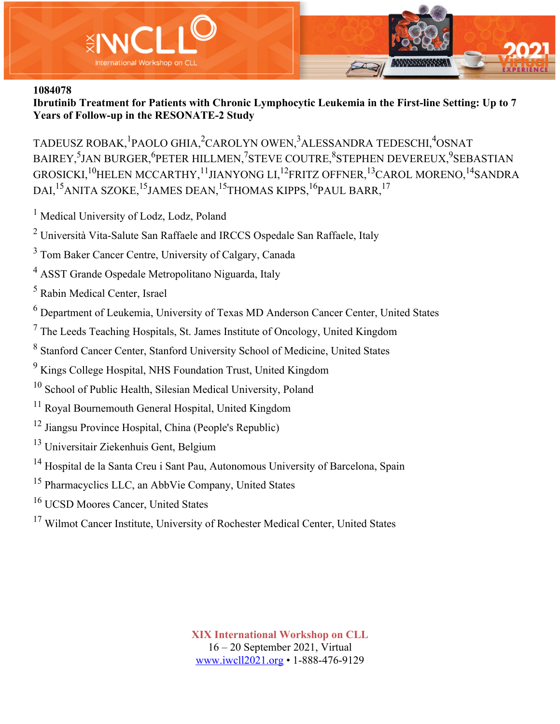

**Ibrutinib Treatment for Patients with Chronic Lymphocytic Leukemia in the First-line Setting: Up to 7 Years of Follow-up in the RESONATE-2 Study**

TADEUSZ ROBAK, <sup>1</sup>PAOLO GHIA, <sup>2</sup>CAROLYN OWEN, <sup>3</sup>ALESSANDRA TEDESCHI, <sup>4</sup>OSNAT BAIREY,<sup>5</sup>JAN BURGER,<sup>6</sup>PETER HILLMEN,<sup>7</sup>STEVE COUTRE,<sup>8</sup>STEPHEN DEVEREUX,<sup>9</sup>SEBASTIAN GROSICKI, <sup>10</sup>HELEN MCCARTHY, <sup>11</sup>JIANYONG LI, <sup>12</sup>FRITZ OFFNER, <sup>13</sup>CAROL MORENO, <sup>14</sup>SANDRA DAI,<sup>15</sup>ANITA SZOKE,<sup>15</sup>JAMES DEAN,<sup>15</sup>THOMAS KIPPS,<sup>16</sup>PAUL BARR,<sup>17</sup>

<sup>1</sup> Medical University of Lodz, Lodz, Poland

<sup>2</sup> Università Vita-Salute San Raffaele and IRCCS Ospedale San Raffaele, Italy

<sup>3</sup> Tom Baker Cancer Centre, University of Calgary, Canada

<sup>4</sup> ASST Grande Ospedale Metropolitano Niguarda, Italy

<sup>5</sup> Rabin Medical Center, Israel

<sup>6</sup> Department of Leukemia, University of Texas MD Anderson Cancer Center, United States

 $<sup>7</sup>$  The Leeds Teaching Hospitals, St. James Institute of Oncology, United Kingdom</sup>

<sup>8</sup> Stanford Cancer Center, Stanford University School of Medicine, United States

<sup>9</sup> Kings College Hospital, NHS Foundation Trust, United Kingdom

<sup>10</sup> School of Public Health, Silesian Medical University, Poland

<sup>11</sup> Royal Bournemouth General Hospital, United Kingdom

<sup>12</sup> Jiangsu Province Hospital, China (People's Republic)

<sup>13</sup> Universitair Ziekenhuis Gent, Belgium

<sup>14</sup> Hospital de la Santa Creu i Sant Pau, Autonomous University of Barcelona, Spain

<sup>15</sup> Pharmacyclics LLC, an AbbVie Company, United States

<sup>16</sup> UCSD Moores Cancer, United States

<sup>17</sup> Wilmot Cancer Institute, University of Rochester Medical Center, United States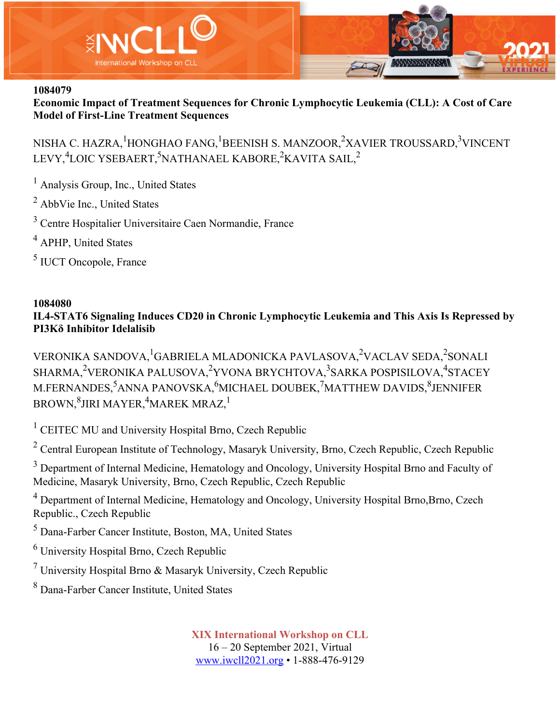

**Economic Impact of Treatment Sequences for Chronic Lymphocytic Leukemia (CLL): A Cost of Care Model of First-Line Treatment Sequences**

NISHA C. HAZRA,<sup>1</sup>HONGHAO FANG,<sup>1</sup>BEENISH S. MANZOOR,<sup>2</sup>XAVIER TROUSSARD,<sup>3</sup>VINCENT LEVY,<sup>4</sup>LOIC YSEBAERT,<sup>5</sup>NATHANAEL KABORE,<sup>2</sup>KAVITA SAIL,<sup>2</sup>

<sup>1</sup> Analysis Group, Inc., United States

<sup>2</sup> AbbVie Inc., United States

<sup>3</sup> Centre Hospitalier Universitaire Caen Normandie, France

<sup>4</sup> APHP, United States

<sup>5</sup> IUCT Oncopole, France

### **1084080**

**IL4-STAT6 Signaling Induces CD20 in Chronic Lymphocytic Leukemia and This Axis Is Repressed by PI3Kδ Inhibitor Idelalisib**

VERONIKA SANDOVA, <sup>1</sup>GABRIELA MLADONICKA PAVLASOVA, <sup>2</sup>VACLAV SEDA, <sup>2</sup>SONALI SHARMA,<sup>2</sup>VERONIKA PALUSOVA,<sup>2</sup>YVONA BRYCHTOVA,<sup>3</sup>SARKA POSPISILOVA,<sup>4</sup>STACEY M.FERNANDES,<sup>5</sup>ANNA PANOVSKA,<sup>6</sup>MICHAEL DOUBEK,<sup>7</sup>MATTHEW DAVIDS,<sup>8</sup>JENNIFER BROWN, $^8$ JIRI MAYER, $^4$ MAREK MRAZ, $^1$ 

<sup>1</sup> CEITEC MU and University Hospital Brno, Czech Republic

<sup>2</sup> Central European Institute of Technology, Masaryk University, Brno, Czech Republic, Czech Republic

<sup>3</sup> Department of Internal Medicine, Hematology and Oncology, University Hospital Brno and Faculty of Medicine, Masaryk University, Brno, Czech Republic, Czech Republic

<sup>4</sup> Department of Internal Medicine, Hematology and Oncology, University Hospital Brno, Brno, Czech Republic., Czech Republic

<sup>5</sup> Dana-Farber Cancer Institute, Boston, MA, United States

<sup>6</sup> University Hospital Brno, Czech Republic

<sup>7</sup> University Hospital Brno & Masaryk University, Czech Republic

<sup>8</sup> Dana-Farber Cancer Institute, United States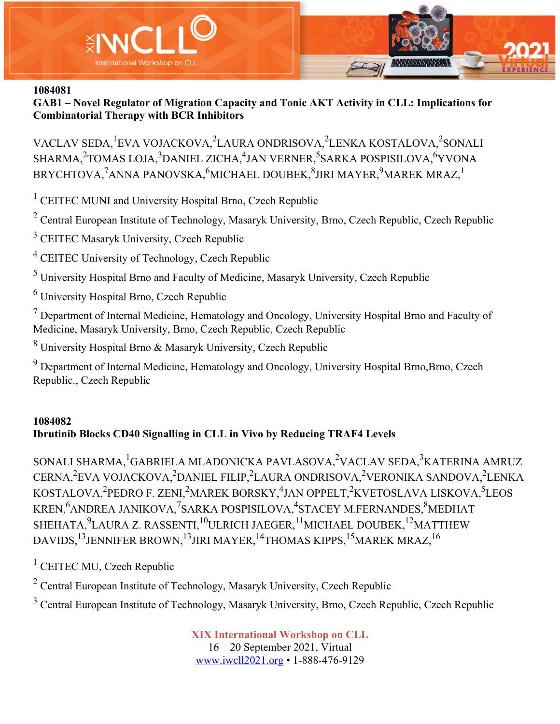

**GAB1 – Novel Regulator of Migration Capacity and Tonic AKT Activity in CLL: Implications for Combinatorial Therapy with BCR Inhibitors**

VACLAV SEDA, <sup>1</sup>EVA VOJACKOVA, <sup>2</sup>LAURA ONDRISOVA, <sup>2</sup>LENKA KOSTALOVA, <sup>2</sup>SONALI SHARMA,<sup>2</sup>TOMAS LOJA,<sup>3</sup>DANIEL ZICHA,<sup>4</sup>JAN VERNER,<sup>5</sup>SARKA POSPISILOVA,<sup>6</sup>YVONA BRYCHTOVA, $^{7}$ ANNA PANOVSKA, $^{6}$ MICHAEL DOUBEK, $^{8}$ JIRI MAYER, $^{9}$ MAREK MRAZ, $^{1}$ 

<sup>1</sup> CEITEC MUNI and University Hospital Brno, Czech Republic

<sup>2</sup> Central European Institute of Technology, Masaryk University, Brno, Czech Republic, Czech Republic

<sup>3</sup> CEITEC Masaryk University, Czech Republic

<sup>4</sup> CEITEC University of Technology, Czech Republic

<sup>5</sup> University Hospital Brno and Faculty of Medicine, Masaryk University, Czech Republic

<sup>6</sup> University Hospital Brno, Czech Republic

 $<sup>7</sup>$  Department of Internal Medicine, Hematology and Oncology, University Hospital Brno and Faculty of</sup> Medicine, Masaryk University, Brno, Czech Republic, Czech Republic

<sup>8</sup> University Hospital Brno & Masaryk University, Czech Republic

<sup>9</sup> Department of Internal Medicine, Hematology and Oncology, University Hospital Brno, Brno, Czech Republic., Czech Republic

# **1084082 Ibrutinib Blocks CD40 Signalling in CLL in Vivo by Reducing TRAF4 Levels**

SONALI SHARMA, <sup>1</sup>GABRIELA MLADONICKA PAVLASOVA, <sup>2</sup>VACLAV SEDA, <sup>3</sup>KATERINA AMRUZ CERNA,<sup>2</sup>EVA VOJACKOVA,<sup>2</sup>DANIEL FILIP,<sup>2</sup>LAURA ONDRISOVA,<sup>2</sup>VERONIKA SANDOVA,<sup>2</sup>LENKA KOSTALOVA,<sup>2</sup>PEDRO F. ZENI,<sup>2</sup>MAREK BORSKY,<sup>4</sup>JAN OPPELT,<sup>2</sup>KVETOSLAVA LISKOVA,<sup>5</sup>LEOS KREN, $^6$ ANDREA JANIKOVA, $^7$ SARKA POSPISILOVA, $^4$ STACEY M.FERNANDES, $^8$ MEDHAT SHEHATA, $^9$ LAURA Z. RASSENTI, $^{10}$ ULRICH JAEGER, $^{11}$ MICHAEL DOUBEK, $^{12}$ MATTHEW DAVIDS,<sup>13</sup>JENNIFER BROWN,<sup>13</sup>JIRI MAYER,<sup>14</sup>THOMAS KIPPS,<sup>15</sup>MAREK MRAZ,<sup>16</sup>

 $<sup>1</sup>$  CEITEC MU, Czech Republic</sup>

<sup>2</sup> Central European Institute of Technology, Masaryk University, Czech Republic

<sup>3</sup> Central European Institute of Technology, Masaryk University, Brno, Czech Republic, Czech Republic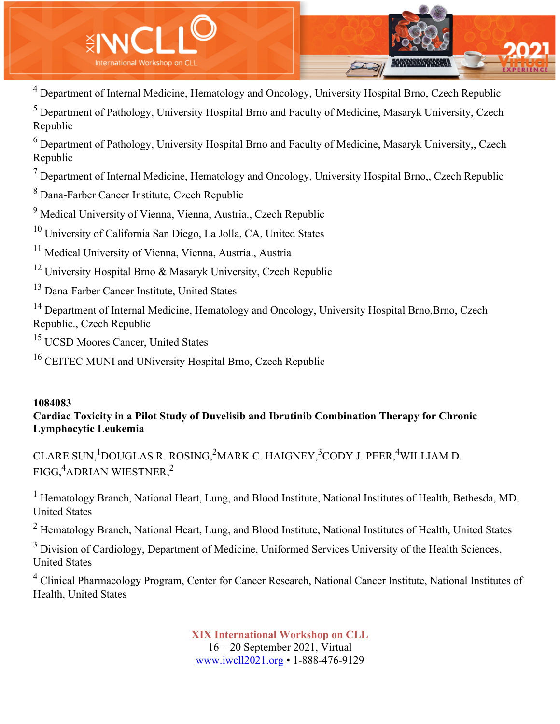

<sup>4</sup> Department of Internal Medicine, Hematology and Oncology, University Hospital Brno, Czech Republic

<sup>5</sup> Department of Pathology, University Hospital Brno and Faculty of Medicine, Masaryk University, Czech Republic

<sup>6</sup> Department of Pathology, University Hospital Brno and Faculty of Medicine, Masaryk University,, Czech Republic

 $<sup>7</sup>$  Department of Internal Medicine, Hematology and Oncology, University Hospital Brno,, Czech Republic</sup>

<sup>8</sup> Dana-Farber Cancer Institute, Czech Republic

<sup>9</sup> Medical University of Vienna, Vienna, Austria., Czech Republic

<sup>10</sup> University of California San Diego, La Jolla, CA, United States

<sup>11</sup> Medical University of Vienna, Vienna, Austria, Austria

<sup>12</sup> University Hospital Brno & Masaryk University, Czech Republic

<sup>13</sup> Dana-Farber Cancer Institute, United States

<sup>14</sup> Department of Internal Medicine, Hematology and Oncology, University Hospital Brno, Brno, Czech Republic., Czech Republic

<sup>15</sup> UCSD Moores Cancer, United States

<sup>16</sup> CEITEC MUNI and UNiversity Hospital Brno, Czech Republic

## **1084083**

# **Cardiac Toxicity in a Pilot Study of Duvelisib and Ibrutinib Combination Therapy for Chronic Lymphocytic Leukemia**

CLARE SUN,<sup>1</sup>DOUGLAS R. ROSING,<sup>2</sup>MARK C. HAIGNEY,<sup>3</sup>CODY J. PEER,<sup>4</sup>WILLIAM D. FIGG, $\rm ^4$ ADRIAN WIESTNER, $\rm ^2$ 

<sup>1</sup> Hematology Branch, National Heart, Lung, and Blood Institute, National Institutes of Health, Bethesda, MD, United States

<sup>2</sup> Hematology Branch, National Heart, Lung, and Blood Institute, National Institutes of Health, United States

 $3$  Division of Cardiology, Department of Medicine, Uniformed Services University of the Health Sciences, United States

<sup>4</sup> Clinical Pharmacology Program, Center for Cancer Research, National Cancer Institute, National Institutes of Health, United States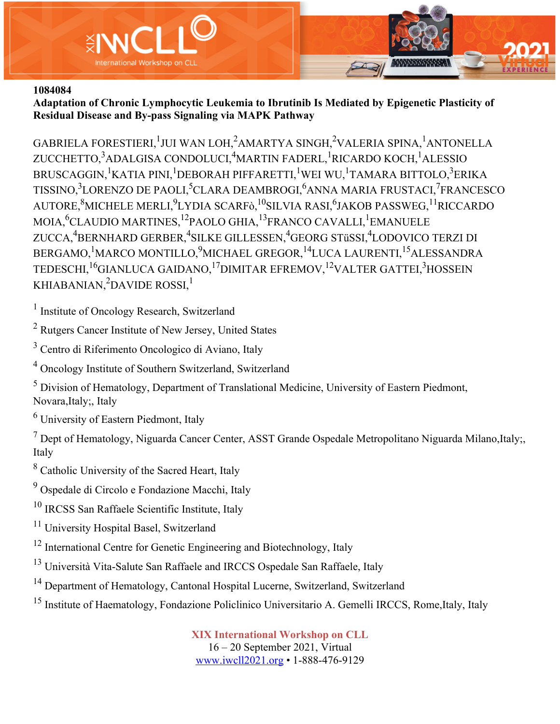

**Adaptation of Chronic Lymphocytic Leukemia to Ibrutinib Is Mediated by Epigenetic Plasticity of Residual Disease and By-pass Signaling via MAPK Pathway**

GABRIELA FORESTIERI, $^1$ JUI WAN LOH, $^2$ AMARTYA SINGH, $^2$ VALERIA SPINA, $^1$ ANTONELLA ZUCCHETTO,<sup>3</sup>ADALGISA CONDOLUCI,<sup>4</sup>MARTIN FADERL,<sup>1</sup>RICARDO KOCH,<sup>1</sup>ALESSIO BRUSCAGGIN, $^1$ KATIA PINI, $^1$ DEBORAH PIFFARETTI, $^1$ WEI WU, $^1$ TAMARA BITTOLO, $^3$ ERIKA TISSINO, $^3$ LORENZO DE PAOLI, $^5$ CLARA DEAMBROGI, $^6$ ANNA MARIA FRUSTACI, $^7$ FRANCESCO AUTORE, $^8$ MICHELE MERLI, $^9$ LYDIA SCARFò, $^{10}$ SILVIA RASI, $^6$ JAKOB PASSWEG, $^{11}$ RICCARDO MOIA,<sup>6</sup>CLAUDIO MARTINES,<sup>12</sup>PAOLO GHIA,<sup>13</sup>FRANCO CAVALLI,<sup>1</sup>EMANUELE ZUCCA,<sup>4</sup>BERNHARD GERBER,<sup>4</sup>SILKE GILLESSEN,<sup>4</sup>GEORG STüSSI,<sup>4</sup>LODOVICO TERZI DI BERGAMO, <sup>1</sup>MARCO MONTILLO, <sup>9</sup>MICHAEL GREGOR, <sup>14</sup>LUCA LAURENTI, <sup>15</sup>ALESSANDRA TEDESCHI,<sup>16</sup>GIANLUCA GAIDANO,<sup>17</sup>DIMITAR EFREMOV,<sup>12</sup>VALTER GATTEI,<sup>3</sup>HOSSEIN KHIABANIAN,<sup>2</sup>DAVIDE ROSSI,<sup>1</sup>

<sup>1</sup> Institute of Oncology Research, Switzerland

<sup>2</sup> Rutgers Cancer Institute of New Jersey, United States

<sup>3</sup> Centro di Riferimento Oncologico di Aviano, Italy

<sup>4</sup> Oncology Institute of Southern Switzerland, Switzerland

<sup>5</sup> Division of Hematology, Department of Translational Medicine, University of Eastern Piedmont, Novara,Italy;, Italy

<sup>6</sup> University of Eastern Piedmont, Italy

 $<sup>7</sup>$  Dept of Hematology, Niguarda Cancer Center, ASST Grande Ospedale Metropolitano Niguarda Milano, Italy;</sup> Italy

<sup>8</sup> Catholic University of the Sacred Heart, Italy

<sup>9</sup> Ospedale di Circolo e Fondazione Macchi, Italy

<sup>10</sup> IRCSS San Raffaele Scientific Institute, Italy

<sup>11</sup> University Hospital Basel, Switzerland

<sup>12</sup> International Centre for Genetic Engineering and Biotechnology, Italy

<sup>13</sup> Università Vita-Salute San Raffaele and IRCCS Ospedale San Raffaele, Italy

<sup>14</sup> Department of Hematology, Cantonal Hospital Lucerne, Switzerland, Switzerland

<sup>15</sup> Institute of Haematology, Fondazione Policlinico Universitario A. Gemelli IRCCS, Rome,Italy, Italy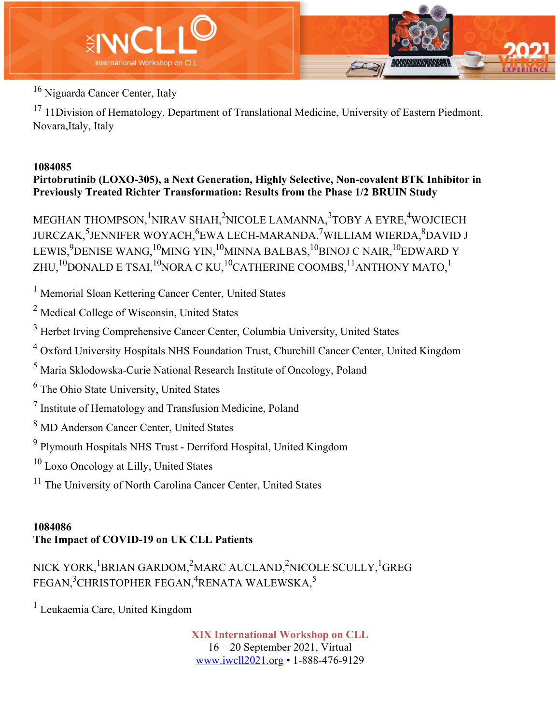

<sup>16</sup> Niguarda Cancer Center, Italy

<sup>17</sup> 11Division of Hematology, Department of Translational Medicine, University of Eastern Piedmont, Novara,Italy, Italy

# **1084085**

**Pirtobrutinib (LOXO-305), a Next Generation, Highly Selective, Non-covalent BTK Inhibitor in Previously Treated Richter Transformation: Results from the Phase 1/2 BRUIN Study**

MEGHAN THOMPSON, <sup>1</sup>NIRAV SHAH, <sup>2</sup>NICOLE LAMANNA, <sup>3</sup>TOBY A EYRE, <sup>4</sup>WOJCIECH JURCZAK,<sup>5</sup>JENNIFER WOYACH,<sup>6</sup>EWA LECH-MARANDA,<sup>7</sup>WILLIAM WIERDA,<sup>8</sup>DAVID J LEWIS, $^{9}$ DENISE WANG, $^{10}$ MING YIN, $^{10}$ MINNA BALBAS, $^{10}$ BINOJ C NAIR, $^{10}$ EDWARD Y ZHU,<sup>10</sup>DONALD E TSAI,<sup>10</sup>NORA C KU,<sup>10</sup>CATHERINE COOMBS,<sup>11</sup>ANTHONY MATO,<sup>1</sup>

<sup>1</sup> Memorial Sloan Kettering Cancer Center, United States

<sup>2</sup> Medical College of Wisconsin, United States

- <sup>3</sup> Herbet Irving Comprehensive Cancer Center, Columbia University, United States
- <sup>4</sup> Oxford University Hospitals NHS Foundation Trust, Churchill Cancer Center, United Kingdom
- <sup>5</sup> Maria Sklodowska-Curie National Research Institute of Oncology, Poland
- <sup>6</sup> The Ohio State University, United States
- <sup>7</sup> Institute of Hematology and Transfusion Medicine, Poland
- <sup>8</sup> MD Anderson Cancer Center, United States
- <sup>9</sup> Plymouth Hospitals NHS Trust Derriford Hospital, United Kingdom
- <sup>10</sup> Loxo Oncology at Lilly, United States
- <sup>11</sup> The University of North Carolina Cancer Center, United States

# **1084086 The Impact of COVID-19 on UK CLL Patients**

# NICK YORK, <sup>1</sup>BRIAN GARDOM, <sup>2</sup>MARC AUCLAND, <sup>2</sup>NICOLE SCULLY, <sup>1</sup>GREG FEGAN, $^3$ CHRISTOPHER FEGAN, $^4$ RENATA WALEWSKA, $^5$

<sup>1</sup> Leukaemia Care, United Kingdom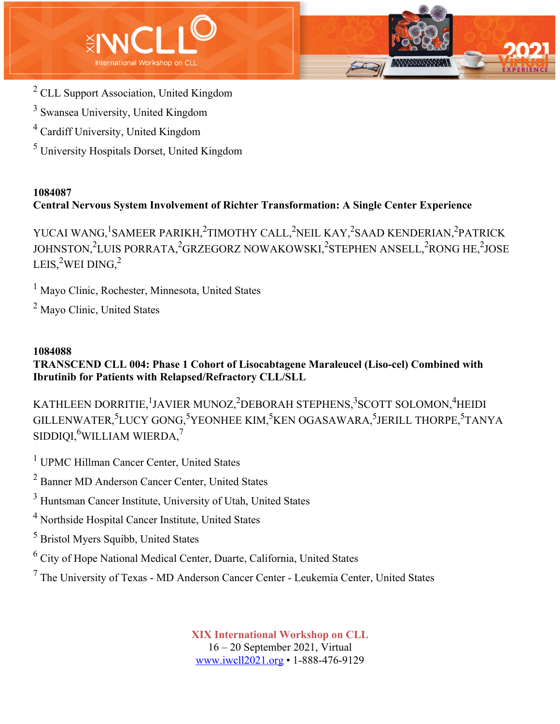



- <sup>3</sup> Swansea University, United Kingdom
- <sup>4</sup> Cardiff University, United Kingdom
- <sup>5</sup> University Hospitals Dorset, United Kingdom

# **1084087 Central Nervous System Involvement of Richter Transformation: A Single Center Experience**

YUCAI WANG,<sup>1</sup>SAMEER PARIKH,<sup>2</sup>TIMOTHY CALL,<sup>2</sup>NEIL KAY,<sup>2</sup>SAAD KENDERIAN,<sup>2</sup>PATRICK JOHNSTON,<sup>2</sup>LUIS PORRATA,<sup>2</sup>GRZEGORZ NOWAKOWSKI,<sup>2</sup>STEPHEN ANSELL,<sup>2</sup>RONG HE,<sup>2</sup>JOSE LEIS, $^2$ WEI DING, $^2$ 

<sup>1</sup> Mayo Clinic, Rochester, Minnesota, United States

<sup>2</sup> Mayo Clinic, United States

# **1084088**

**TRANSCEND CLL 004: Phase 1 Cohort of Lisocabtagene Maraleucel (Liso-cel) Combined with Ibrutinib for Patients with Relapsed/Refractory CLL/SLL**

KATHLEEN DORRITIE, <sup>1</sup>JAVIER MUNOZ, <sup>2</sup>DEBORAH STEPHENS, <sup>3</sup>SCOTT SOLOMON, <sup>4</sup>HEIDI GILLENWATER,<sup>5</sup>LUCY GONG,<sup>5</sup>YEONHEE KIM,<sup>5</sup>KEN OGASAWARA,<sup>5</sup>JERILL THORPE,<sup>5</sup>TANYA  $\mathrm{SIDDIQI},^6$ WILLIAM WIERDA, $^7$ 

<sup>1</sup> UPMC Hillman Cancer Center, United States

<sup>2</sup> Banner MD Anderson Cancer Center, United States

<sup>3</sup> Huntsman Cancer Institute, University of Utah, United States

<sup>4</sup> Northside Hospital Cancer Institute, United States

<sup>5</sup> Bristol Myers Squibb, United States

<sup>6</sup> City of Hope National Medical Center, Duarte, California, United States

<sup>7</sup> The University of Texas - MD Anderson Cancer Center - Leukemia Center, United States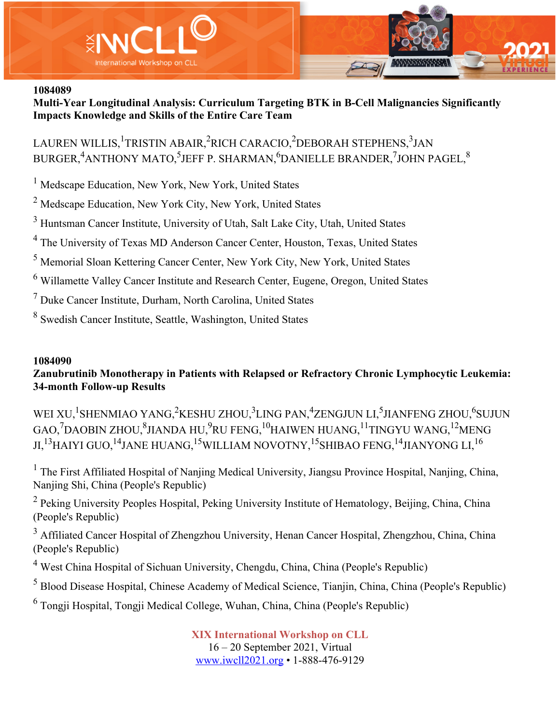

**Multi-Year Longitudinal Analysis: Curriculum Targeting BTK in B-Cell Malignancies Significantly Impacts Knowledge and Skills of the Entire Care Team**

LAUREN WILLIS, <sup>1</sup>TRISTIN ABAIR, <sup>2</sup>RICH CARACIO, <sup>2</sup>DEBORAH STEPHENS, <sup>3</sup>JAN BURGER, ${\rm ^4}$ ANTHONY MATO, ${\rm ^5}$ JEFF P. SHARMAN, ${\rm ^6}$ DANIELLE BRANDER, ${\rm ^7}$ JOHN PAGEL, ${\rm ^8}$ 

<sup>1</sup> Medscape Education, New York, New York, United States

<sup>2</sup> Medscape Education, New York City, New York, United States

<sup>3</sup> Huntsman Cancer Institute, University of Utah, Salt Lake City, Utah, United States

<sup>4</sup> The University of Texas MD Anderson Cancer Center, Houston, Texas, United States

<sup>5</sup> Memorial Sloan Kettering Cancer Center, New York City, New York, United States

<sup>6</sup> Willamette Valley Cancer Institute and Research Center, Eugene, Oregon, United States

<sup>7</sup> Duke Cancer Institute, Durham, North Carolina, United States

<sup>8</sup> Swedish Cancer Institute, Seattle, Washington, United States

#### **1084090**

**Zanubrutinib Monotherapy in Patients with Relapsed or Refractory Chronic Lymphocytic Leukemia: 34-month Follow-up Results**

WEI XU,<sup>1</sup>SHENMIAO YANG,<sup>2</sup>KESHU ZHOU,<sup>3</sup>LING PAN,<sup>4</sup>ZENGJUN LI,<sup>5</sup>JIANFENG ZHOU,<sup>6</sup>SUJUN GAO, $^7$ DAOBIN ZHOU, $^8$ JIANDA HU, $^9$ RU FENG, $^{10}$ HAIWEN HUANG, $^{11}$ TINGYU WANG, $^{12}$ MENG JI,<sup>13</sup>HAIYI GUO,<sup>14</sup>JANE HUANG,<sup>15</sup>WILLIAM NOVOTNY,<sup>15</sup>SHIBAO FENG,<sup>14</sup>JIANYONG LI,<sup>16</sup>

 $1$  The First Affiliated Hospital of Nanjing Medical University, Jiangsu Province Hospital, Nanjing, China, Nanjing Shi, China (People's Republic)

 $2$  Peking University Peoples Hospital, Peking University Institute of Hematology, Beijing, China, China (People's Republic)

<sup>3</sup> Affiliated Cancer Hospital of Zhengzhou University, Henan Cancer Hospital, Zhengzhou, China, China (People's Republic)

<sup>4</sup> West China Hospital of Sichuan University, Chengdu, China, China (People's Republic)

<sup>5</sup> Blood Disease Hospital, Chinese Academy of Medical Science, Tianjin, China, China (People's Republic)

<sup>6</sup> Tongji Hospital, Tongji Medical College, Wuhan, China, China (People's Republic)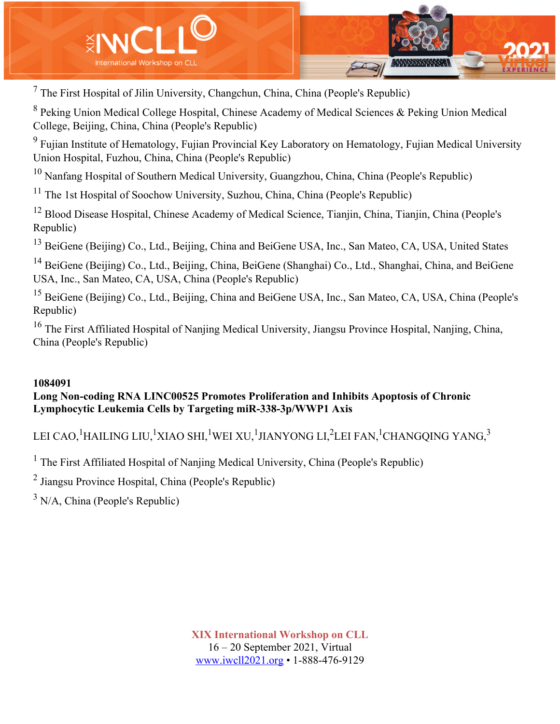

 $<sup>7</sup>$  The First Hospital of Jilin University, Changchun, China, China (People's Republic)</sup>

<sup>8</sup> Peking Union Medical College Hospital, Chinese Academy of Medical Sciences & Peking Union Medical College, Beijing, China, China (People's Republic)

<sup>9</sup> Fujian Institute of Hematology, Fujian Provincial Key Laboratory on Hematology, Fujian Medical University Union Hospital, Fuzhou, China, China (People's Republic)

 $10$  Nanfang Hospital of Southern Medical University, Guangzhou, China, China (People's Republic)

<sup>11</sup> The 1st Hospital of Soochow University, Suzhou, China, China (People's Republic)

<sup>12</sup> Blood Disease Hospital, Chinese Academy of Medical Science, Tianjin, China, Tianjin, China (People's Republic)

<sup>13</sup> BeiGene (Beijing) Co., Ltd., Beijing, China and BeiGene USA, Inc., San Mateo, CA, USA, United States

<sup>14</sup> BeiGene (Beijing) Co., Ltd., Beijing, China, BeiGene (Shanghai) Co., Ltd., Shanghai, China, and BeiGene USA, Inc., San Mateo, CA, USA, China (People's Republic)

<sup>15</sup> BeiGene (Beijing) Co., Ltd., Beijing, China and BeiGene USA, Inc., San Mateo, CA, USA, China (People's Republic)

<sup>16</sup> The First Affiliated Hospital of Nanjing Medical University, Jiangsu Province Hospital, Nanjing, China, China (People's Republic)

### **1084091**

# **Long Non‐coding RNA LINC00525 Promotes Proliferation and Inhibits Apoptosis of Chronic Lymphocytic Leukemia Cells by Targeting miR‐338‐3p/WWP1 Axis**

LEI CAO, $^1$ HAILING LIU, $^1$ XIAO SHI, $^1$ WEI XU, $^1$ JIANYONG LI, $^2$ LEI FAN, $^1$ CHANGQING YANG, $^3$ 

<sup>1</sup> The First Affiliated Hospital of Nanjing Medical University, China (People's Republic)

<sup>2</sup> Jiangsu Province Hospital, China (People's Republic)

 $3$  N/A, China (People's Republic)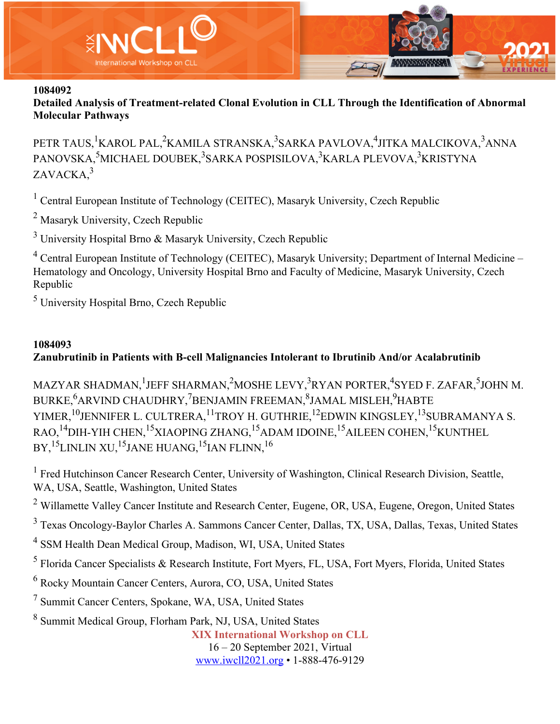

**Detailed Analysis of Treatment-related Clonal Evolution in CLL Through the Identification of Abnormal Molecular Pathways**

PETR TAUS, <sup>1</sup>KAROL PAL,<sup>2</sup>KAMILA STRANSKA,<sup>3</sup>SARKA PAVLOVA,<sup>4</sup>JITKA MALCIKOVA,<sup>3</sup>ANNA PANOVSKA,<sup>5</sup>MICHAEL DOUBEK,<sup>3</sup>SARKA POSPISILOVA,<sup>3</sup>KARLA PLEVOVA,<sup>3</sup>KRISTYNA ZAVACKA, 3

 $<sup>1</sup>$  Central European Institute of Technology (CEITEC), Masaryk University, Czech Republic</sup>

<sup>2</sup> Masaryk University, Czech Republic

<sup>3</sup> University Hospital Brno & Masaryk University, Czech Republic

<sup>4</sup> Central European Institute of Technology (CEITEC), Masaryk University; Department of Internal Medicine – Hematology and Oncology, University Hospital Brno and Faculty of Medicine, Masaryk University, Czech Republic

<sup>5</sup> University Hospital Brno, Czech Republic

## **1084093**

# **Zanubrutinib in Patients with B-cell Malignancies Intolerant to Ibrutinib And/or Acalabrutinib**

MAZYAR SHADMAN, <sup>1</sup>JEFF SHARMAN, <sup>2</sup>MOSHE LEVY, <sup>3</sup>RYAN PORTER, <sup>4</sup>SYED F. ZAFAR, <sup>5</sup>JOHN M. BURKE, $^6$ ARVIND CHAUDHRY, $^7$ BENJAMIN FREEMAN, $^8$ JAMAL MISLEH, $^9$ HABTE YIMER,<sup>10</sup>JENNIFER L. CULTRERA,<sup>11</sup>TROY H. GUTHRIE,<sup>12</sup>EDWIN KINGSLEY,<sup>13</sup>SUBRAMANYA S. RAO,<sup>14</sup>DIH-YIH CHEN,<sup>15</sup>XIAOPING ZHANG,<sup>15</sup>ADAM IDOINE,<sup>15</sup>AILEEN COHEN,<sup>15</sup>KUNTHEL BY, <sup>15</sup>LINLIN XU, <sup>15</sup>JANE HUANG, <sup>15</sup>JAN FLINN, <sup>16</sup>

<sup>1</sup> Fred Hutchinson Cancer Research Center, University of Washington, Clinical Research Division, Seattle, WA, USA, Seattle, Washington, United States

<sup>2</sup> Willamette Valley Cancer Institute and Research Center, Eugene, OR, USA, Eugene, Oregon, United States

<sup>3</sup> Texas Oncology-Baylor Charles A. Sammons Cancer Center, Dallas, TX, USA, Dallas, Texas, United States

<sup>4</sup> SSM Health Dean Medical Group, Madison, WI, USA, United States

<sup>5</sup> Florida Cancer Specialists & Research Institute, Fort Myers, FL, USA, Fort Myers, Florida, United States

<sup>6</sup> Rocky Mountain Cancer Centers, Aurora, CO, USA, United States

<sup>7</sup> Summit Cancer Centers, Spokane, WA, USA, United States

<sup>8</sup> Summit Medical Group, Florham Park, NJ, USA, United States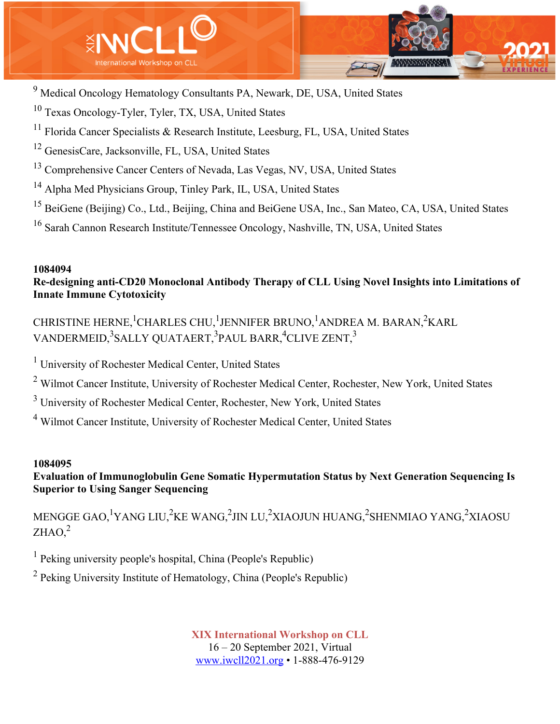

- <sup>9</sup> Medical Oncology Hematology Consultants PA, Newark, DE, USA, United States
- <sup>10</sup> Texas Oncology-Tyler, Tyler, TX, USA, United States
- $11$  Florida Cancer Specialists & Research Institute, Leesburg, FL, USA, United States
- <sup>12</sup> GenesisCare, Jacksonville, FL, USA, United States
- <sup>13</sup> Comprehensive Cancer Centers of Nevada, Las Vegas, NV, USA, United States
- <sup>14</sup> Alpha Med Physicians Group, Tinley Park, IL, USA, United States
- <sup>15</sup> BeiGene (Beijing) Co., Ltd., Beijing, China and BeiGene USA, Inc., San Mateo, CA, USA, United States
- <sup>16</sup> Sarah Cannon Research Institute/Tennessee Oncology, Nashville, TN, USA, United States

# **Re-designing anti-CD20 Monoclonal Antibody Therapy of CLL Using Novel Insights into Limitations of Innate Immune Cytotoxicity**

CHRISTINE HERNE, $^1$ CHARLES CHU, $^1$ JENNIFER BRUNO, $^1$ ANDREA M. BARAN, $^2$ KARL VANDERMEID,<sup>3</sup>SALLY QUATAERT,<sup>3</sup>PAUL BARR,<sup>4</sup>CLIVE ZENT,<sup>3</sup>

<sup>1</sup> University of Rochester Medical Center, United States

<sup>2</sup> Wilmot Cancer Institute, University of Rochester Medical Center, Rochester, New York, United States

<sup>3</sup> University of Rochester Medical Center, Rochester, New York, United States

<sup>4</sup> Wilmot Cancer Institute, University of Rochester Medical Center, United States

## **1084095**

# **Evaluation of Immunoglobulin Gene Somatic Hypermutation Status by Next Generation Sequencing Is Superior to Using Sanger Sequencing**

MENGGE GAO,<sup>1</sup>YANG LIU,<sup>2</sup>KE WANG,<sup>2</sup>JIN LU,<sup>2</sup>XIAOJUN HUANG,<sup>2</sup>SHENMIAO YANG,<sup>2</sup>XIAOSU  $ZHAO<sup>2</sup>$ 

<sup>1</sup> Peking university people's hospital, China (People's Republic)

<sup>2</sup> Peking University Institute of Hematology, China (People's Republic)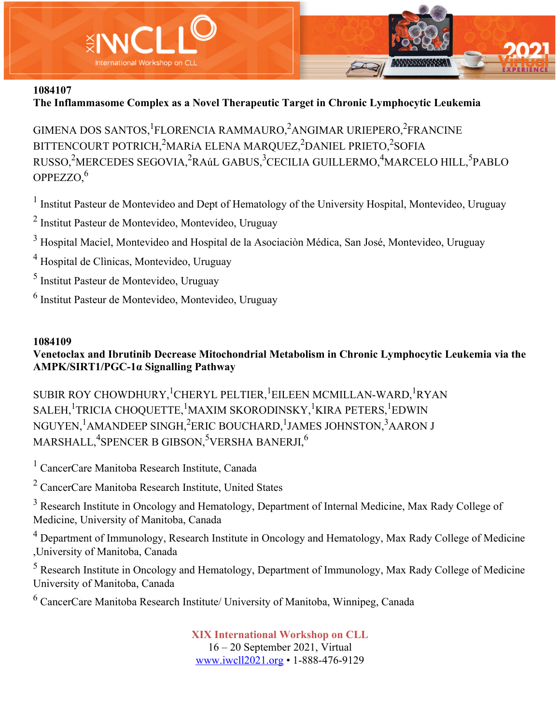

# **The Inflammasome Complex as a Novel Therapeutic Target in Chronic Lymphocytic Leukemia**

GIMENA DOS SANTOS, <sup>1</sup>FLORENCIA RAMMAURO, <sup>2</sup>ANGIMAR URIEPERO, <sup>2</sup>FRANCINE BITTENCOURT POTRICH,<sup>2</sup>MARíA ELENA MARQUEZ,<sup>2</sup>DANIEL PRIETO,<sup>2</sup>SOFIA RUSSO,<sup>2</sup>MERCEDES SEGOVIA,<sup>2</sup>RAúL GABUS,<sup>3</sup>CECILIA GUILLERMO,<sup>4</sup>MARCELO HILL,<sup>5</sup>PABLO OPPEZZO,6

<sup>1</sup> Institut Pasteur de Montevideo and Dept of Hematology of the University Hospital, Montevideo, Uruguay

<sup>2</sup> Institut Pasteur de Montevideo, Montevideo, Uruguay

<sup>3</sup> Hospital Maciel, Montevideo and Hospital de la Asociaciòn Médica, San José, Montevideo, Uruguay

<sup>4</sup> Hospital de Clìnicas, Montevideo, Uruguay

<sup>5</sup> Institut Pasteur de Montevideo, Uruguay

<sup>6</sup> Institut Pasteur de Montevideo, Montevideo, Uruguay

## **1084109**

## **Venetoclax and Ibrutinib Decrease Mitochondrial Metabolism in Chronic Lymphocytic Leukemia via the AMPK/SIRT1/PGC-1α Signalling Pathway**

SUBIR ROY CHOWDHURY,  $^1$ CHERYL PELTIER,  $^1$ EILEEN MCMILLAN-WARD,  $^1$ RYAN SALEH, $^1$ TRICIA CHOQUETTE, $^1$ MAXIM SKORODINSKY, $^1$ KIRA PETERS, $^1$ EDWIN NGUYEN, <sup>1</sup>AMANDEEP SINGH,<sup>2</sup>ERIC BOUCHARD, <sup>1</sup>JAMES JOHNSTON,<sup>3</sup>AARON J  $\mathrm{MARSHALL,^{4}SPENCER~B~GIBSON,^{5}VERSHA~BANERJI,^{6}}$ 

<sup>1</sup> CancerCare Manitoba Research Institute, Canada

<sup>2</sup> CancerCare Manitoba Research Institute, United States

<sup>3</sup> Research Institute in Oncology and Hematology, Department of Internal Medicine, Max Rady College of Medicine, University of Manitoba, Canada

<sup>4</sup> Department of Immunology, Research Institute in Oncology and Hematology, Max Rady College of Medicine ,University of Manitoba, Canada

<sup>5</sup> Research Institute in Oncology and Hematology, Department of Immunology, Max Rady College of Medicine University of Manitoba, Canada

<sup>6</sup> CancerCare Manitoba Research Institute/ University of Manitoba, Winnipeg, Canada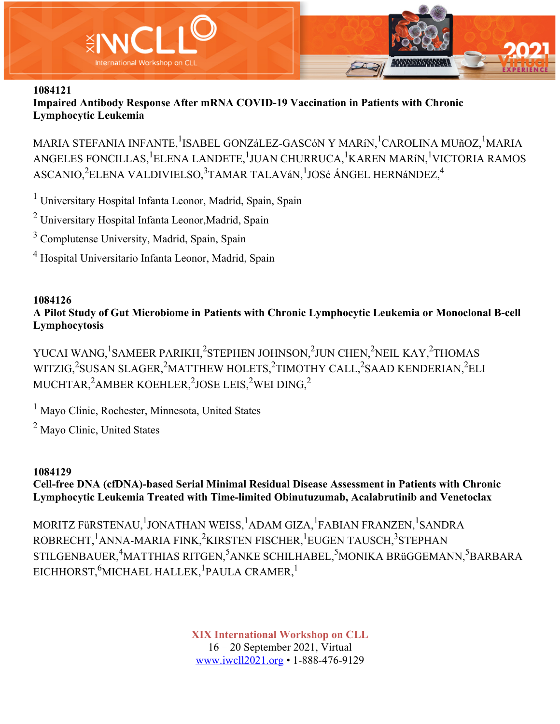

**Impaired Antibody Response After mRNA COVID-19 Vaccination in Patients with Chronic Lymphocytic Leukemia**

MARIA STEFANIA INFANTE,<sup>1</sup>ISABEL GONZáLEZ-GASCóN Y MARíN,<sup>1</sup>CAROLINA MUñOZ,<sup>1</sup>MARIA ANGELES FONCILLAS, <sup>1</sup>ELENA LANDETE, <sup>1</sup>JUAN CHURRUCA, <sup>1</sup>KAREN MARíN, <sup>1</sup>VICTORIA RAMOS ASCANIO,<sup>2</sup>ELENA VALDIVIELSO,<sup>3</sup>TAMAR TALAVáN,<sup>1</sup>JOSé ÁNGEL HERNáNDEZ,<sup>4</sup>

<sup>1</sup> Universitary Hospital Infanta Leonor, Madrid, Spain, Spain

<sup>2</sup> Universitary Hospital Infanta Leonor,Madrid, Spain

<sup>3</sup> Complutense University, Madrid, Spain, Spain

<sup>4</sup> Hospital Universitario Infanta Leonor, Madrid, Spain

### **1084126 A Pilot Study of Gut Microbiome in Patients with Chronic Lymphocytic Leukemia or Monoclonal B-cell Lymphocytosis**

YUCAI WANG, <sup>1</sup>SAMEER PARIKH, <sup>2</sup>STEPHEN JOHNSON, <sup>2</sup>JUN CHEN, <sup>2</sup>NEIL KAY, <sup>2</sup>THOMAS WITZIG,<sup>2</sup>SUSAN SLAGER,<sup>2</sup>MATTHEW HOLETS,<sup>2</sup>TIMOTHY CALL,<sup>2</sup>SAAD KENDERIAN,<sup>2</sup>ELI MUCHTAR, $^2$ AMBER KOEHLER, $^2$ JOSE LEIS, $^2$ WEI DING, $^2$ 

<sup>1</sup> Mayo Clinic, Rochester, Minnesota, United States

<sup>2</sup> Mayo Clinic, United States

## **1084129**

## **Cell-free DNA (cfDNA)-based Serial Minimal Residual Disease Assessment in Patients with Chronic Lymphocytic Leukemia Treated with Time-limited Obinutuzumab, Acalabrutinib and Venetoclax**

MORITZ FüRSTENAU, <sup>1</sup>JONATHAN WEISS, <sup>1</sup>ADAM GIZA, <sup>1</sup>FABIAN FRANZEN, <sup>1</sup>SANDRA ROBRECHT, <sup>1</sup>ANNA-MARIA FINK, <sup>2</sup>KIRSTEN FISCHER, <sup>1</sup>EUGEN TAUSCH, <sup>3</sup>STEPHAN STILGENBAUER,<sup>4</sup>MATTHIAS RITGEN,<sup>5</sup>ANKE SCHILHABEL,<sup>5</sup>MONIKA BRüGGEMANN,<sup>5</sup>BARBARA EICHHORST,<sup>6</sup>MICHAEL HALLEK,<sup>1</sup>PAULA CRAMER,<sup>1</sup>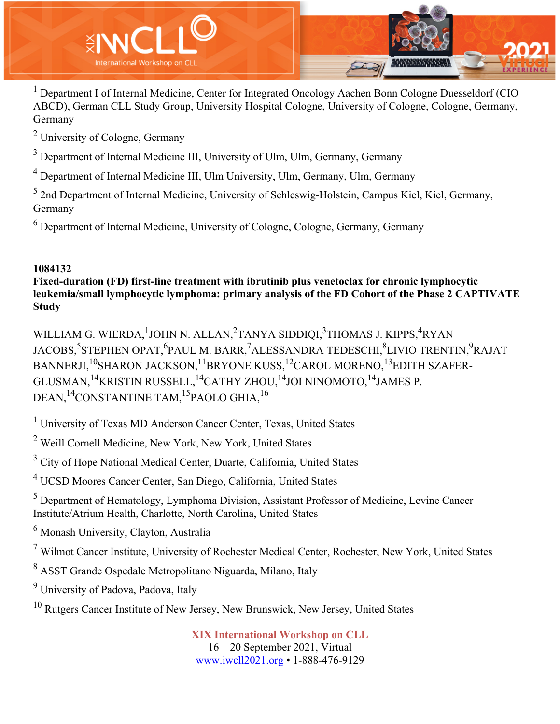

<sup>1</sup> Department I of Internal Medicine, Center for Integrated Oncology Aachen Bonn Cologne Duesseldorf (CIO ABCD), German CLL Study Group, University Hospital Cologne, University of Cologne, Cologne, Germany, Germany

<sup>2</sup> University of Cologne, Germany

 $3$  Department of Internal Medicine III, University of Ulm, Ulm, Germany, Germany

<sup>4</sup> Department of Internal Medicine III, Ulm University, Ulm, Germany, Ulm, Germany

<sup>5</sup> 2nd Department of Internal Medicine, University of Schleswig-Holstein, Campus Kiel, Kiel, Germany, Germany

 $<sup>6</sup>$  Department of Internal Medicine, University of Cologne, Cologne, Germany, Germany</sup>

## **1084132**

**Fixed-duration (FD) first-line treatment with ibrutinib plus venetoclax for chronic lymphocytic leukemia/small lymphocytic lymphoma: primary analysis of the FD Cohort of the Phase 2 CAPTIVATE Study**

WILLIAM G. WIERDA, <sup>1</sup>JOHN N. ALLAN, <sup>2</sup>TANYA SIDDIQI, <sup>3</sup>THOMAS J. KIPPS, <sup>4</sup>RYAN JACOBS,<sup>5</sup>STEPHEN OPAT,<sup>6</sup>PAUL M. BARR,<sup>7</sup>ALESSANDRA TEDESCHI,<sup>8</sup>LIVIO TRENTIN,<sup>9</sup>RAJAT BANNERJI,<sup>10</sup>SHARON JACKSON,<sup>11</sup>BRYONE KUSS,<sup>12</sup>CAROL MORENO,<sup>13</sup>EDITH SZAFER-GLUSMAN,<sup>14</sup>KRISTIN RUSSELL,<sup>14</sup>CATHY ZHOU,<sup>14</sup>JOI NINOMOTO,<sup>14</sup>JAMES P. DEAN,<sup>14</sup>CONSTANTINE TAM,<sup>15</sup>PAOLO GHIA,<sup>16</sup>

 $1$  University of Texas MD Anderson Cancer Center, Texas, United States

<sup>2</sup> Weill Cornell Medicine, New York, New York, United States

<sup>3</sup> City of Hope National Medical Center, Duarte, California, United States

<sup>4</sup> UCSD Moores Cancer Center, San Diego, California, United States

<sup>5</sup> Department of Hematology, Lymphoma Division, Assistant Professor of Medicine, Levine Cancer Institute/Atrium Health, Charlotte, North Carolina, United States

<sup>6</sup> Monash University, Clayton, Australia

<sup>7</sup> Wilmot Cancer Institute, University of Rochester Medical Center, Rochester, New York, United States

<sup>8</sup> ASST Grande Ospedale Metropolitano Niguarda, Milano, Italy

<sup>9</sup> University of Padova, Padova, Italy

<sup>10</sup> Rutgers Cancer Institute of New Jersey, New Brunswick, New Jersey, United States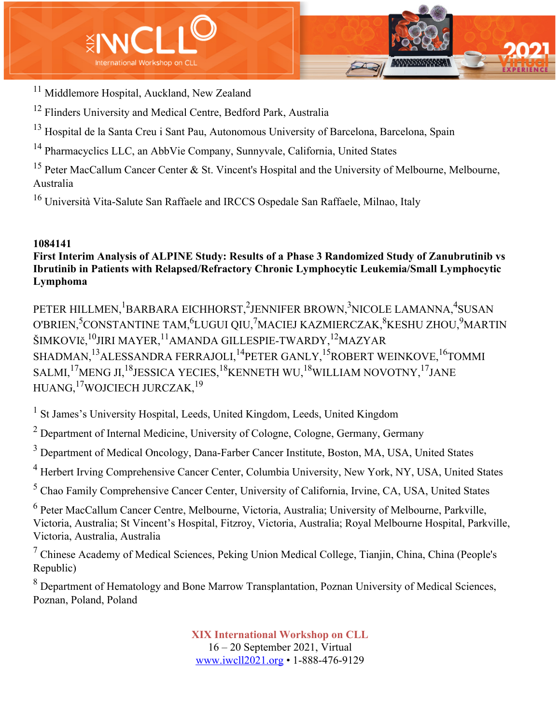

<sup>11</sup> Middlemore Hospital, Auckland, New Zealand

<sup>12</sup> Flinders University and Medical Centre, Bedford Park, Australia

<sup>13</sup> Hospital de la Santa Creu i Sant Pau, Autonomous University of Barcelona, Barcelona, Spain

<sup>14</sup> Pharmacyclics LLC, an AbbVie Company, Sunnyvale, California, United States

<sup>15</sup> Peter MacCallum Cancer Center & St. Vincent's Hospital and the University of Melbourne, Melbourne, Australia

<sup>16</sup> Università Vita-Salute San Raffaele and IRCCS Ospedale San Raffaele, Milnao, Italy

## **1084141**

## **First Interim Analysis of ALPINE Study: Results of a Phase 3 Randomized Study of Zanubrutinib vs Ibrutinib in Patients with Relapsed/Refractory Chronic Lymphocytic Leukemia/Small Lymphocytic Lymphoma**

PETER HILLMEN, <sup>1</sup>BARBARA EICHHORST, <sup>2</sup>JENNIFER BROWN, <sup>3</sup>NICOLE LAMANNA, <sup>4</sup>SUSAN O'BRIEN,<sup>5</sup>CONSTANTINE TAM,<sup>6</sup>LUGUI QIU,<sup>7</sup>MACIEJ KAZMIERCZAK,<sup>8</sup>KESHU ZHOU,<sup>9</sup>MARTIN ŠIMKOVIč,<sup>10</sup>JIRI MAYER,<sup>11</sup>AMANDA GILLESPIE-TWARDY,<sup>12</sup>MAZYAR SHADMAN,<sup>13</sup>ALESSANDRA FERRAJOLI,<sup>14</sup>PETER GANLY,<sup>15</sup>ROBERT WEINKOVE,<sup>16</sup>TOMMI SALMI,<sup>17</sup>MENG JI,<sup>18</sup>JESSICA YECIES,<sup>18</sup>KENNETH WU,<sup>18</sup>WILLIAM NOVOTNY,<sup>17</sup>JANE HUANG,17WOJCIECH JURCZAK,19

<sup>1</sup> St James's University Hospital, Leeds, United Kingdom, Leeds, United Kingdom

 $2$  Department of Internal Medicine, University of Cologne, Cologne, Germany, Germany

<sup>3</sup> Department of Medical Oncology, Dana-Farber Cancer Institute, Boston, MA, USA, United States

<sup>4</sup> Herbert Irving Comprehensive Cancer Center, Columbia University, New York, NY, USA, United States

<sup>5</sup> Chao Family Comprehensive Cancer Center, University of California, Irvine, CA, USA, United States

<sup>6</sup> Peter MacCallum Cancer Centre, Melbourne, Victoria, Australia; University of Melbourne, Parkville, Victoria, Australia; St Vincent's Hospital, Fitzroy, Victoria, Australia; Royal Melbourne Hospital, Parkville, Victoria, Australia, Australia

 $<sup>7</sup>$  Chinese Academy of Medical Sciences, Peking Union Medical College, Tianjin, China, China (People's</sup> Republic)

<sup>8</sup> Department of Hematology and Bone Marrow Transplantation, Poznan University of Medical Sciences, Poznan, Poland, Poland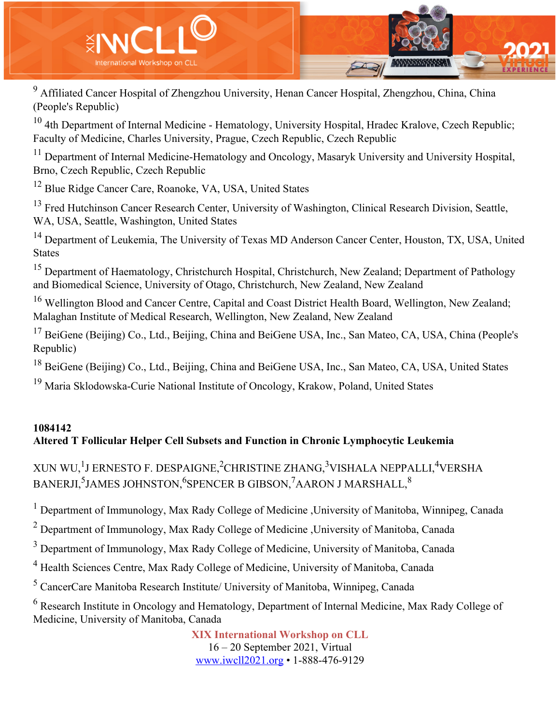

<sup>9</sup> Affiliated Cancer Hospital of Zhengzhou University, Henan Cancer Hospital, Zhengzhou, China, China (People's Republic)

 $10$  4th Department of Internal Medicine - Hematology, University Hospital, Hradec Kralove, Czech Republic; Faculty of Medicine, Charles University, Prague, Czech Republic, Czech Republic

<sup>11</sup> Department of Internal Medicine-Hematology and Oncology, Masaryk University and University Hospital, Brno, Czech Republic, Czech Republic

<sup>12</sup> Blue Ridge Cancer Care, Roanoke, VA, USA, United States

<sup>13</sup> Fred Hutchinson Cancer Research Center, University of Washington, Clinical Research Division, Seattle, WA, USA, Seattle, Washington, United States

<sup>14</sup> Department of Leukemia, The University of Texas MD Anderson Cancer Center, Houston, TX, USA, United States

<sup>15</sup> Department of Haematology, Christchurch Hospital, Christchurch, New Zealand; Department of Pathology and Biomedical Science, University of Otago, Christchurch, New Zealand, New Zealand

<sup>16</sup> Wellington Blood and Cancer Centre, Capital and Coast District Health Board, Wellington, New Zealand; Malaghan Institute of Medical Research, Wellington, New Zealand, New Zealand

<sup>17</sup> BeiGene (Beijing) Co., Ltd., Beijing, China and BeiGene USA, Inc., San Mateo, CA, USA, China (People's Republic)

<sup>18</sup> BeiGene (Beijing) Co., Ltd., Beijing, China and BeiGene USA, Inc., San Mateo, CA, USA, United States

<sup>19</sup> Maria Sklodowska-Curie National Institute of Oncology, Krakow, Poland, United States

## **1084142 Altered T Follicular Helper Cell Subsets and Function in Chronic Lymphocytic Leukemia**

# XUN WU, $^1$ J ERNESTO F. DESPAIGNE, $^2$ CHRISTINE ZHANG, $^3$ VISHALA NEPPALLI, $^4$ VERSHA BANERJI, $^5$ JAMES JOHNSTON, $^6$ SPENCER B GIBSON, $^7$ AARON J MARSHALL, $^8$

<sup>1</sup> Department of Immunology, Max Rady College of Medicine , University of Manitoba, Winnipeg, Canada

<sup>2</sup> Department of Immunology, Max Rady College of Medicine , University of Manitoba, Canada

<sup>3</sup> Department of Immunology, Max Rady College of Medicine, University of Manitoba, Canada

<sup>4</sup> Health Sciences Centre, Max Rady College of Medicine, University of Manitoba, Canada

<sup>5</sup> CancerCare Manitoba Research Institute/ University of Manitoba, Winnipeg, Canada

<sup>6</sup> Research Institute in Oncology and Hematology, Department of Internal Medicine, Max Rady College of Medicine, University of Manitoba, Canada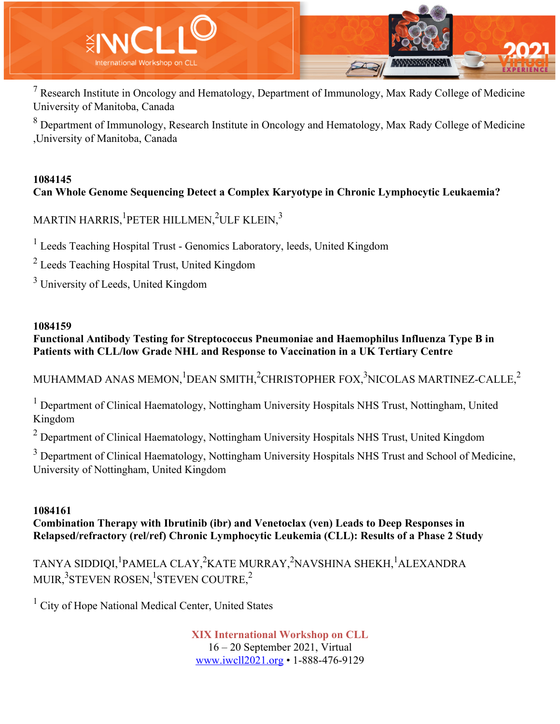

 $<sup>7</sup>$  Research Institute in Oncology and Hematology, Department of Immunology, Max Rady College of Medicine</sup> University of Manitoba, Canada

<sup>8</sup> Department of Immunology, Research Institute in Oncology and Hematology, Max Rady College of Medicine ,University of Manitoba, Canada

# **1084145 Can Whole Genome Sequencing Detect a Complex Karyotype in Chronic Lymphocytic Leukaemia?**

MARTIN HARRIS, $^1$ PETER HILLMEN, $^2$ ULF KLEIN, $^3$ 

<sup>1</sup> Leeds Teaching Hospital Trust - Genomics Laboratory, leeds, United Kingdom

<sup>2</sup> Leeds Teaching Hospital Trust, United Kingdom

<sup>3</sup> University of Leeds, United Kingdom

### **1084159**

**Functional Antibody Testing for Streptococcus Pneumoniae and Haemophilus Influenza Type B in Patients with CLL/low Grade NHL and Response to Vaccination in a UK Tertiary Centre**

MUHAMMAD ANAS MEMON, $^1$ DEAN SMITH, $^2$ CHRISTOPHER FOX, $^3$ NICOLAS MARTINEZ-CALLE, $^2$ 

<sup>1</sup> Department of Clinical Haematology, Nottingham University Hospitals NHS Trust, Nottingham, United Kingdom

 $2$  Department of Clinical Haematology, Nottingham University Hospitals NHS Trust, United Kingdom

<sup>3</sup> Department of Clinical Haematology, Nottingham University Hospitals NHS Trust and School of Medicine, University of Nottingham, United Kingdom

## **1084161**

**Combination Therapy with Ibrutinib (ibr) and Venetoclax (ven) Leads to Deep Responses in Relapsed/refractory (rel/ref) Chronic Lymphocytic Leukemia (CLL): Results of a Phase 2 Study**

TANYA SIDDIQI,<sup>1</sup>PAMELA CLAY,<sup>2</sup>KATE MURRAY,<sup>2</sup>NAVSHINA SHEKH,<sup>1</sup>ALEXANDRA MUIR, $^3$ STEVEN ROSEN, $^1$ STEVEN COUTRE, $^2$ 

<sup>1</sup> City of Hope National Medical Center, United States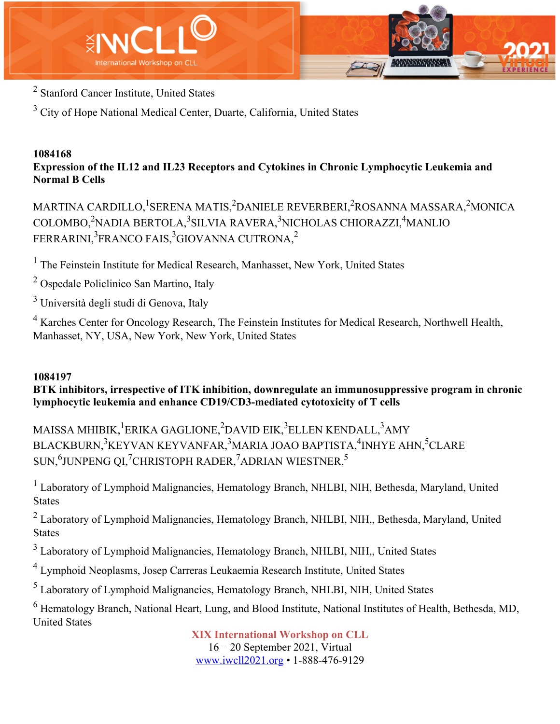



<sup>2</sup> Stanford Cancer Institute, United States

 $3$  City of Hope National Medical Center, Duarte, California, United States

#### **1084168 Expression of the IL12 and IL23 Receptors and Cytokines in Chronic Lymphocytic Leukemia and Normal B Cells**

MARTINA CARDILLO, <sup>1</sup>SERENA MATIS, <sup>2</sup>DANIELE REVERBERI, <sup>2</sup>ROSANNA MASSARA, <sup>2</sup>MONICA COLOMBO,<sup>2</sup>NADIA BERTOLA,<sup>3</sup>SILVIA RAVERA,<sup>3</sup>NICHOLAS CHIORAZZI,<sup>4</sup>MANLIO FERRARINI, $^3$ FRANCO FAIS, $^3$ GIOVANNA CUTRONA, $^2$ 

<sup>1</sup> The Feinstein Institute for Medical Research, Manhasset, New York, United States

<sup>2</sup> Ospedale Policlinico San Martino, Italy

<sup>3</sup> Università degli studi di Genova, Italy

<sup>4</sup> Karches Center for Oncology Research, The Feinstein Institutes for Medical Research, Northwell Health, Manhasset, NY, USA, New York, New York, United States

# **1084197**

**BTK inhibitors, irrespective of ITK inhibition, downregulate an immunosuppressive program in chronic lymphocytic leukemia and enhance CD19/CD3-mediated cytotoxicity of T cells**

MAISSA MHIBIK, <sup>1</sup>ERIKA GAGLIONE, <sup>2</sup>DAVID EIK, <sup>3</sup>ELLEN KENDALL, <sup>3</sup>AMY BLACKBURN,<sup>3</sup>KEYVAN KEYVANFAR,<sup>3</sup>MARIA JOAO BAPTISTA,<sup>4</sup>INHYE AHN,<sup>5</sup>CLARE SUN, $^6$ JUNPENG QI, $^7$ CHRISTOPH RADER, $^7$ ADRIAN WIESTNER, $^5$ 

<sup>1</sup> Laboratory of Lymphoid Malignancies, Hematology Branch, NHLBI, NIH, Bethesda, Maryland, United States

 $2$  Laboratory of Lymphoid Malignancies, Hematology Branch, NHLBI, NIH,, Bethesda, Maryland, United **States** 

<sup>3</sup> Laboratory of Lymphoid Malignancies, Hematology Branch, NHLBI, NIH., United States

<sup>4</sup> Lymphoid Neoplasms, Josep Carreras Leukaemia Research Institute, United States

<sup>5</sup> Laboratory of Lymphoid Malignancies, Hematology Branch, NHLBI, NIH, United States

<sup>6</sup> Hematology Branch, National Heart, Lung, and Blood Institute, National Institutes of Health, Bethesda, MD, United States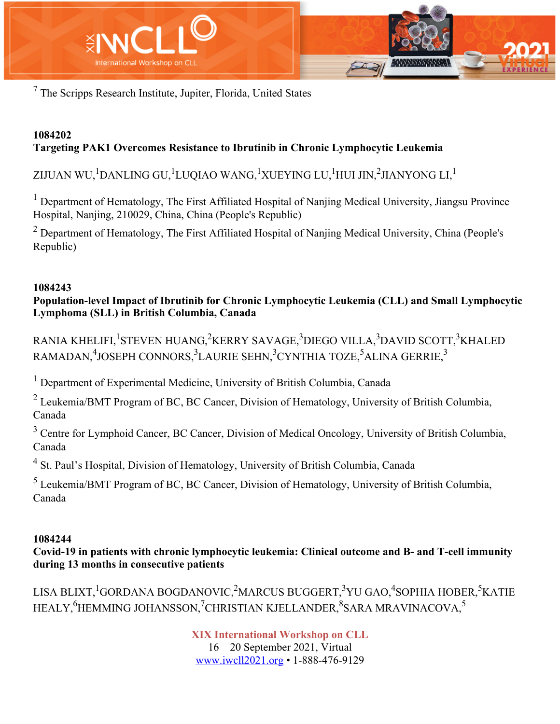

<sup>7</sup> The Scripps Research Institute, Jupiter, Florida, United States

### **1084202 Targeting PAK1 Overcomes Resistance to Ibrutinib in Chronic Lymphocytic Leukemia**

ZIJUAN WU, $^1$ DANLING GU, $^1$ LUQIAO WANG, $^1$ XUEYING LU, $^1$ HUI JIN, $^2$ JIANYONG LI, $^1$ 

<sup>1</sup> Department of Hematology, The First Affiliated Hospital of Nanjing Medical University, Jiangsu Province Hospital, Nanjing, 210029, China, China (People's Republic)

 $<sup>2</sup>$  Department of Hematology, The First Affiliated Hospital of Nanjing Medical University, China (People's</sup> Republic)

## **1084243**

**Population-level Impact of Ibrutinib for Chronic Lymphocytic Leukemia (CLL) and Small Lymphocytic Lymphoma (SLL) in British Columbia, Canada**

RANIA KHELIFI, <sup>1</sup>STEVEN HUANG, <sup>2</sup>KERRY SAVAGE, <sup>3</sup>DIEGO VILLA, <sup>3</sup>DAVID SCOTT, <sup>3</sup>KHALED RAMADAN, $^4$ JOSEPH CONNORS, $^3$ LAURIE SEHN, $^3$ CYNTHIA TOZE, $^5$ ALINA GERRIE, $^3$ 

<sup>1</sup> Department of Experimental Medicine, University of British Columbia, Canada

<sup>2</sup> Leukemia/BMT Program of BC, BC Cancer, Division of Hematology, University of British Columbia, Canada

<sup>3</sup> Centre for Lymphoid Cancer, BC Cancer, Division of Medical Oncology, University of British Columbia, Canada

<sup>4</sup> St. Paul's Hospital, Division of Hematology, University of British Columbia, Canada

<sup>5</sup> Leukemia/BMT Program of BC, BC Cancer, Division of Hematology, University of British Columbia, Canada

## **1084244**

**Covid-19 in patients with chronic lymphocytic leukemia: Clinical outcome and B- and T-cell immunity during 13 months in consecutive patients**

LISA BLIXT,<sup>1</sup>GORDANA BOGDANOVIC,<sup>2</sup>MARCUS BUGGERT,<sup>3</sup>YU GAO,<sup>4</sup>SOPHIA HOBER,<sup>5</sup>KATIE HEALY,<sup>6</sup>HEMMING JOHANSSON,<sup>7</sup>CHRISTIAN KJELLANDER,<sup>8</sup>SARA MRAVINACOVA,<sup>5</sup>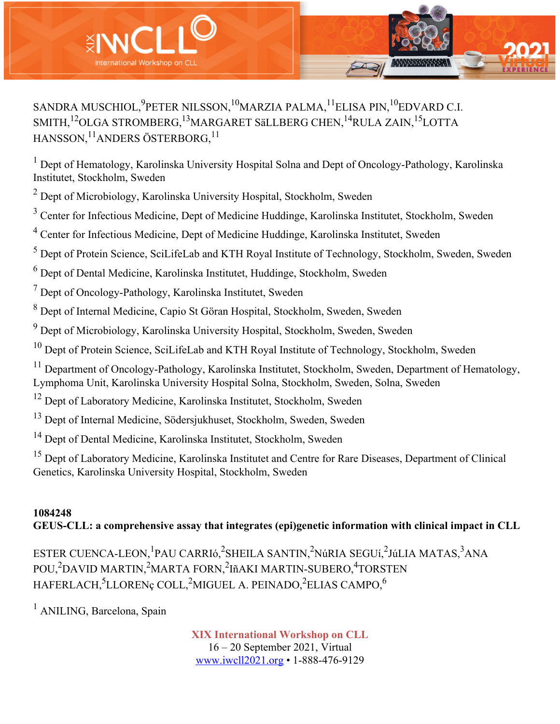

SANDRA MUSCHIOL, $^{9}$ PETER NILSSON, $^{10}$ MARZIA PALMA, $^{11}$ ELISA PIN, $^{10}$ EDVARD C.I. SMITH,<sup>12</sup>OLGA STROMBERG,<sup>13</sup>MARGARET SäLLBERG CHEN,<sup>14</sup>RULA ZAIN,<sup>15</sup>LOTTA HANSSON, <sup>11</sup>ANDERS ÖSTERBORG.<sup>11</sup>

<sup>1</sup> Dept of Hematology, Karolinska University Hospital Solna and Dept of Oncology-Pathology, Karolinska Institutet, Stockholm, Sweden

<sup>2</sup> Dept of Microbiology, Karolinska University Hospital, Stockholm, Sweden

<sup>3</sup> Center for Infectious Medicine, Dept of Medicine Huddinge, Karolinska Institutet, Stockholm, Sweden

<sup>4</sup> Center for Infectious Medicine, Dept of Medicine Huddinge, Karolinska Institutet, Sweden

<sup>5</sup> Dept of Protein Science, SciLifeLab and KTH Royal Institute of Technology, Stockholm, Sweden, Sweden

<sup>6</sup> Dept of Dental Medicine, Karolinska Institutet, Huddinge, Stockholm, Sweden

<sup>7</sup> Dept of Oncology-Pathology, Karolinska Institutet, Sweden

<sup>8</sup> Dept of Internal Medicine, Capio St Göran Hospital, Stockholm, Sweden, Sweden

<sup>9</sup> Dept of Microbiology, Karolinska University Hospital, Stockholm, Sweden, Sweden

<sup>10</sup> Dept of Protein Science, SciLifeLab and KTH Royal Institute of Technology, Stockholm, Sweden

<sup>11</sup> Department of Oncology-Pathology, Karolinska Institutet, Stockholm, Sweden, Department of Hematology, Lymphoma Unit, Karolinska University Hospital Solna, Stockholm, Sweden, Solna, Sweden

<sup>12</sup> Dept of Laboratory Medicine, Karolinska Institutet, Stockholm, Sweden

<sup>13</sup> Dept of Internal Medicine, Södersjukhuset, Stockholm, Sweden, Sweden

<sup>14</sup> Dept of Dental Medicine, Karolinska Institutet, Stockholm, Sweden

<sup>15</sup> Dept of Laboratory Medicine, Karolinska Institutet and Centre for Rare Diseases, Department of Clinical Genetics, Karolinska University Hospital, Stockholm, Sweden

# **1084248**

**GEUS-CLL: a comprehensive assay that integrates (epi)genetic information with clinical impact in CLL**

ESTER CUENCA-LEON,<sup>1</sup>PAU CARRIó,<sup>2</sup>SHEILA SANTIN,<sup>2</sup>NúRIA SEGUí,<sup>2</sup>JúLIA MATAS,<sup>3</sup>ANA POU,<sup>2</sup>DAVID MARTIN,<sup>2</sup>MARTA FORN,<sup>2</sup>IñAKI MARTIN-SUBERO,<sup>4</sup>TORSTEN  ${\tt HAFERLACH, ^5LLORENç \: COLL, ^2MIGUEL \: A.\: PENADO, ^2ELIAS \: CAMPO, ^6}$ 

<sup>1</sup> ANILING, Barcelona, Spain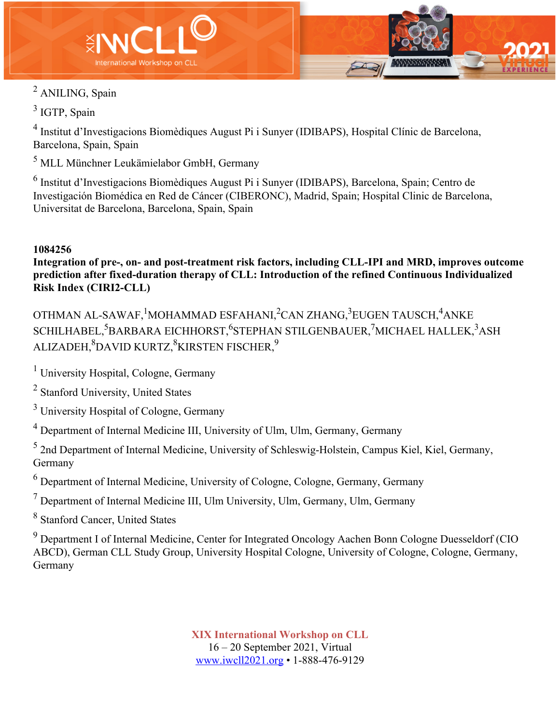



<sup>2</sup> ANILING, Spain

<sup>3</sup> IGTP, Spain

<sup>4</sup> Institut d'Investigacions Biomèdiques August Pi i Sunyer (IDIBAPS), Hospital Clínic de Barcelona, Barcelona, Spain, Spain

<sup>5</sup> MLL Münchner Leukämielabor GmbH, Germany

<sup>6</sup> Institut d'Investigacions Biomèdiques August Pi i Sunyer (IDIBAPS), Barcelona, Spain; Centro de Investigación Biomédica en Red de Cáncer (CIBERONC), Madrid, Spain; Hospital Clinic de Barcelona, Universitat de Barcelona, Barcelona, Spain, Spain

## **1084256**

**Integration of pre-, on- and post-treatment risk factors, including CLL-IPI and MRD, improves outcome prediction after fixed-duration therapy of CLL: Introduction of the refined Continuous Individualized Risk Index (CIRI2-CLL)**

OTHMAN AL-SAWAF, <sup>1</sup>MOHAMMAD ESFAHANI,<sup>2</sup>CAN ZHANG,<sup>3</sup>EUGEN TAUSCH,<sup>4</sup>ANKE  ${\rm \bf SCHILHABEL,^5BARRARA}$  EICHHORST, ${\rm \bf ^6STEPHAN}$  STILGENBAUER, ${\rm \bf ^7MICHAEL}$  HALLEK, ${\rm \bf ^3ASH}$ ALIZADEH, $^{8}$ DAVID KURTZ, $^{8}$ KIRSTEN FISCHER, $^{9}$ 

<sup>1</sup> University Hospital, Cologne, Germany

<sup>2</sup> Stanford University, United States

<sup>3</sup> University Hospital of Cologne, Germany

<sup>4</sup> Department of Internal Medicine III, University of Ulm, Ulm, Germany, Germany

<sup>5</sup> 2nd Department of Internal Medicine, University of Schleswig-Holstein, Campus Kiel, Kiel, Germany, Germany

 $<sup>6</sup>$  Department of Internal Medicine, University of Cologne, Cologne, Germany, Germany</sup>

 $<sup>7</sup>$  Department of Internal Medicine III, Ulm University, Ulm, Germany, Ulm, Germany</sup>

<sup>8</sup> Stanford Cancer, United States

<sup>9</sup> Department I of Internal Medicine, Center for Integrated Oncology Aachen Bonn Cologne Duesseldorf (CIO ABCD), German CLL Study Group, University Hospital Cologne, University of Cologne, Cologne, Germany, Germany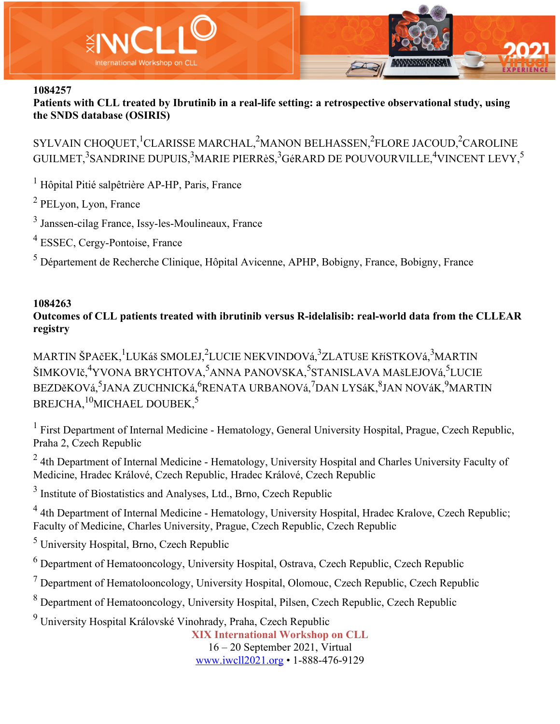

**Patients with CLL treated by Ibrutinib in a real-life setting: a retrospective observational study, using the SNDS database (OSIRIS)**

SYLVAIN CHOQUET, $^{1}$ CLARISSE MARCHAL, $^{2}$ MANON BELHASSEN, $^{2}$ FLORE JACOUD, $^{2}$ CAROLINE GUILMET, $^3$ SANDRINE DUPUIS, $^3$ MARIE PIERRèS, $^3$ GéRARD DE POUVOURVILLE, $^4$ VINCENT LEVY, $^5$ 

<sup>1</sup> Hôpital Pitié salpêtrière AP-HP, Paris, France

<sup>2</sup> PELyon, Lyon, France

<sup>3</sup> Janssen-cilag France, Issy-les-Moulineaux, France

<sup>4</sup> ESSEC, Cergy-Pontoise, France

<sup>5</sup> Département de Recherche Clinique, Hôpital Avicenne, APHP, Bobigny, France, Bobigny, France

#### **1084263**

**Outcomes of CLL patients treated with ibrutinib versus R-idelalisib: real-world data from the CLLEAR registry**

MARTIN ŠPAčEK, <sup>1</sup>LUKáš SMOLEJ, <sup>2</sup>LUCIE NEKVINDOVá, <sup>3</sup>ZLATUšE KříSTKOVá, <sup>3</sup>MARTIN ŠIMKOVIč,<sup>4</sup>YVONA BRYCHTOVA,<sup>5</sup>ANNA PANOVSKA,<sup>5</sup>STANISLAVA MAšLEJOVá,<sup>5</sup>LUCIE BEZDěKOVá,<sup>5</sup>JANA ZUCHNICKá,<sup>6</sup>RENATA URBANOVá,<sup>7</sup>DAN LYSáK,<sup>8</sup>JAN NOVáK,<sup>9</sup>MARTIN BREJCHA,<sup>10</sup>MICHAEL DOUBEK,<sup>5</sup>

 $1$  First Department of Internal Medicine - Hematology, General University Hospital, Prague, Czech Republic, Praha 2, Czech Republic

 $2$  4th Department of Internal Medicine - Hematology, University Hospital and Charles University Faculty of Medicine, Hradec Králové, Czech Republic, Hradec Králové, Czech Republic

<sup>3</sup> Institute of Biostatistics and Analyses, Ltd., Brno, Czech Republic

<sup>4</sup> 4th Department of Internal Medicine - Hematology, University Hospital, Hradec Kralove, Czech Republic; Faculty of Medicine, Charles University, Prague, Czech Republic, Czech Republic

<sup>5</sup> University Hospital, Brno, Czech Republic

<sup>6</sup> Department of Hematooncology, University Hospital, Ostrava, Czech Republic, Czech Republic

<sup>7</sup> Department of Hematolooncology, University Hospital, Olomouc, Czech Republic, Czech Republic

<sup>8</sup> Department of Hematooncology, University Hospital, Pilsen, Czech Republic, Czech Republic

<sup>9</sup> University Hospital Královské Vinohrady, Praha, Czech Republic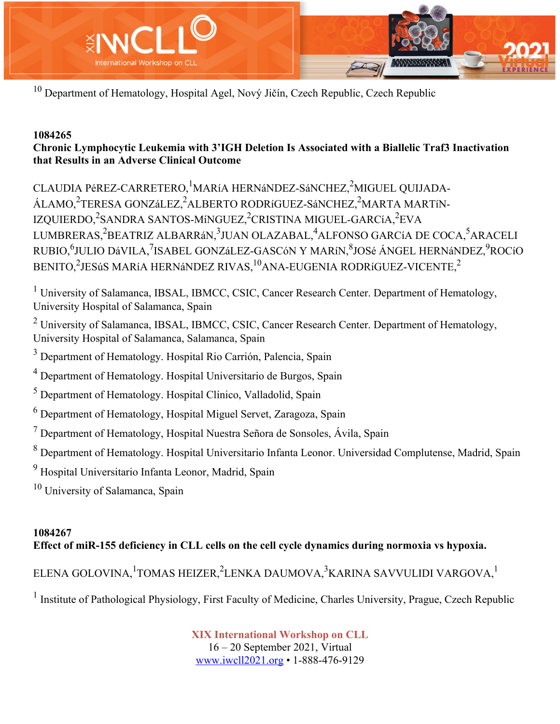

 $10$  Department of Hematology, Hospital Agel, Nový Jičín, Czech Republic, Czech Republic

### **1084265**

## **Chronic Lymphocytic Leukemia with 3'IGH Deletion Is Associated with a Biallelic Traf3 Inactivation that Results in an Adverse Clinical Outcome**

CLAUDIA PéREZ-CARRETERO, <sup>1</sup>MARíA HERNáNDEZ-SáNCHEZ, <sup>2</sup>MIGUEL QUIJADA-ÁLAMO,<sup>2</sup>TERESA GONZáLEZ,<sup>2</sup>ALBERTO RODRíGUEZ-SáNCHEZ,<sup>2</sup>MARTA MARTíN-IZQUIERDO,<sup>2</sup>SANDRA SANTOS-MíNGUEZ,<sup>2</sup>CRISTINA MIGUEL-GARCíA,<sup>2</sup>EVA LUMBRERAS,<sup>2</sup>BEATRIZ ALBARRáN,<sup>3</sup>JUAN OLAZABAL,<sup>4</sup>ALFONSO GARCíA DE COCA,<sup>5</sup>ARACELI RUBIO,<sup>6</sup>JULIO DáVILA,<sup>7</sup>ISABEL GONZáLEZ-GASCóN Y MARíN,<sup>8</sup>JOSé ÁNGEL HERNáNDEZ,<sup>9</sup>ROCíO BENITO, $^2$ JESúS MARíA HERNáNDEZ RIVAS, $^{10}$ ANA-EUGENIA RODRíGUEZ-VICENTE, $^{2}$ 

<sup>1</sup> University of Salamanca, IBSAL, IBMCC, CSIC, Cancer Research Center. Department of Hematology, University Hospital of Salamanca, Spain

 $2 \text{ University of Salamanca, IBSAL, IBMCC, CSIC, Cancer Research Center. Department of Hematology,}$ University Hospital of Salamanca, Salamanca, Spain

<sup>3</sup> Department of Hematology. Hospital Rio Carrión, Palencia, Spain

<sup>4</sup> Department of Hematology. Hospital Universitario de Burgos, Spain

<sup>5</sup> Department of Hematology. Hospital Clínico, Valladolid, Spain

 $6$  Department of Hematology, Hospital Miguel Servet, Zaragoza, Spain

 $<sup>7</sup>$  Department of Hematology, Hospital Nuestra Señora de Sonsoles, Ávila, Spain</sup>

<sup>8</sup> Department of Hematology. Hospital Universitario Infanta Leonor. Universidad Complutense, Madrid, Spain

<sup>9</sup> Hospital Universitario Infanta Leonor, Madrid, Spain

<sup>10</sup> University of Salamanca, Spain

### **1084267 Effect of miR-155 deficiency in CLL cells on the cell cycle dynamics during normoxia vs hypoxia.**

ELENA GOLOVINA, $^1$ TOMAS HEIZER, $^2$ LENKA DAUMOVA, $^3$ KARINA SAVVULIDI VARGOVA, $^1$ 

<sup>1</sup> Institute of Pathological Physiology, First Faculty of Medicine, Charles University, Prague, Czech Republic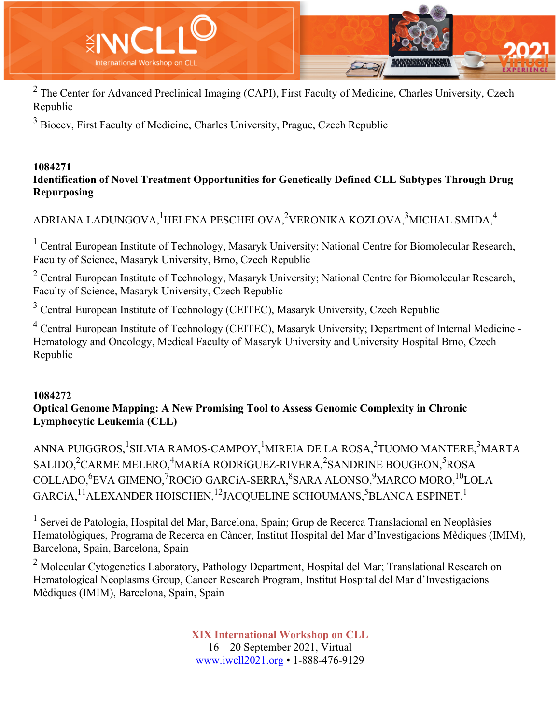

 $2$  The Center for Advanced Preclinical Imaging (CAPI), First Faculty of Medicine, Charles University, Czech Republic

<sup>3</sup> Biocev, First Faculty of Medicine, Charles University, Prague, Czech Republic

#### **1084271 Identification of Novel Treatment Opportunities for Genetically Defined CLL Subtypes Through Drug Repurposing**

# ADRIANA LADUNGOVA, $^1$ HELENA PESCHELOVA, $^2$ VERONIKA KOZLOVA, $^3$ MICHAL SMIDA, $^4$

<sup>1</sup> Central European Institute of Technology, Masaryk University; National Centre for Biomolecular Research, Faculty of Science, Masaryk University, Brno, Czech Republic

<sup>2</sup> Central European Institute of Technology, Masaryk University; National Centre for Biomolecular Research, Faculty of Science, Masaryk University, Czech Republic

<sup>3</sup> Central European Institute of Technology (CEITEC), Masaryk University, Czech Republic

<sup>4</sup> Central European Institute of Technology (CEITEC), Masaryk University; Department of Internal Medicine - Hematology and Oncology, Medical Faculty of Masaryk University and University Hospital Brno, Czech Republic

### **1084272**

### **Optical Genome Mapping: A New Promising Tool to Assess Genomic Complexity in Chronic Lymphocytic Leukemia (CLL)**

ANNA PUIGGROS, <sup>1</sup>SILVIA RAMOS-CAMPOY, <sup>1</sup>MIREIA DE LA ROSA, <sup>2</sup>TUOMO MANTERE, <sup>3</sup>MARTA SALIDO, $^2$ CARME MELERO, $^4$ MARíA RODRíGUEZ-RIVERA, $^2$ SANDRINE BOUGEON, $^5$ ROSA COLLADO, <sup>6</sup>EVA GIMENO, <sup>7</sup>ROCíO GARCíA-SERRA, <sup>8</sup>SARA ALONSO, <sup>9</sup>MARCO MORO, <sup>10</sup>LOLA GARCíA, $^{11}$ ALEXANDER HOISCHEN, $^{12}$ JACQUELINE SCHOUMANS, $^{5}$ BLANCA ESPINET, $^{1}$ 

<sup>1</sup> Servei de Patologia, Hospital del Mar, Barcelona, Spain; Grup de Recerca Translacional en Neoplàsies Hematològiques, Programa de Recerca en Càncer, Institut Hospital del Mar d'Investigacions Mèdiques (IMIM), Barcelona, Spain, Barcelona, Spain

<sup>2</sup> Molecular Cytogenetics Laboratory, Pathology Department, Hospital del Mar; Translational Research on Hematological Neoplasms Group, Cancer Research Program, Institut Hospital del Mar d'Investigacions Mèdiques (IMIM), Barcelona, Spain, Spain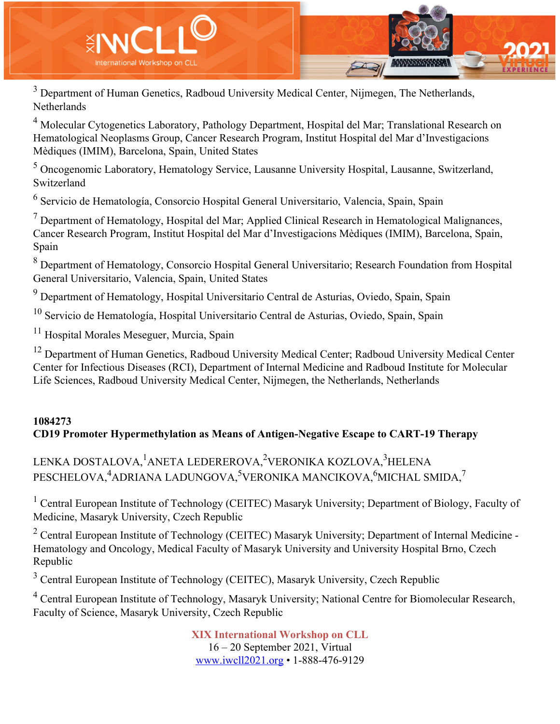

 $3$  Department of Human Genetics, Radboud University Medical Center, Nijmegen, The Netherlands, Netherlands

<sup>4</sup> Molecular Cytogenetics Laboratory, Pathology Department, Hospital del Mar; Translational Research on Hematological Neoplasms Group, Cancer Research Program, Institut Hospital del Mar d'Investigacions Mèdiques (IMIM), Barcelona, Spain, United States

<sup>5</sup> Oncogenomic Laboratory, Hematology Service, Lausanne University Hospital, Lausanne, Switzerland, Switzerland

<sup>6</sup> Servicio de Hematología, Consorcio Hospital General Universitario, Valencia, Spain, Spain

 $<sup>7</sup>$  Department of Hematology, Hospital del Mar; Applied Clinical Research in Hematological Malignances,</sup> Cancer Research Program, Institut Hospital del Mar d'Investigacions Mèdiques (IMIM), Barcelona, Spain, Spain

<sup>8</sup> Department of Hematology, Consorcio Hospital General Universitario; Research Foundation from Hospital General Universitario, Valencia, Spain, United States

<sup>9</sup> Department of Hematology, Hospital Universitario Central de Asturias, Oviedo, Spain, Spain

 $10$  Servicio de Hematología, Hospital Universitario Central de Asturias, Oviedo, Spain, Spain

<sup>11</sup> Hospital Morales Meseguer, Murcia, Spain

<sup>12</sup> Department of Human Genetics, Radboud University Medical Center; Radboud University Medical Center Center for Infectious Diseases (RCI), Department of Internal Medicine and Radboud Institute for Molecular Life Sciences, Radboud University Medical Center, Nijmegen, the Netherlands, Netherlands

## **1084273 CD19 Promoter Hypermethylation as Means of Antigen-Negative Escape to CART-19 Therapy**

# LENKA DOSTALOVA, <sup>1</sup>ANETA LEDEREROVA, <sup>2</sup>VERONIKA KOZLOVA, <sup>3</sup>HELENA PESCHELOVA,<sup>4</sup>ADRIANA LADUNGOVA,<sup>5</sup>VERONIKA MANCIKOVA,<sup>6</sup>MICHAL SMIDA,<sup>7</sup>

<sup>1</sup> Central European Institute of Technology (CEITEC) Masaryk University; Department of Biology, Faculty of Medicine, Masaryk University, Czech Republic

 $2$  Central European Institute of Technology (CEITEC) Masaryk University; Department of Internal Medicine -Hematology and Oncology, Medical Faculty of Masaryk University and University Hospital Brno, Czech Republic

<sup>3</sup> Central European Institute of Technology (CEITEC), Masaryk University, Czech Republic

<sup>4</sup> Central European Institute of Technology, Masaryk University; National Centre for Biomolecular Research, Faculty of Science, Masaryk University, Czech Republic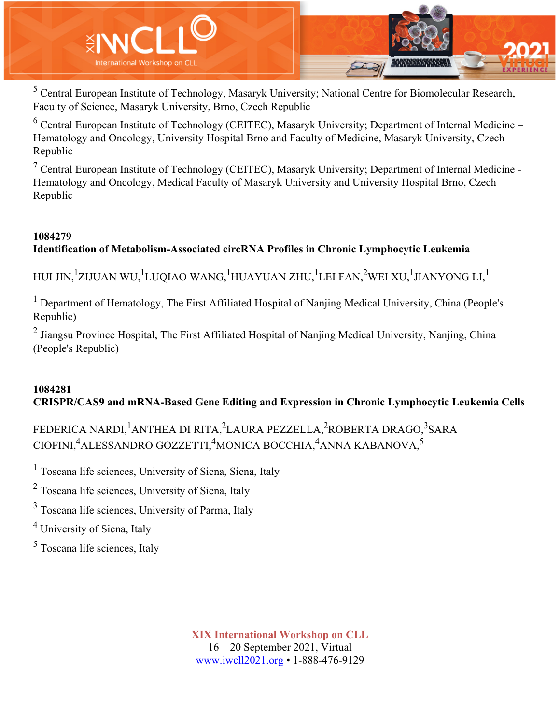

<sup>5</sup> Central European Institute of Technology, Masaryk University; National Centre for Biomolecular Research, Faculty of Science, Masaryk University, Brno, Czech Republic

 $6$  Central European Institute of Technology (CEITEC), Masaryk University; Department of Internal Medicine – Hematology and Oncology, University Hospital Brno and Faculty of Medicine, Masaryk University, Czech Republic

<sup>7</sup> Central European Institute of Technology (CEITEC), Masaryk University; Department of Internal Medicine - Hematology and Oncology, Medical Faculty of Masaryk University and University Hospital Brno, Czech Republic

## **1084279 Identification of Metabolism-Associated circRNA Profiles in Chronic Lymphocytic Leukemia**

HUI JIN, $^1$ ZIJUAN WU, $^1$ LUQIAO WANG, $^1$ HUAYUAN ZHU, $^1$ LEI FAN, $^2$ WEI XU, $^1$ JIANYONG LI, $^1$ 

 $<sup>1</sup>$  Department of Hematology, The First Affiliated Hospital of Nanjing Medical University, China (People's</sup> Republic)

<sup>2</sup> Jiangsu Province Hospital, The First Affiliated Hospital of Nanjing Medical University, Nanjing, China (People's Republic)

## **1084281 CRISPR/CAS9 and mRNA-Based Gene Editing and Expression in Chronic Lymphocytic Leukemia Cells**

FEDERICA NARDI, <sup>1</sup>ANTHEA DI RITA, <sup>2</sup>LAURA PEZZELLA, <sup>2</sup>ROBERTA DRAGO, <sup>3</sup>SARA CIOFINI,<sup>4</sup>ALESSANDRO GOZZETTI,<sup>4</sup>MONICA BOCCHIA,<sup>4</sup>ANNA KABANOVA,<sup>5</sup>

<sup>1</sup> Toscana life sciences, University of Siena, Siena, Italy

<sup>2</sup> Toscana life sciences, University of Siena, Italy

<sup>3</sup> Toscana life sciences, University of Parma, Italy

<sup>4</sup> University of Siena, Italy

<sup>5</sup> Toscana life sciences, Italy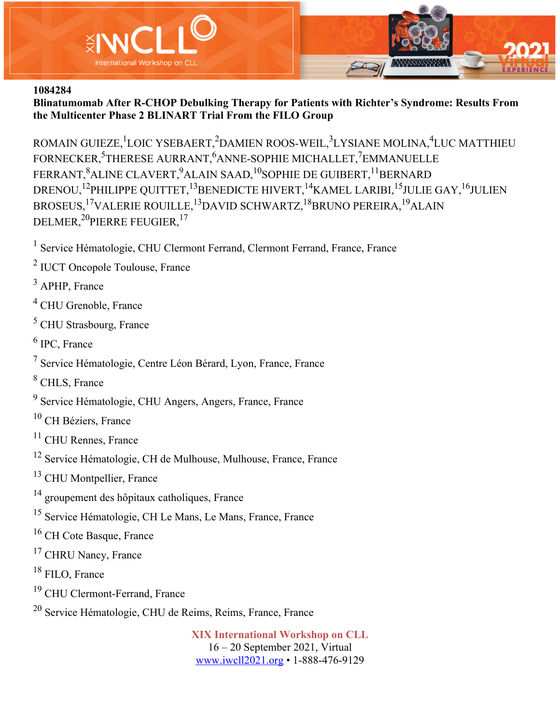

**Blinatumomab After R-CHOP Debulking Therapy for Patients with Richter's Syndrome: Results From the Multicenter Phase 2 BLINART Trial From the FILO Group**

ROMAIN GUIEZE, LOIC YSEBAERT, <sup>2</sup>DAMIEN ROOS-WEIL, <sup>3</sup>LYSIANE MOLINA, <sup>4</sup>LUC MATTHIEU FORNECKER, <sup>5</sup>THERESE AURRANT, <sup>6</sup>ANNE-SOPHIE MICHALLET, <sup>7</sup>EMMANUELLE FERRANT, $^{8}$ ALINE CLAVERT, $^{9}$ ALAIN SAAD, $^{10}$ SOPHIE DE GUIBERT, $^{11}$ BERNARD DRENOU,<sup>12</sup>PHILIPPE QUITTET,<sup>13</sup>BENEDICTE HIVERT,<sup>14</sup>KAMEL LARIBI,<sup>15</sup>JULIE GAY,<sup>16</sup>JULIEN BROSEUS,17VALERIE ROUILLE,13DAVID SCHWARTZ,18BRUNO PEREIRA,19ALAIN DELMER,<sup>20</sup>PIERRE FEUGIER,<sup>17</sup>

<sup>1</sup> Service Hématologie, CHU Clermont Ferrand, Clermont Ferrand, France, France

<sup>2</sup> IUCT Oncopole Toulouse, France

<sup>3</sup> APHP, France

<sup>4</sup> CHU Grenoble, France

<sup>5</sup> CHU Strasbourg, France

<sup>6</sup> IPC, France

- <sup>7</sup> Service Hématologie, Centre Léon Bérard, Lyon, France, France
- <sup>8</sup> CHLS, France
- <sup>9</sup> Service Hématologie, CHU Angers, Angers, France, France

<sup>10</sup> CH Béziers, France

- <sup>11</sup> CHU Rennes, France
- <sup>12</sup> Service Hématologie, CH de Mulhouse, Mulhouse, France, France
- <sup>13</sup> CHU Montpellier, France
- <sup>14</sup> groupement des hôpitaux catholiques, France
- <sup>15</sup> Service Hématologie, CH Le Mans, Le Mans, France, France
- <sup>16</sup> CH Cote Basque, France
- <sup>17</sup> CHRU Nancy, France
- <sup>18</sup> FILO, France
- <sup>19</sup> CHU Clermont-Ferrand, France
- <sup>20</sup> Service Hématologie, CHU de Reims, Reims, France, France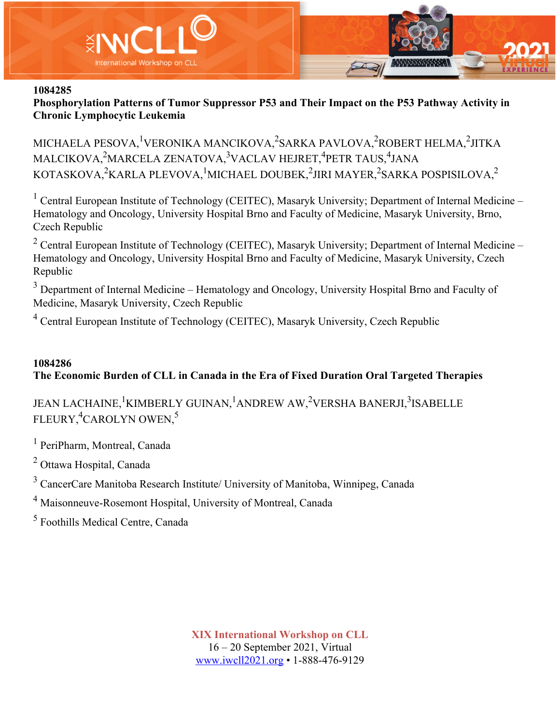

**Phosphorylation Patterns of Tumor Suppressor P53 and Their Impact on the P53 Pathway Activity in Chronic Lymphocytic Leukemia**

MICHAELA PESOVA, <sup>1</sup>VERONIKA MANCIKOVA, <sup>2</sup>SARKA PAVLOVA, <sup>2</sup>ROBERT HELMA, <sup>2</sup>JITKA MALCIKOVA,<sup>2</sup>MARCELA ZENATOVA,<sup>3</sup>VACLAV HEJRET,<sup>4</sup>PETR TAUS,<sup>4</sup>JANA KOTASKOVA, $^{2}$ KARLA PLEVOVA, $^{1}$ MICHAEL DOUBEK, $^{2}$ JIRI MAYER, $^{2}$ SARKA POSPISILOVA, $^{2}$ 

<sup>1</sup> Central European Institute of Technology (CEITEC), Masaryk University; Department of Internal Medicine – Hematology and Oncology, University Hospital Brno and Faculty of Medicine, Masaryk University, Brno, Czech Republic

<sup>2</sup> Central European Institute of Technology (CEITEC), Masaryk University; Department of Internal Medicine – Hematology and Oncology, University Hospital Brno and Faculty of Medicine, Masaryk University, Czech Republic

 $3$  Department of Internal Medicine – Hematology and Oncology, University Hospital Brno and Faculty of Medicine, Masaryk University, Czech Republic

<sup>4</sup> Central European Institute of Technology (CEITEC), Masaryk University, Czech Republic

### **1084286 The Economic Burden of CLL in Canada in the Era of Fixed Duration Oral Targeted Therapies**

# JEAN LACHAINE, <sup>1</sup>KIMBERLY GUINAN, <sup>1</sup>ANDREW AW, <sup>2</sup>VERSHA BANERJI, <sup>3</sup>ISABELLE FLEURY,<sup>4</sup>CAROLYN OWEN,<sup>5</sup>

<sup>1</sup> PeriPharm, Montreal, Canada

<sup>2</sup> Ottawa Hospital, Canada

<sup>3</sup> CancerCare Manitoba Research Institute/ University of Manitoba, Winnipeg, Canada

<sup>4</sup> Maisonneuve-Rosemont Hospital, University of Montreal, Canada

<sup>5</sup> Foothills Medical Centre, Canada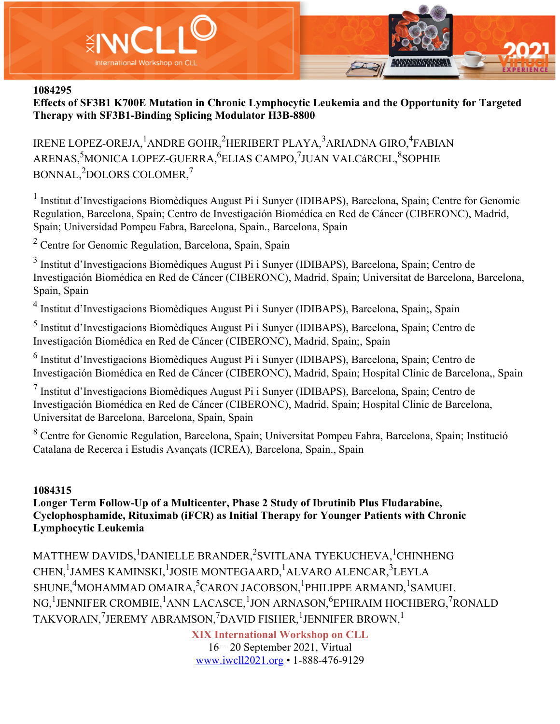

**Effects of SF3B1 K700E Mutation in Chronic Lymphocytic Leukemia and the Opportunity for Targeted Therapy with SF3B1-Binding Splicing Modulator H3B-8800**

IRENE LOPEZ-OREJA, <sup>1</sup>ANDRE GOHR, <sup>2</sup>HERIBERT PLAYA, <sup>3</sup>ARIADNA GIRO, <sup>4</sup>FABIAN ARENAS,<sup>5</sup>MONICA LOPEZ-GUERRA,<sup>6</sup>ELIAS CAMPO,<sup>7</sup>JUAN VALCáRCEL,<sup>8</sup>SOPHIE BONNAL,<sup>2</sup>DOLORS COLOMER,<sup>7</sup>

<sup>1</sup> Institut d'Investigacions Biomèdiques August Pi i Sunyer (IDIBAPS), Barcelona, Spain; Centre for Genomic Regulation, Barcelona, Spain; Centro de Investigación Biomédica en Red de Cáncer (CIBERONC), Madrid, Spain; Universidad Pompeu Fabra, Barcelona, Spain., Barcelona, Spain

<sup>2</sup> Centre for Genomic Regulation, Barcelona, Spain, Spain

<sup>3</sup> Institut d'Investigacions Biomèdiques August Pi i Sunyer (IDIBAPS), Barcelona, Spain; Centro de Investigación Biomédica en Red de Cáncer (CIBERONC), Madrid, Spain; Universitat de Barcelona, Barcelona, Spain, Spain

<sup>4</sup> Institut d'Investigacions Biomèdiques August Pi i Sunyer (IDIBAPS), Barcelona, Spain;, Spain

<sup>5</sup> Institut d'Investigacions Biomèdiques August Pi i Sunyer (IDIBAPS), Barcelona, Spain; Centro de Investigación Biomédica en Red de Cáncer (CIBERONC), Madrid, Spain;, Spain

<sup>6</sup> Institut d'Investigacions Biomèdiques August Pi i Sunyer (IDIBAPS), Barcelona, Spain; Centro de Investigación Biomédica en Red de Cáncer (CIBERONC), Madrid, Spain; Hospital Clinic de Barcelona,, Spain

<sup>7</sup> Institut d'Investigacions Biomèdiques August Pi i Sunyer (IDIBAPS), Barcelona, Spain; Centro de Investigación Biomédica en Red de Cáncer (CIBERONC), Madrid, Spain; Hospital Clinic de Barcelona, Universitat de Barcelona, Barcelona, Spain, Spain

<sup>8</sup> Centre for Genomic Regulation, Barcelona, Spain; Universitat Pompeu Fabra, Barcelona, Spain; Institució Catalana de Recerca i Estudis Avançats (ICREA), Barcelona, Spain., Spain

#### **1084315**

**Longer Term Follow-Up of a Multicenter, Phase 2 Study of Ibrutinib Plus Fludarabine, Cyclophosphamide, Rituximab (iFCR) as Initial Therapy for Younger Patients with Chronic Lymphocytic Leukemia**

MATTHEW DAVIDS, <sup>1</sup>DANIELLE BRANDER, <sup>2</sup>SVITLANA TYEKUCHEVA, <sup>1</sup>CHINHENG CHEN, <sup>1</sup>JAMES KAMINSKI, <sup>1</sup>JOSIE MONTEGAARD, <sup>1</sup>ALVARO ALENCAR, <sup>3</sup>LEYLA SHUNE, ${\rm ^4}$ MOHAMMAD OMAIRA, ${\rm ^5}$ CARON JACOBSON, ${\rm ^1}$ PHILIPPE ARMAND, ${\rm ^1}$ SAMUEL NG,<sup>1</sup>JENNIFER CROMBIE,<sup>1</sup>ANN LACASCE,<sup>1</sup>JON ARNASON,<sup>6</sup>EPHRAIM HOCHBERG,<sup>7</sup>RONALD TAKVORAIN, ${\rm ^7}$ JEREMY ABRAMSON, ${\rm ^7}$ DAVID FISHER, ${\rm ^1}$ JENNIFER BROWN, ${\rm ^1}$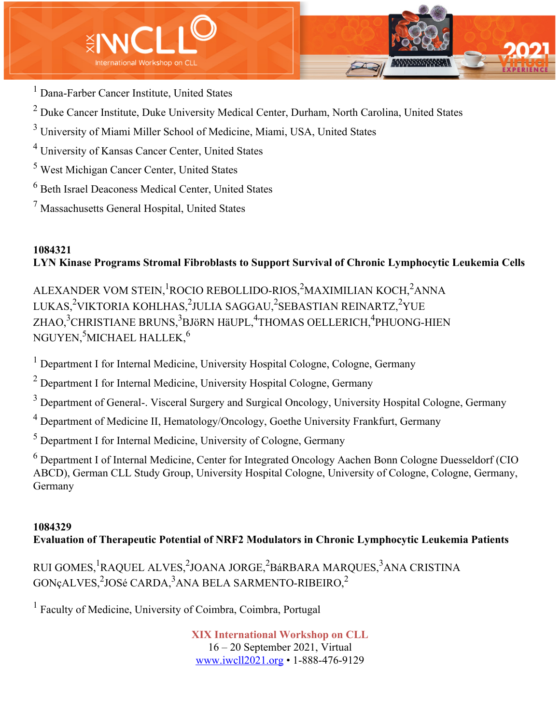



<sup>1</sup> Dana-Farber Cancer Institute, United States

- $2$  Duke Cancer Institute, Duke University Medical Center, Durham, North Carolina, United States
- <sup>3</sup> University of Miami Miller School of Medicine, Miami, USA, United States
- <sup>4</sup> University of Kansas Cancer Center, United States
- <sup>5</sup> West Michigan Cancer Center, United States
- <sup>6</sup> Beth Israel Deaconess Medical Center, United States
- <sup>7</sup> Massachusetts General Hospital, United States

# **1084321 LYN Kinase Programs Stromal Fibroblasts to Support Survival of Chronic Lymphocytic Leukemia Cells**

ALEXANDER VOM STEIN, <sup>1</sup>ROCIO REBOLLIDO-RIOS, <sup>2</sup>MAXIMILIAN KOCH, <sup>2</sup>ANNA LUKAS,<sup>2</sup>VIKTORIA KOHLHAS,<sup>2</sup>JULIA SAGGAU,<sup>2</sup>SEBASTIAN REINARTZ,<sup>2</sup>YUE ZHAO,<sup>3</sup>CHRISTIANE BRUNS,<sup>3</sup>BJöRN HäUPL,<sup>4</sup>THOMAS OELLERICH,<sup>4</sup>PHUONG-HIEN NGUYEN, $^5$ MICHAEL HALLEK, $^6$ 

<sup>1</sup> Department I for Internal Medicine, University Hospital Cologne, Cologne, Germany

<sup>2</sup> Department I for Internal Medicine, University Hospital Cologne, Germany

<sup>3</sup> Department of General-. Visceral Surgery and Surgical Oncology, University Hospital Cologne, Germany

<sup>4</sup> Department of Medicine II, Hematology/Oncology, Goethe University Frankfurt, Germany

<sup>5</sup> Department I for Internal Medicine, University of Cologne, Germany

<sup>6</sup> Department I of Internal Medicine, Center for Integrated Oncology Aachen Bonn Cologne Duesseldorf (CIO ABCD), German CLL Study Group, University Hospital Cologne, University of Cologne, Cologne, Germany, Germany

## **1084329**

# **Evaluation of Therapeutic Potential of NRF2 Modulators in Chronic Lymphocytic Leukemia Patients**

RUI GOMES, <sup>1</sup>RAQUEL ALVES, <sup>2</sup>JOANA JORGE, <sup>2</sup>BáRBARA MARQUES, <sup>3</sup>ANA CRISTINA  $\rm GON$ çALVES, $^2$ JOSé CARDA, $^3$ ANA BELA SARMENTO-RIBEIRO, $^2$ 

<sup>1</sup> Faculty of Medicine, University of Coimbra, Coimbra, Portugal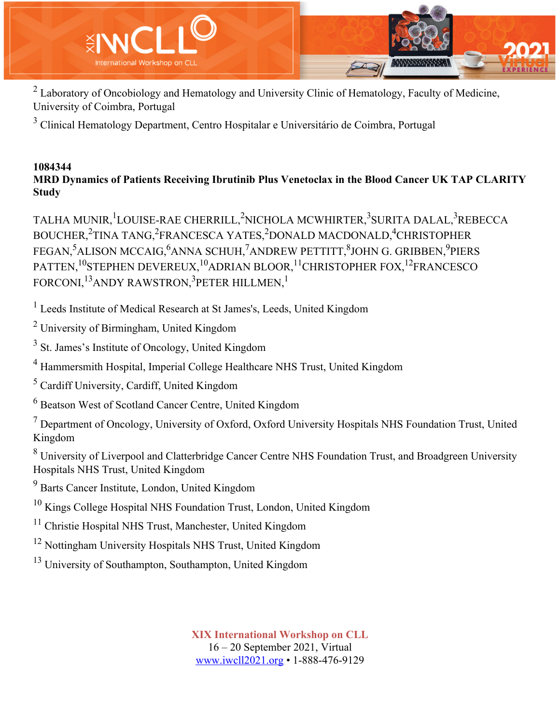

<sup>2</sup> Laboratory of Oncobiology and Hematology and University Clinic of Hematology, Faculty of Medicine, University of Coimbra, Portugal

<sup>3</sup> Clinical Hematology Department, Centro Hospitalar e Universitário de Coimbra, Portugal

#### **1084344 MRD Dynamics of Patients Receiving Ibrutinib Plus Venetoclax in the Blood Cancer UK TAP CLARITY Study**

TALHA MUNIR,<sup>1</sup>LOUISE-RAE CHERRILL,<sup>2</sup>NICHOLA MCWHIRTER,<sup>3</sup>SURITA DALAL,<sup>3</sup>REBECCA BOUCHER,<sup>2</sup>TINA TANG,<sup>2</sup>FRANCESCA YATES,<sup>2</sup>DONALD MACDONALD,<sup>4</sup>CHRISTOPHER FEGAN,<sup>5</sup>ALISON MCCAIG,<sup>6</sup>ANNA SCHUH,<sup>7</sup>ANDREW PETTITT,<sup>8</sup>JOHN G. GRIBBEN,<sup>9</sup>PIERS PATTEN,<sup>10</sup>STEPHEN DEVEREUX,<sup>10</sup>ADRIAN BLOOR,<sup>11</sup>CHRISTOPHER FOX,<sup>12</sup>FRANCESCO FORCONI, $^{13}$ ANDY RAWSTRON, $^{3}$ PETER HILLMEN, $^{1}$ 

<sup>1</sup> Leeds Institute of Medical Research at St James's, Leeds, United Kingdom

<sup>2</sup> University of Birmingham, United Kingdom

<sup>3</sup> St. James's Institute of Oncology, United Kingdom

<sup>4</sup> Hammersmith Hospital, Imperial College Healthcare NHS Trust, United Kingdom

<sup>5</sup> Cardiff University, Cardiff, United Kingdom

<sup>6</sup> Beatson West of Scotland Cancer Centre, United Kingdom

 $<sup>7</sup>$  Department of Oncology, University of Oxford, Oxford University Hospitals NHS Foundation Trust, United</sup> Kingdom

<sup>8</sup> University of Liverpool and Clatterbridge Cancer Centre NHS Foundation Trust, and Broadgreen University Hospitals NHS Trust, United Kingdom

<sup>9</sup> Barts Cancer Institute, London, United Kingdom

<sup>10</sup> Kings College Hospital NHS Foundation Trust, London, United Kingdom

<sup>11</sup> Christie Hospital NHS Trust, Manchester, United Kingdom

<sup>12</sup> Nottingham University Hospitals NHS Trust, United Kingdom

<sup>13</sup> University of Southampton, Southampton, United Kingdom

**XIX International Workshop on CLL** 16 – 20 September 2021, Virtual

www.iwcll2021.org • 1-888-476-9129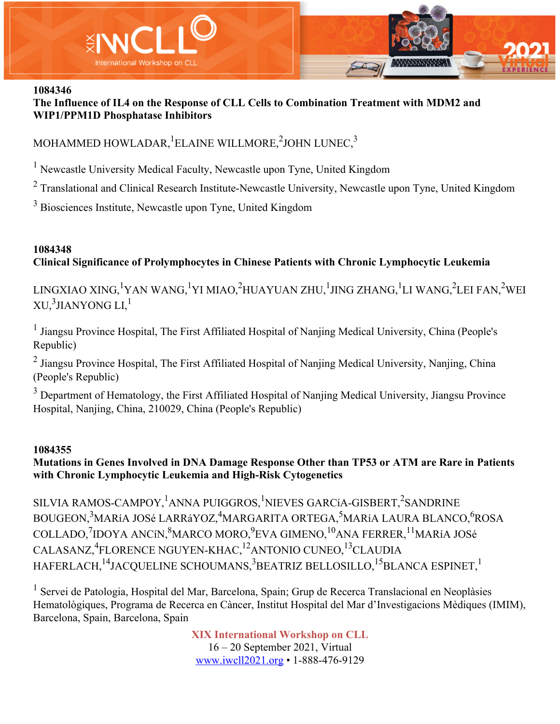

**The Influence of IL4 on the Response of CLL Cells to Combination Treatment with MDM2 and WIP1/PPM1D Phosphatase Inhibitors**

# MOHAMMED HOWLADAR, $^1$ ELAINE WILLMORE, $^2$ JOHN LUNEC, $^3$

<sup>1</sup> Newcastle University Medical Faculty, Newcastle upon Tyne, United Kingdom

 $2$  Translational and Clinical Research Institute-Newcastle University, Newcastle upon Tyne, United Kingdom

<sup>3</sup> Biosciences Institute, Newcastle upon Tyne, United Kingdom

# **1084348 Clinical Significance of Prolymphocytes in Chinese Patients with Chronic Lymphocytic Leukemia**

LINGXIAO XING,<sup>1</sup>YAN WANG,<sup>1</sup>YI MIAO,<sup>2</sup>HUAYUAN ZHU,<sup>1</sup>JING ZHANG,<sup>1</sup>LI WANG,<sup>2</sup>LEI FAN,<sup>2</sup>WEI XU, $^3$ JIANYONG LI, $^1$ 

<sup>1</sup> Jiangsu Province Hospital, The First Affiliated Hospital of Nanjing Medical University, China (People's Republic)

<sup>2</sup> Jiangsu Province Hospital, The First Affiliated Hospital of Nanjing Medical University, Nanjing, China (People's Republic)

<sup>3</sup> Department of Hematology, the First Affiliated Hospital of Nanjing Medical University, Jiangsu Province Hospital, Nanjing, China, 210029, China (People's Republic)

### **1084355**

### **Mutations in Genes Involved in DNA Damage Response Other than TP53 or ATM are Rare in Patients with Chronic Lymphocytic Leukemia and High-Risk Cytogenetics**

SILVIA RAMOS-CAMPOY, <sup>1</sup>ANNA PUIGGROS, <sup>1</sup>NIEVES GARCíA-GISBERT,<sup>2</sup>SANDRINE BOUGEON,<sup>3</sup>MARíA JOSé LARRáYOZ,<sup>4</sup>MARGARITA ORTEGA,<sup>5</sup>MARíA LAURA BLANCO,<sup>6</sup>ROSA COLLADO,<sup>7</sup>IDOYA ANCíN,<sup>8</sup>MARCO MORO,<sup>9</sup>EVA GIMENO,<sup>10</sup>ANA FERRER,<sup>11</sup>MARíA JOSé CALASANZ,<sup>4</sup>FLORENCE NGUYEN-KHAC,<sup>12</sup>ANTONIO CUNEO,<sup>13</sup>CLAUDIA HAFERLACH, <sup>14</sup>JACQUELINE SCHOUMANS, <sup>3</sup>BEATRIZ BELLOSILLO, <sup>15</sup>BLANCA ESPINET, <sup>1</sup>

<sup>1</sup> Servei de Patologia, Hospital del Mar, Barcelona, Spain; Grup de Recerca Translacional en Neoplàsies Hematològiques, Programa de Recerca en Càncer, Institut Hospital del Mar d'Investigacions Mèdiques (IMIM), Barcelona, Spain, Barcelona, Spain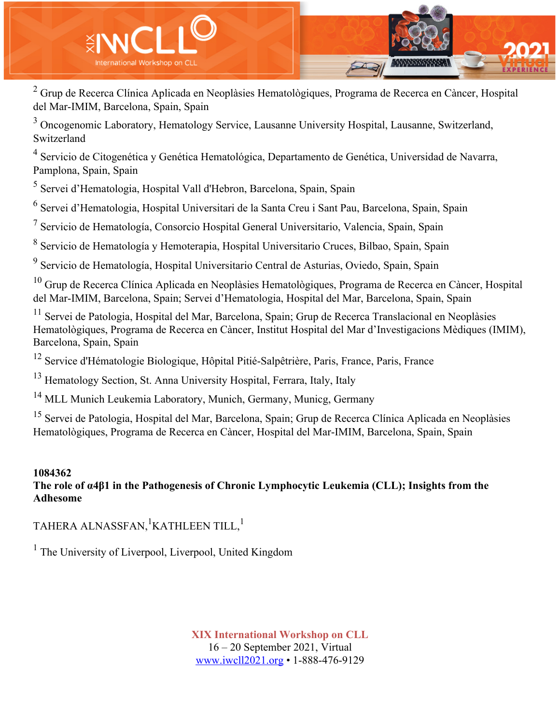

<sup>2</sup> Grup de Recerca Clínica Aplicada en Neoplàsies Hematològiques, Programa de Recerca en Càncer, Hospital del Mar-IMIM, Barcelona, Spain, Spain

<sup>3</sup> Oncogenomic Laboratory, Hematology Service, Lausanne University Hospital, Lausanne, Switzerland, Switzerland

<sup>4</sup> Servicio de Citogenética y Genética Hematológica, Departamento de Genética, Universidad de Navarra, Pamplona, Spain, Spain

<sup>5</sup> Servei d'Hematologia, Hospital Vall d'Hebron, Barcelona, Spain, Spain

<sup>6</sup> Servei d'Hematologia, Hospital Universitari de la Santa Creu i Sant Pau, Barcelona, Spain, Spain

 $<sup>7</sup>$  Servicio de Hematología, Consorcio Hospital General Universitario, Valencia, Spain, Spain</sup>

<sup>8</sup> Servicio de Hematología y Hemoterapia, Hospital Universitario Cruces, Bilbao, Spain, Spain

<sup>9</sup> Servicio de Hematología, Hospital Universitario Central de Asturias, Oviedo, Spain, Spain

 $10$  Grup de Recerca Clínica Aplicada en Neoplàsies Hematològiques, Programa de Recerca en Càncer, Hospital del Mar-IMIM, Barcelona, Spain; Servei d'Hematologia, Hospital del Mar, Barcelona, Spain, Spain

<sup>11</sup> Servei de Patologia, Hospital del Mar, Barcelona, Spain; Grup de Recerca Translacional en Neoplàsies Hematològiques, Programa de Recerca en Càncer, Institut Hospital del Mar d'Investigacions Mèdiques (IMIM), Barcelona, Spain, Spain

<sup>12</sup> Service d'Hématologie Biologique, Hôpital Pitié-Salpêtrière, Paris, France, Paris, France

<sup>13</sup> Hematology Section, St. Anna University Hospital, Ferrara, Italy, Italy

<sup>14</sup> MLL Munich Leukemia Laboratory, Munich, Germany, Municg, Germany

<sup>15</sup> Servei de Patologia, Hospital del Mar, Barcelona, Spain; Grup de Recerca Clínica Aplicada en Neoplàsies Hematològiques, Programa de Recerca en Càncer, Hospital del Mar-IMIM, Barcelona, Spain, Spain

#### **1084362 The role of α4β1 in the Pathogenesis of Chronic Lymphocytic Leukemia (CLL); Insights from the Adhesome**

TAHERA ALNASSFAN, $^{\rm l}$ KATHLEEN TILL, $^{\rm l}$ 

<sup>1</sup> The University of Liverpool, Liverpool, United Kingdom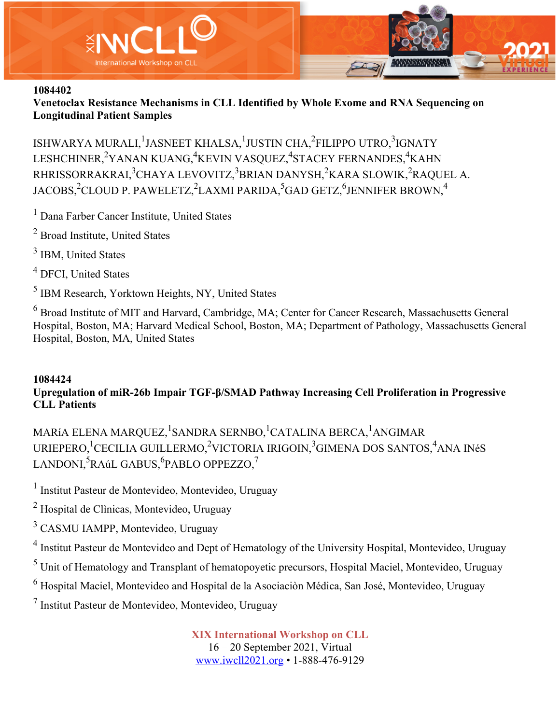

**Venetoclax Resistance Mechanisms in CLL Identified by Whole Exome and RNA Sequencing on Longitudinal Patient Samples**

ISHWARYA MURALI, <sup>1</sup>JASNEET KHALSA, <sup>1</sup>JUSTIN CHA, <sup>2</sup>FILIPPO UTRO, <sup>3</sup>IGNATY LESHCHINER,<sup>2</sup>YANAN KUANG,<sup>4</sup>KEVIN VASQUEZ,<sup>4</sup>STACEY FERNANDES,<sup>4</sup>KAHN RHRISSORRAKRAI,<sup>3</sup>CHAYA LEVOVITZ,<sup>3</sup>BRIAN DANYSH,<sup>2</sup>KARA SLOWIK,<sup>2</sup>RAQUEL A. JACOBS, $^2$ CLOUD P. PAWELETZ, $^2$ LAXMI PARIDA, $^5$ GAD GETZ, $^6$ JENNIFER BROWN, $^4$ 

<sup>1</sup> Dana Farber Cancer Institute, United States

- <sup>2</sup> Broad Institute, United States
- <sup>3</sup> IBM, United States
- <sup>4</sup> DFCI, United States

<sup>5</sup> IBM Research, Yorktown Heights, NY, United States

<sup>6</sup> Broad Institute of MIT and Harvard, Cambridge, MA; Center for Cancer Research, Massachusetts General Hospital, Boston, MA; Harvard Medical School, Boston, MA; Department of Pathology, Massachusetts General Hospital, Boston, MA, United States

### **1084424**

## **Upregulation of miR-26b Impair TGF-β/SMAD Pathway Increasing Cell Proliferation in Progressive CLL Patients**

MARíA ELENA MARQUEZ, <sup>1</sup>SANDRA SERNBO, <sup>1</sup>CATALINA BERCA, <sup>1</sup>ANGIMAR URIEPERO, <sup>1</sup>CECILIA GUILLERMO, <sup>2</sup>VICTORIA IRIGOIN, <sup>3</sup>GIMENA DOS SANTOS, <sup>4</sup>ANA INéS LANDONI,<sup>5</sup>RAúL GABUS,<sup>6</sup>PABLO OPPEZZO,<sup>7</sup>

<sup>1</sup> Institut Pasteur de Montevideo, Montevideo, Uruguay

<sup>2</sup> Hospital de Clìnicas, Montevideo, Uruguay

<sup>3</sup> CASMU IAMPP, Montevideo, Uruguay

<sup>4</sup> Institut Pasteur de Montevideo and Dept of Hematology of the University Hospital, Montevideo, Uruguay

<sup>5</sup> Unit of Hematology and Transplant of hematopoyetic precursors, Hospital Maciel, Montevideo, Uruguay

<sup>6</sup> Hospital Maciel, Montevideo and Hospital de la Asociaciòn Médica, San José, Montevideo, Uruguay

<sup>7</sup> Institut Pasteur de Montevideo, Montevideo, Uruguay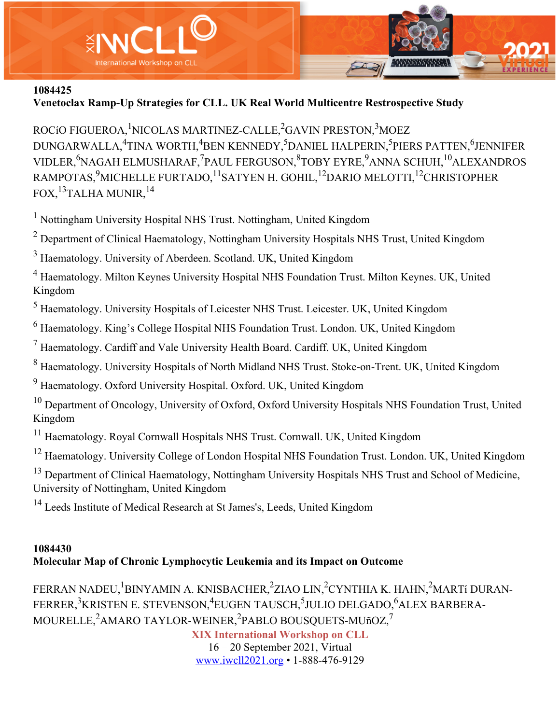

**Venetoclax Ramp-Up Strategies for CLL. UK Real World Multicentre Restrospective Study**

ROCíO FIGUEROA, <sup>1</sup>NICOLAS MARTINEZ-CALLE, <sup>2</sup>GAVIN PRESTON, <sup>3</sup>MOEZ DUNGARWALLA,<sup>4</sup>TINA WORTH,<sup>4</sup>BEN KENNEDY,<sup>5</sup>DANIEL HALPERIN,<sup>5</sup>PIERS PATTEN,<sup>6</sup>JENNIFER VIDLER, <sup>6</sup>NAGAH ELMUSHARAF, <sup>7</sup>PAUL FERGUSON, <sup>8</sup>TOBY EYRE, <sup>9</sup>ANNA SCHUH, <sup>10</sup>ALEXANDROS RAMPOTAS, $^9$ MICHELLE FURTADO, $^{11}$ SATYEN H. GOHIL, $^{12}$ DARIO MELOTTI, $^{12}$ CHRISTOPHER FOX,<sup>13</sup>TALHA MUNIR,<sup>14</sup>

<sup>1</sup> Nottingham University Hospital NHS Trust. Nottingham, United Kingdom

 $2$  Department of Clinical Haematology, Nottingham University Hospitals NHS Trust, United Kingdom

<sup>3</sup> Haematology. University of Aberdeen. Scotland. UK, United Kingdom

<sup>4</sup> Haematology. Milton Keynes University Hospital NHS Foundation Trust. Milton Keynes. UK, United Kingdom

<sup>5</sup> Haematology. University Hospitals of Leicester NHS Trust. Leicester. UK, United Kingdom

<sup>6</sup> Haematology. King's College Hospital NHS Foundation Trust. London. UK, United Kingdom

 $<sup>7</sup>$  Haematology. Cardiff and Vale University Health Board. Cardiff. UK, United Kingdom</sup>

<sup>8</sup> Haematology. University Hospitals of North Midland NHS Trust. Stoke-on-Trent. UK, United Kingdom

<sup>9</sup> Haematology. Oxford University Hospital. Oxford. UK, United Kingdom

<sup>10</sup> Department of Oncology, University of Oxford, Oxford University Hospitals NHS Foundation Trust, United Kingdom

<sup>11</sup> Haematology. Royal Cornwall Hospitals NHS Trust. Cornwall. UK, United Kingdom

<sup>12</sup> Haematology. University College of London Hospital NHS Foundation Trust. London. UK, United Kingdom

<sup>13</sup> Department of Clinical Haematology, Nottingham University Hospitals NHS Trust and School of Medicine, University of Nottingham, United Kingdom

<sup>14</sup> Leeds Institute of Medical Research at St James's, Leeds, United Kingdom

### **1084430 Molecular Map of Chronic Lymphocytic Leukemia and its Impact on Outcome**

FERRAN NADEU, <sup>1</sup>BINYAMIN A. KNISBACHER, <sup>2</sup>ZIAO LIN, <sup>2</sup>CYNTHIA K. HAHN, <sup>2</sup>MARTí DURAN-FERRER, $^3$ KRISTEN E. STEVENSON, $^4$ EUGEN TAUSCH, $^5$ JULIO DELGADO, $^6$ ALEX BARBERA- $\rm MOURELLE,^2AMARO$   $\rm TAYLOR\mbox{-}WENER,^2PABLO$   $\rm BOUSQUETS\mbox{-}MU\~nOZ,^7$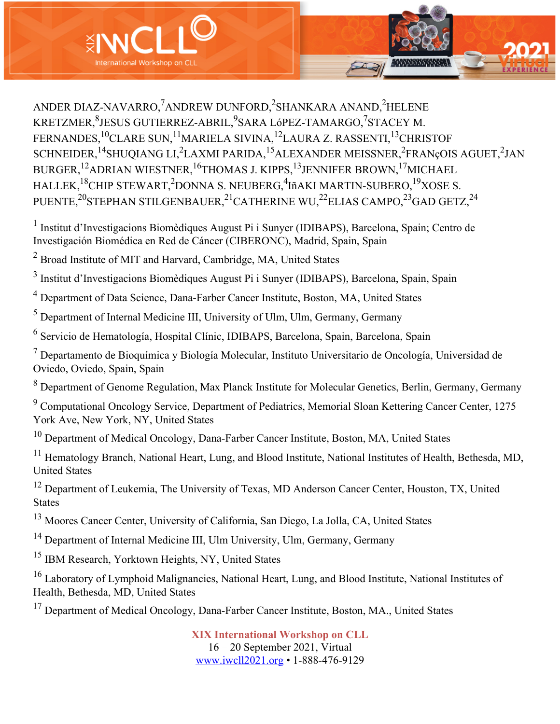

ANDER DIAZ-NAVARRO,<sup>7</sup>ANDREW DUNFORD,<sup>2</sup>SHANKARA ANAND,<sup>2</sup>HELENE KRETZMER, ${}^{8}$ JESUS GUTIERREZ-ABRIL, ${}^{9}$ SARA LóPEZ-TAMARGO, ${}^{7}$ STACEY M. FERNANDES,<sup>10</sup>CLARE SUN,<sup>11</sup>MARIELA SIVINA,<sup>12</sup>LAURA Z. RASSENTI,<sup>13</sup>CHRISTOF SCHNEIDER, <sup>14</sup>SHUQIANG LI,<sup>2</sup>LAXMI PARIDA, <sup>15</sup>ALEXANDER MEISSNER, <sup>2</sup>FRANçOIS AGUET, <sup>2</sup>JAN BURGER,12ADRIAN WIESTNER,16THOMAS J. KIPPS,13JENNIFER BROWN,17MICHAEL HALLEK,<sup>18</sup>CHIP STEWART,<sup>2</sup>DONNA S. NEUBERG,<sup>4</sup>IñAKI MARTIN-SUBERO,<sup>19</sup>XOSE S. PUENTE,<sup>20</sup>STEPHAN STILGENBAUER,<sup>21</sup>CATHERINE WU,<sup>22</sup>ELIAS CAMPO,<sup>23</sup>GAD GETZ,<sup>24</sup>

<sup>1</sup> Institut d'Investigacions Biomèdiques August Pi i Sunyer (IDIBAPS), Barcelona, Spain; Centro de Investigación Biomédica en Red de Cáncer (CIBERONC), Madrid, Spain, Spain

<sup>2</sup> Broad Institute of MIT and Harvard, Cambridge, MA, United States

<sup>3</sup> Institut d'Investigacions Biomèdiques August Pi i Sunyer (IDIBAPS), Barcelona, Spain, Spain

<sup>4</sup> Department of Data Science, Dana-Farber Cancer Institute, Boston, MA, United States

 $<sup>5</sup>$  Department of Internal Medicine III, University of Ulm, Ulm, Germany, Germany</sup>

<sup>6</sup> Servicio de Hematología, Hospital Clínic, IDIBAPS, Barcelona, Spain, Barcelona, Spain

 $<sup>7</sup>$  Departamento de Bioquímica y Biología Molecular, Instituto Universitario de Oncología, Universidad de</sup> Oviedo, Oviedo, Spain, Spain

<sup>8</sup> Department of Genome Regulation, Max Planck Institute for Molecular Genetics, Berlin, Germany, Germany

<sup>9</sup> Computational Oncology Service, Department of Pediatrics, Memorial Sloan Kettering Cancer Center, 1275 York Ave, New York, NY, United States

<sup>10</sup> Department of Medical Oncology, Dana-Farber Cancer Institute, Boston, MA, United States

<sup>11</sup> Hematology Branch, National Heart, Lung, and Blood Institute, National Institutes of Health, Bethesda, MD, United States

<sup>12</sup> Department of Leukemia, The University of Texas, MD Anderson Cancer Center, Houston, TX, United States

<sup>13</sup> Moores Cancer Center, University of California, San Diego, La Jolla, CA, United States

<sup>14</sup> Department of Internal Medicine III, Ulm University, Ulm, Germany, Germany

<sup>15</sup> IBM Research, Yorktown Heights, NY, United States

<sup>16</sup> Laboratory of Lymphoid Malignancies, National Heart, Lung, and Blood Institute, National Institutes of Health, Bethesda, MD, United States

<sup>17</sup> Department of Medical Oncology, Dana-Farber Cancer Institute, Boston, MA., United States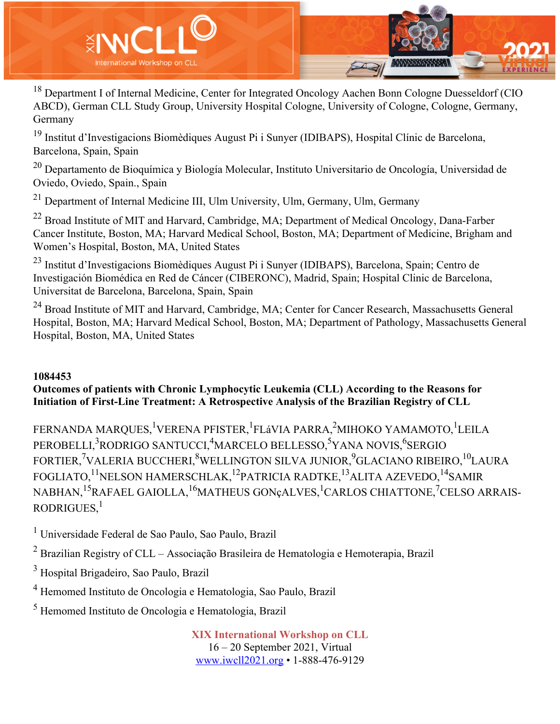

<sup>18</sup> Department I of Internal Medicine, Center for Integrated Oncology Aachen Bonn Cologne Duesseldorf (CIO ABCD), German CLL Study Group, University Hospital Cologne, University of Cologne, Cologne, Germany, Germany

<sup>19</sup> Institut d'Investigacions Biomèdiques August Pi i Sunyer (IDIBAPS), Hospital Clínic de Barcelona, Barcelona, Spain, Spain

<sup>20</sup> Departamento de Bioquímica y Biología Molecular, Instituto Universitario de Oncología, Universidad de Oviedo, Oviedo, Spain., Spain

<sup>21</sup> Department of Internal Medicine III, Ulm University, Ulm, Germany, Ulm, Germany

<sup>22</sup> Broad Institute of MIT and Harvard, Cambridge, MA; Department of Medical Oncology, Dana-Farber Cancer Institute, Boston, MA; Harvard Medical School, Boston, MA; Department of Medicine, Brigham and Women's Hospital, Boston, MA, United States

<sup>23</sup> Institut d'Investigacions Biomèdiques August Pi i Sunyer (IDIBAPS), Barcelona, Spain; Centro de Investigación Biomédica en Red de Cáncer (CIBERONC), Madrid, Spain; Hospital Clinic de Barcelona, Universitat de Barcelona, Barcelona, Spain, Spain

<sup>24</sup> Broad Institute of MIT and Harvard, Cambridge, MA; Center for Cancer Research, Massachusetts General Hospital, Boston, MA; Harvard Medical School, Boston, MA; Department of Pathology, Massachusetts General Hospital, Boston, MA, United States

### **1084453**

### **Outcomes of patients with Chronic Lymphocytic Leukemia (CLL) According to the Reasons for Initiation of First-Line Treatment: A Retrospective Analysis of the Brazilian Registry of CLL**

FERNANDA MARQUES, <sup>1</sup>VERENA PFISTER, <sup>1</sup>FLáVIA PARRA, <sup>2</sup>MIHOKO YAMAMOTO, <sup>1</sup>LEILA PEROBELLI,<sup>3</sup>RODRIGO SANTUCCI,<sup>4</sup>MARCELO BELLESSO,<sup>5</sup>YANA NOVIS,<sup>6</sup>SERGIO FORTIER, $\mathrm{^{7}VALERIA}$  BUCCHERI, $\mathrm{^{8}WELLINGTON}$  SILVA JUNIOR, $\mathrm{^{9}GLACIANO}$  RIBEIRO, $\mathrm{^{10}LAURA}$ FOGLIATO,<sup>11</sup>NELSON HAMERSCHLAK,<sup>12</sup>PATRICIA RADTKE,<sup>13</sup>ALITA AZEVEDO,<sup>14</sup>SAMIR NABHAN,<sup>15</sup>RAFAEL GAIOLLA,<sup>16</sup>MATHEUS GONçALVES,<sup>1</sup>CARLOS CHIATTONE,<sup>7</sup>CELSO ARRAIS-RODRIGUES, $<sup>1</sup>$ </sup>

<sup>1</sup> Universidade Federal de Sao Paulo, Sao Paulo, Brazil

 $2$  Brazilian Registry of CLL – Associação Brasileira de Hematologia e Hemoterapia, Brazil

<sup>3</sup> Hospital Brigadeiro, Sao Paulo, Brazil

<sup>4</sup> Hemomed Instituto de Oncologia e Hematologia, Sao Paulo, Brazil

<sup>5</sup> Hemomed Instituto de Oncologia e Hematologia, Brazil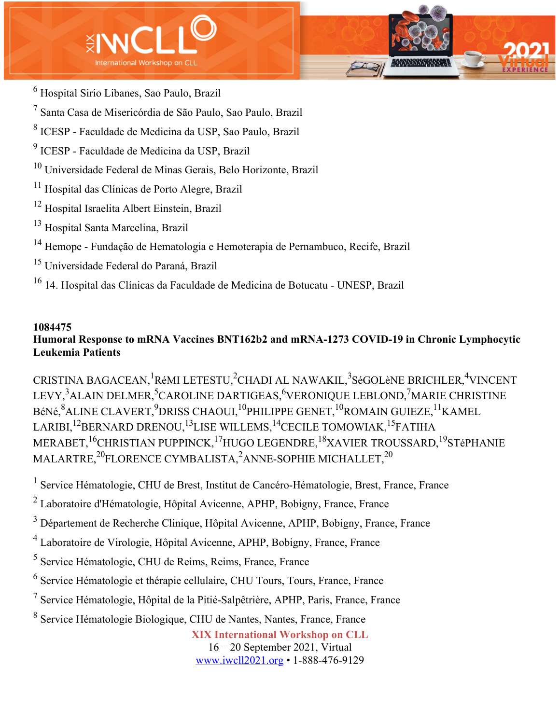



<sup>7</sup> Santa Casa de Misericórdia de São Paulo, Sao Paulo, Brazil

<sup>8</sup> ICESP - Faculdade de Medicina da USP, Sao Paulo, Brazil

<sup>9</sup> ICESP - Faculdade de Medicina da USP, Brazil

<sup>10</sup> Universidade Federal de Minas Gerais, Belo Horizonte, Brazil

<sup>11</sup> Hospital das Clínicas de Porto Alegre, Brazil

<sup>12</sup> Hospital Israelita Albert Einstein, Brazil

<sup>13</sup> Hospital Santa Marcelina, Brazil

<sup>14</sup> Hemope - Fundação de Hematologia e Hemoterapia de Pernambuco, Recife, Brazil

<sup>15</sup> Universidade Federal do Paraná, Brazil

<sup>16</sup> 14. Hospital das Clínicas da Faculdade de Medicina de Botucatu - UNESP, Brazil

#### **1084475**

# **Humoral Response to mRNA Vaccines BNT162b2 and mRNA-1273 COVID-19 in Chronic Lymphocytic Leukemia Patients**

CRISTINA BAGACEAN,<sup>1</sup>RéMI LETESTU,<sup>2</sup>CHADI AL NAWAKIL,<sup>3</sup>SéGOLèNE BRICHLER,<sup>4</sup>VINCENT LEVY,<sup>3</sup>ALAIN DELMER,<sup>5</sup>CAROLINE DARTIGEAS,<sup>6</sup>VERONIQUE LEBLOND,<sup>7</sup>MARIE CHRISTINE BéNé, ${}^{8}$ ALINE CLAVERT, ${}^{9}$ DRISS CHAOUI, ${}^{10}$ PHILIPPE GENET, ${}^{10}$ ROMAIN GUIEZE, ${}^{11}$ KAMEL LARIBI,<sup>12</sup>BERNARD DRENOU,<sup>13</sup>LISE WILLEMS,<sup>14</sup>CECILE TOMOWIAK,<sup>15</sup>FATIHA MERABET,<sup>16</sup>CHRISTIAN PUPPINCK,<sup>17</sup>HUGO LEGENDRE,<sup>18</sup>XAVIER TROUSSARD,<sup>19</sup>STéPHANIE MALARTRE, $^{20}$ FLORENCE CYMBALISTA, $^{2}$ ANNE-SOPHIE MICHALLET, $^{20}$ 

<sup>1</sup> Service Hématologie, CHU de Brest, Institut de Cancéro-Hématologie, Brest, France, France

 $2$  Laboratoire d'Hématologie, Hôpital Avicenne, APHP, Bobigny, France, France

<sup>3</sup> Département de Recherche Clinique, Hôpital Avicenne, APHP, Bobigny, France, France

<sup>4</sup> Laboratoire de Virologie, Hôpital Avicenne, APHP, Bobigny, France, France

<sup>5</sup> Service Hématologie, CHU de Reims, Reims, France, France

<sup>6</sup> Service Hématologie et thérapie cellulaire, CHU Tours, Tours, France, France

 $<sup>7</sup>$  Service Hématologie, Hôpital de la Pitié-Salpêtrière, APHP, Paris, France, France</sup>

<sup>8</sup> Service Hématologie Biologique, CHU de Nantes, Nantes, France, France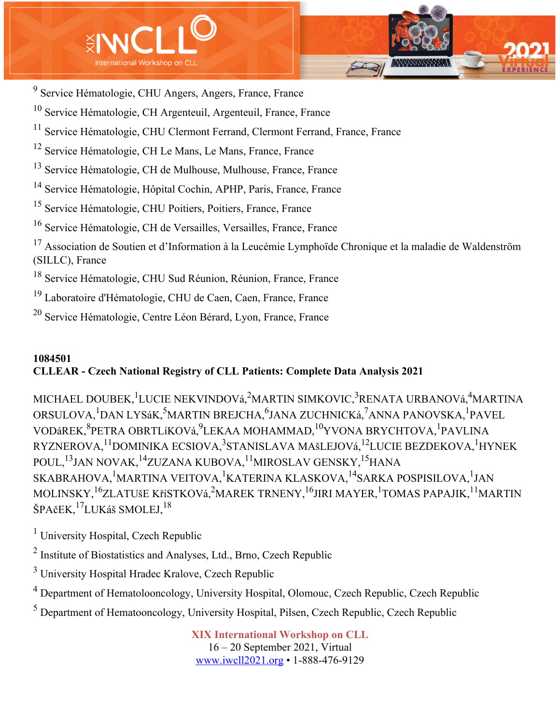



- <sup>9</sup> Service Hématologie, CHU Angers, Angers, France, France
- <sup>10</sup> Service Hématologie, CH Argenteuil, Argenteuil, France, France
- <sup>11</sup> Service Hématologie, CHU Clermont Ferrand, Clermont Ferrand, France, France
- <sup>12</sup> Service Hématologie, CH Le Mans, Le Mans, France, France
- <sup>13</sup> Service Hématologie, CH de Mulhouse, Mulhouse, France, France
- <sup>14</sup> Service Hématologie, Hôpital Cochin, APHP, Paris, France, France
- <sup>15</sup> Service Hématologie, CHU Poitiers, Poitiers, France, France
- <sup>16</sup> Service Hématologie, CH de Versailles, Versailles, France, France
- <sup>17</sup> Association de Soutien et d'Information à la Leucémie Lymphoïde Chronique et la maladie de Waldenström (SILLC), France
- <sup>18</sup> Service Hématologie, CHU Sud Réunion, Réunion, France, France
- <sup>19</sup> Laboratoire d'Hématologie, CHU de Caen, Caen, France, France
- <sup>20</sup> Service Hématologie, Centre Léon Bérard, Lyon, France, France

# **1084501 CLLEAR - Czech National Registry of CLL Patients: Complete Data Analysis 2021**

MICHAEL DOUBEK, <sup>1</sup>LUCIE NEKVINDOVá, <sup>2</sup>MARTIN SIMKOVIC, <sup>3</sup>RENATA URBANOVá, <sup>4</sup>MARTINA ORSULOVA, <sup>1</sup>DAN LYSáK, <sup>5</sup>MARTIN BREJCHA, <sup>6</sup>JANA ZUCHNICKá, <sup>7</sup>ANNA PANOVSKA, <sup>1</sup>PAVEL VODáREK, <sup>8</sup>PETRA OBRTLíKOVá, <sup>9</sup>LEKAA MOHAMMAD, <sup>10</sup>YVONA BRYCHTOVA, <sup>1</sup>PAVLINA RYZNEROVA,<sup>11</sup>DOMINIKA ECSIOVA,<sup>3</sup>STANISLAVA MAšLEJOVá,<sup>12</sup>LUCIE BEZDEKOVA,<sup>1</sup>HYNEK POUL,<sup>13</sup>JAN NOVAK,<sup>14</sup>ZUZANA KUBOVA,<sup>11</sup>MIROSLAV GENSKY,<sup>15</sup>HANA SKABRAHOVA, <sup>1</sup>MARTINA VEITOVA, <sup>1</sup>KATERINA KLASKOVA, <sup>14</sup>SARKA POSPISILOVA, <sup>1</sup>JAN MOLINSKY, <sup>16</sup>ZLATUšE KříSTKOVá, <sup>2</sup>MAREK TRNENY, <sup>16</sup>JIRI MAYER, <sup>1</sup>TOMAS PAPAJIK, <sup>11</sup>MARTIN ŠPAčEK,17LUKáš SMOLEJ,18

- $<sup>1</sup>$  University Hospital, Czech Republic</sup>
- <sup>2</sup> Institute of Biostatistics and Analyses, Ltd., Brno, Czech Republic
- <sup>3</sup> University Hospital Hradec Kralove, Czech Republic
- <sup>4</sup> Department of Hematolooncology, University Hospital, Olomouc, Czech Republic, Czech Republic
- <sup>5</sup> Department of Hematooncology, University Hospital, Pilsen, Czech Republic, Czech Republic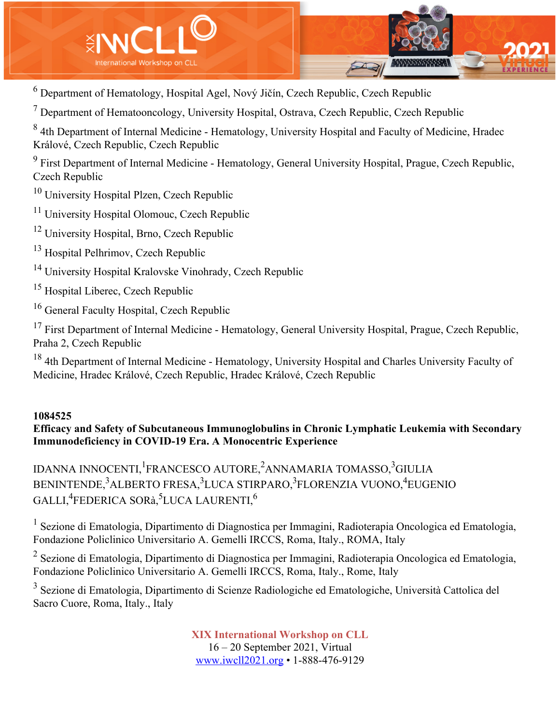

<sup>6</sup> Department of Hematology, Hospital Agel, Nový Jičín, Czech Republic, Czech Republic

 $<sup>7</sup>$  Department of Hematooncology, University Hospital, Ostrava, Czech Republic, Czech Republic</sup>

<sup>8</sup> 4th Department of Internal Medicine - Hematology, University Hospital and Faculty of Medicine, Hradec Králové, Czech Republic, Czech Republic

<sup>9</sup> First Department of Internal Medicine - Hematology, General University Hospital, Prague, Czech Republic, Czech Republic

<sup>10</sup> University Hospital Plzen, Czech Republic

<sup>11</sup> University Hospital Olomouc, Czech Republic

<sup>12</sup> University Hospital, Brno, Czech Republic

<sup>13</sup> Hospital Pelhrimov, Czech Republic

<sup>14</sup> University Hospital Kralovske Vinohrady, Czech Republic

<sup>15</sup> Hospital Liberec, Czech Republic

<sup>16</sup> General Faculty Hospital, Czech Republic

<sup>17</sup> First Department of Internal Medicine - Hematology, General University Hospital, Prague, Czech Republic, Praha 2, Czech Republic

<sup>18</sup> 4th Department of Internal Medicine - Hematology, University Hospital and Charles University Faculty of Medicine, Hradec Králové, Czech Republic, Hradec Králové, Czech Republic

#### **1084525**

**Efficacy and Safety of Subcutaneous Immunoglobulins in Chronic Lymphatic Leukemia with Secondary Immunodeficiency in COVID-19 Era. A Monocentric Experience**

IDANNA INNOCENTI,<sup>1</sup>FRANCESCO AUTORE,<sup>2</sup>ANNAMARIA TOMASSO,<sup>3</sup>GIULIA BENINTENDE,<sup>3</sup>ALBERTO FRESA,<sup>3</sup>LUCA STIRPARO,<sup>3</sup>FLORENZIA VUONO,<sup>4</sup>EUGENIO  $\mathrm{GALLI}, ^4$ FEDERICA SORà, $^5$ LUCA LAURENTI, $^6$ 

<sup>1</sup> Sezione di Ematologia, Dipartimento di Diagnostica per Immagini, Radioterapia Oncologica ed Ematologia, Fondazione Policlinico Universitario A. Gemelli IRCCS, Roma, Italy., ROMA, Italy

<sup>2</sup> Sezione di Ematologia, Dipartimento di Diagnostica per Immagini, Radioterapia Oncologica ed Ematologia, Fondazione Policlinico Universitario A. Gemelli IRCCS, Roma, Italy., Rome, Italy

<sup>3</sup> Sezione di Ematologia, Dipartimento di Scienze Radiologiche ed Ematologiche, Università Cattolica del Sacro Cuore, Roma, Italy., Italy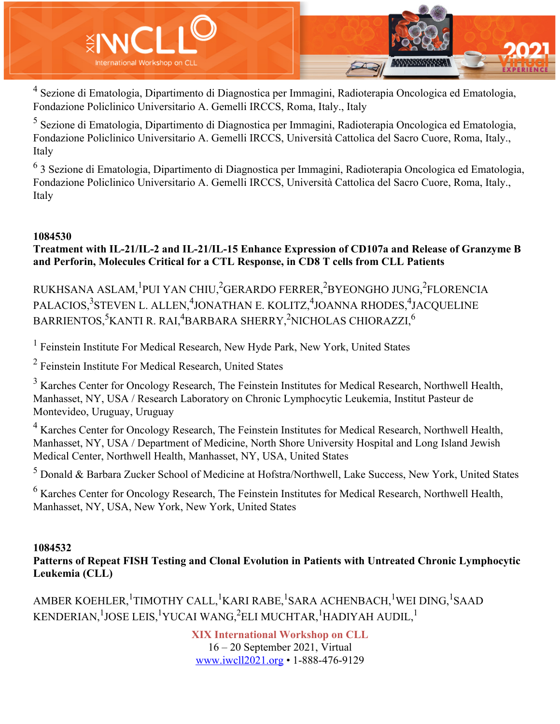

<sup>4</sup> Sezione di Ematologia, Dipartimento di Diagnostica per Immagini, Radioterapia Oncologica ed Ematologia, Fondazione Policlinico Universitario A. Gemelli IRCCS, Roma, Italy., Italy

<sup>5</sup> Sezione di Ematologia, Dipartimento di Diagnostica per Immagini, Radioterapia Oncologica ed Ematologia, Fondazione Policlinico Universitario A. Gemelli IRCCS, Università Cattolica del Sacro Cuore, Roma, Italy., Italy

<sup>6</sup> 3 Sezione di Ematologia, Dipartimento di Diagnostica per Immagini, Radioterapia Oncologica ed Ematologia, Fondazione Policlinico Universitario A. Gemelli IRCCS, Università Cattolica del Sacro Cuore, Roma, Italy., Italy

#### **1084530**

### **Treatment with IL-21/IL-2 and IL-21/IL-15 Enhance Expression of CD107a and Release of Granzyme B and Perforin, Molecules Critical for a CTL Response, in CD8 T cells from CLL Patients**

RUKHSANA ASLAM,<sup>1</sup>PUI YAN CHIU,<sup>2</sup>GERARDO FERRER,<sup>2</sup>BYEONGHO JUNG,<sup>2</sup>FLORENCIA PALACIOS,<sup>3</sup>STEVEN L. ALLEN,<sup>4</sup>JONATHAN E. KOLITZ,<sup>4</sup>JOANNA RHODES,<sup>4</sup>JACQUELINE BARRIENTOS, $^5$ KANTI R. RAI, $^4$ BARBARA SHERRY, $^2$ NICHOLAS CHIORAZZI, $^6$ 

<sup>1</sup> Feinstein Institute For Medical Research, New Hyde Park, New York, United States

<sup>2</sup> Feinstein Institute For Medical Research, United States

<sup>3</sup> Karches Center for Oncology Research, The Feinstein Institutes for Medical Research, Northwell Health, Manhasset, NY, USA / Research Laboratory on Chronic Lymphocytic Leukemia, Institut Pasteur de Montevideo, Uruguay, Uruguay

<sup>4</sup> Karches Center for Oncology Research, The Feinstein Institutes for Medical Research, Northwell Health, Manhasset, NY, USA / Department of Medicine, North Shore University Hospital and Long Island Jewish Medical Center, Northwell Health, Manhasset, NY, USA, United States

<sup>5</sup> Donald & Barbara Zucker School of Medicine at Hofstra/Northwell, Lake Success, New York, United States

 $6$  Karches Center for Oncology Research, The Feinstein Institutes for Medical Research, Northwell Health, Manhasset, NY, USA, New York, New York, United States

### **1084532**

**Patterns of Repeat FISH Testing and Clonal Evolution in Patients with Untreated Chronic Lymphocytic Leukemia (CLL)**

AMBER KOEHLER, <sup>1</sup>TIMOTHY CALL, <sup>1</sup>KARI RABE, <sup>1</sup>SARA ACHENBACH, <sup>1</sup>WEI DING, <sup>1</sup>SAAD KENDERIAN, $^1$ JOSE LEIS, $^1$ YUCAI WANG, $^2$ ELI MUCHTAR, $^1$ HADIYAH AUDIL, $^1$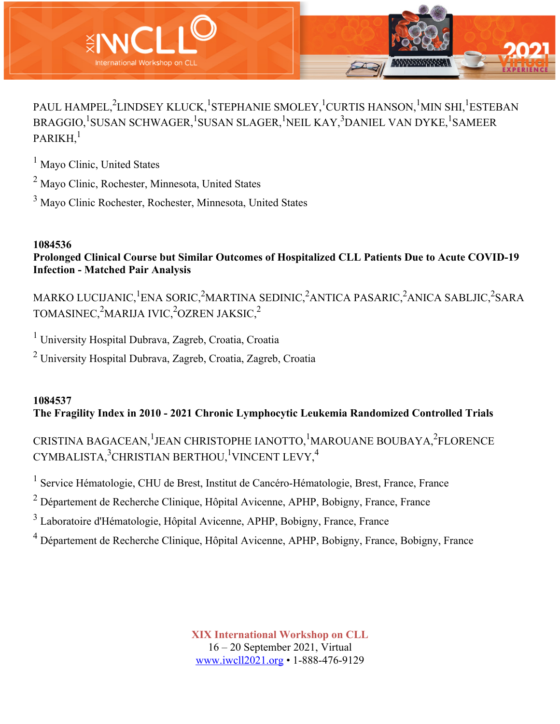

PAUL HAMPEL, $^2$ LINDSEY KLUCK, $^1$ STEPHANIE SMOLEY, $^1$ CURTIS HANSON, $^1$ MIN SHI, $^1$ ESTEBAN BRAGGIO,<sup>1</sup>SUSAN SCHWAGER,<sup>1</sup>SUSAN SLAGER,<sup>1</sup>NEIL KAY,<sup>3</sup>DANIEL VAN DYKE,<sup>1</sup>SAMEER  $PARIKH<sup>1</sup>$ 

<sup>1</sup> Mayo Clinic, United States

<sup>2</sup> Mayo Clinic, Rochester, Minnesota, United States

<sup>3</sup> Mayo Clinic Rochester, Rochester, Minnesota, United States

## **1084536**

**Prolonged Clinical Course but Similar Outcomes of Hospitalized CLL Patients Due to Acute COVID-19 Infection - Matched Pair Analysis**

MARKO LUCIJANIC,<sup>1</sup>ENA SORIC,<sup>2</sup>MARTINA SEDINIC,<sup>2</sup>ANTICA PASARIC,<sup>2</sup>ANICA SABLJIC,<sup>2</sup>SARA TOMASINEC, $^{2}$ MARIJA IVIC, $^{2}$ OZREN JAKSIC, $^{2}$ 

<sup>1</sup> University Hospital Dubrava, Zagreb, Croatia, Croatia

<sup>2</sup> University Hospital Dubrava, Zagreb, Croatia, Zagreb, Croatia

## **1084537 The Fragility Index in 2010 - 2021 Chronic Lymphocytic Leukemia Randomized Controlled Trials**

CRISTINA BAGACEAN, <sup>1</sup>JEAN CHRISTOPHE IANOTTO, <sup>1</sup>MAROUANE BOUBAYA, <sup>2</sup>FLORENCE CYMBALISTA,<sup>3</sup>CHRISTIAN BERTHOU,<sup>1</sup>VINCENT LEVY,<sup>4</sup>

<sup>1</sup> Service Hématologie, CHU de Brest, Institut de Cancéro-Hématologie, Brest, France, France

<sup>2</sup> Département de Recherche Clinique, Hôpital Avicenne, APHP, Bobigny, France, France

<sup>3</sup> Laboratoire d'Hématologie, Hôpital Avicenne, APHP, Bobigny, France, France

<sup>4</sup> Département de Recherche Clinique, Hôpital Avicenne, APHP, Bobigny, France, Bobigny, France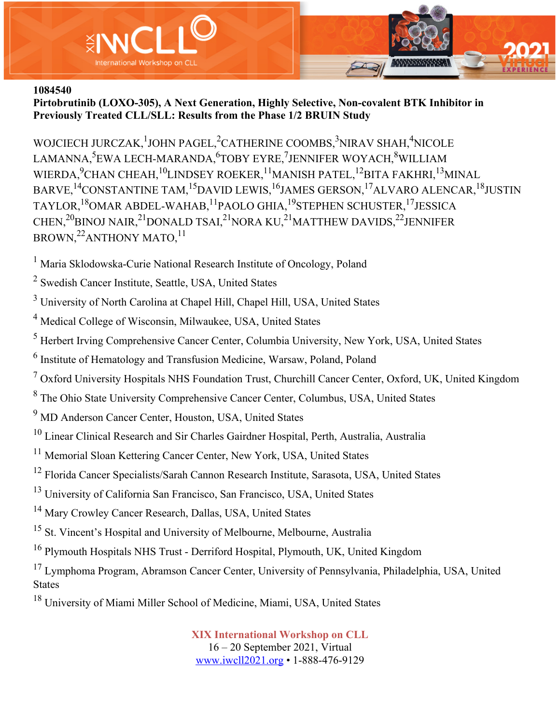

**Pirtobrutinib (LOXO-305), A Next Generation, Highly Selective, Non-covalent BTK Inhibitor in Previously Treated CLL/SLL: Results from the Phase 1/2 BRUIN Study**

WOJCIECH JURCZAK, <sup>1</sup>JOHN PAGEL, <sup>2</sup>CATHERINE COOMBS, <sup>3</sup>NIRAV SHAH, <sup>4</sup>NICOLE LAMANNA,<sup>5</sup>EWA LECH-MARANDA,<sup>6</sup>TOBY EYRE,<sup>7</sup>JENNIFER WOYACH,<sup>8</sup>WILLIAM WIERDA,<sup>9</sup>CHAN CHEAH,<sup>10</sup>LINDSEY ROEKER,<sup>11</sup>MANISH PATEL,<sup>12</sup>BITA FAKHRI,<sup>13</sup>MINAL BARVE,<sup>14</sup>CONSTANTINE TAM,<sup>15</sup>DAVID LEWIS,<sup>16</sup>JAMES GERSON,<sup>17</sup>ALVARO ALENCAR,<sup>18</sup>JUSTIN TAYLOR,<sup>18</sup>OMAR ABDEL-WAHAB,<sup>11</sup>PAOLO GHIA,<sup>19</sup>STEPHEN SCHUSTER,<sup>17</sup>JESSICA CHEN,<sup>20</sup>BINOJ NAIR,<sup>21</sup>DONALD TSAI,<sup>21</sup>NORA KU,<sup>21</sup>MATTHEW DAVIDS,<sup>22</sup>JENNIFER BROWN,<sup>22</sup>ANTHONY MATO,<sup>11</sup>

<sup>1</sup> Maria Sklodowska-Curie National Research Institute of Oncology, Poland

<sup>2</sup> Swedish Cancer Institute, Seattle, USA, United States

<sup>3</sup> University of North Carolina at Chapel Hill, Chapel Hill, USA, United States

<sup>4</sup> Medical College of Wisconsin, Milwaukee, USA, United States

<sup>5</sup> Herbert Irving Comprehensive Cancer Center, Columbia University, New York, USA, United States

<sup>6</sup> Institute of Hematology and Transfusion Medicine, Warsaw, Poland, Poland

 $7$  Oxford University Hospitals NHS Foundation Trust, Churchill Cancer Center, Oxford, UK, United Kingdom

<sup>8</sup> The Ohio State University Comprehensive Cancer Center, Columbus, USA, United States

<sup>9</sup> MD Anderson Cancer Center, Houston, USA, United States

- <sup>10</sup> Linear Clinical Research and Sir Charles Gairdner Hospital, Perth, Australia, Australia
- <sup>11</sup> Memorial Sloan Kettering Cancer Center, New York, USA, United States
- <sup>12</sup> Florida Cancer Specialists/Sarah Cannon Research Institute, Sarasota, USA, United States
- <sup>13</sup> University of California San Francisco, San Francisco, USA, United States
- <sup>14</sup> Mary Crowley Cancer Research, Dallas, USA, United States

<sup>15</sup> St. Vincent's Hospital and University of Melbourne, Melbourne, Australia

<sup>16</sup> Plymouth Hospitals NHS Trust - Derriford Hospital, Plymouth, UK, United Kingdom

<sup>17</sup> Lymphoma Program, Abramson Cancer Center, University of Pennsylvania, Philadelphia, USA, United States

<sup>18</sup> University of Miami Miller School of Medicine, Miami, USA, United States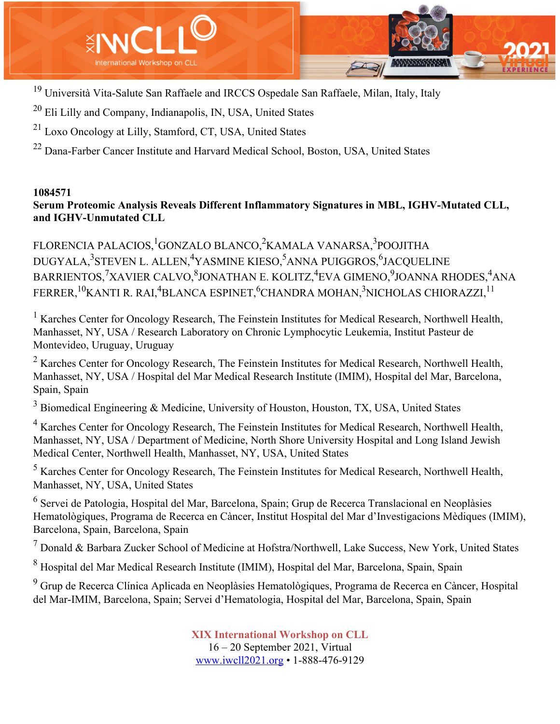

<sup>19</sup> Università Vita-Salute San Raffaele and IRCCS Ospedale San Raffaele, Milan, Italy, Italy

<sup>20</sup> Eli Lilly and Company, Indianapolis, IN, USA, United States

<sup>21</sup> Loxo Oncology at Lilly, Stamford, CT, USA, United States

<sup>22</sup> Dana-Farber Cancer Institute and Harvard Medical School, Boston, USA, United States

#### **1084571**

#### **Serum Proteomic Analysis Reveals Different Inflammatory Signatures in MBL, IGHV-Mutated CLL, and IGHV-Unmutated CLL**

FLORENCIA PALACIOS, <sup>1</sup>GONZALO BLANCO,<sup>2</sup>KAMALA VANARSA, <sup>3</sup>POOJITHA DUGYALA,<sup>3</sup>STEVEN L. ALLEN,<sup>4</sup>YASMINE KIESO,<sup>5</sup>ANNA PUIGGROS,<sup>6</sup>JACQUELINE BARRIENTOS,<sup>7</sup>XAVIER CALVO,<sup>8</sup>JONATHAN E. KOLITZ,<sup>4</sup>EVA GIMENO,<sup>9</sup>JOANNA RHODES,<sup>4</sup>ANA FERRER, <sup>10</sup>KANTI R. RAI,<sup>4</sup>BLANCA ESPINET, <sup>6</sup>CHANDRA MOHAN, <sup>3</sup>NICHOLAS CHIORAZZI, <sup>11</sup>

<sup>1</sup> Karches Center for Oncology Research, The Feinstein Institutes for Medical Research, Northwell Health, Manhasset, NY, USA / Research Laboratory on Chronic Lymphocytic Leukemia, Institut Pasteur de Montevideo, Uruguay, Uruguay

 $2 K$ arches Center for Oncology Research, The Feinstein Institutes for Medical Research, Northwell Health, Manhasset, NY, USA / Hospital del Mar Medical Research Institute (IMIM), Hospital del Mar, Barcelona, Spain, Spain

 $3$  Biomedical Engineering & Medicine, University of Houston, Houston, TX, USA, United States

<sup>4</sup> Karches Center for Oncology Research, The Feinstein Institutes for Medical Research, Northwell Health, Manhasset, NY, USA / Department of Medicine, North Shore University Hospital and Long Island Jewish Medical Center, Northwell Health, Manhasset, NY, USA, United States

<sup>5</sup> Karches Center for Oncology Research, The Feinstein Institutes for Medical Research, Northwell Health, Manhasset, NY, USA, United States

<sup>6</sup> Servei de Patologia, Hospital del Mar, Barcelona, Spain; Grup de Recerca Translacional en Neoplàsies Hematològiques, Programa de Recerca en Càncer, Institut Hospital del Mar d'Investigacions Mèdiques (IMIM), Barcelona, Spain, Barcelona, Spain

 $<sup>7</sup>$  Donald & Barbara Zucker School of Medicine at Hofstra/Northwell, Lake Success, New York, United States</sup>

<sup>8</sup> Hospital del Mar Medical Research Institute (IMIM), Hospital del Mar, Barcelona, Spain, Spain

<sup>9</sup> Grup de Recerca Clínica Aplicada en Neoplàsies Hematològiques, Programa de Recerca en Càncer, Hospital del Mar-IMIM, Barcelona, Spain; Servei d'Hematologia, Hospital del Mar, Barcelona, Spain, Spain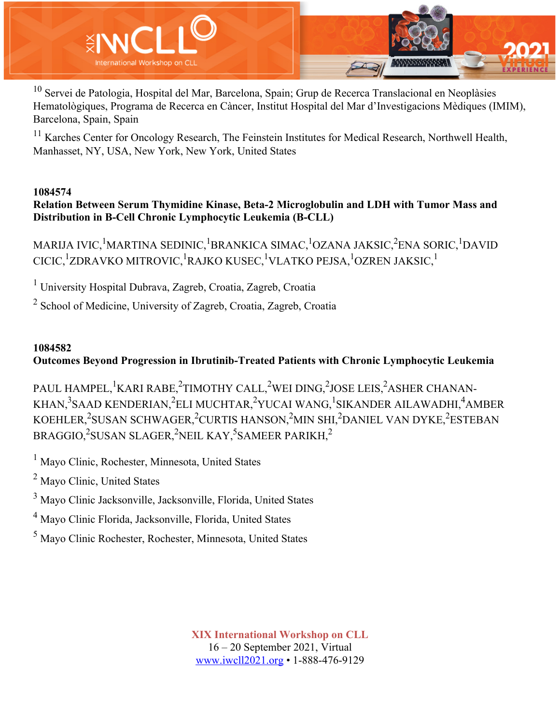

<sup>10</sup> Servei de Patologia, Hospital del Mar, Barcelona, Spain; Grup de Recerca Translacional en Neoplàsies Hematològiques, Programa de Recerca en Càncer, Institut Hospital del Mar d'Investigacions Mèdiques (IMIM), Barcelona, Spain, Spain

<sup>11</sup> Karches Center for Oncology Research, The Feinstein Institutes for Medical Research, Northwell Health, Manhasset, NY, USA, New York, New York, United States

#### **1084574**

**Relation Between Serum Thymidine Kinase, Beta-2 Microglobulin and LDH with Tumor Mass and Distribution in B-Cell Chronic Lymphocytic Leukemia (B-CLL)**

MARIJA IVIC,<sup>1</sup>MARTINA SEDINIC,<sup>1</sup>BRANKICA SIMAC,<sup>1</sup>OZANA JAKSIC,<sup>2</sup>ENA SORIC,<sup>1</sup>DAVID CICIC,<sup>1</sup>ZDRAVKO MITROVIC,<sup>1</sup>RAJKO KUSEC,<sup>1</sup>VLATKO PEJSA,<sup>1</sup>OZREN JAKSIC,<sup>1</sup>

<sup>1</sup> University Hospital Dubrava, Zagreb, Croatia, Zagreb, Croatia

<sup>2</sup> School of Medicine, University of Zagreb, Croatia, Zagreb, Croatia

### **1084582**

**Outcomes Beyond Progression in Ibrutinib-Treated Patients with Chronic Lymphocytic Leukemia**

PAUL HAMPEL, <sup>1</sup>KARI RABE,<sup>2</sup>TIMOTHY CALL,<sup>2</sup>WEI DING,<sup>2</sup>JOSE LEIS,<sup>2</sup>ASHER CHANAN-KHAN,<sup>3</sup>SAAD KENDERIAN,<sup>2</sup>ELI MUCHTAR,<sup>2</sup>YUCAI WANG,<sup>1</sup>SIKANDER AILAWADHI,<sup>4</sup>AMBER KOEHLER,<sup>2</sup>SUSAN SCHWAGER,<sup>2</sup>CURTIS HANSON,<sup>2</sup>MIN SHI,<sup>2</sup>DANIEL VAN DYKE,<sup>2</sup>ESTEBAN  $\rm BRAGGIO, ^2SUSAN\ SLAGER, ^2NEIL\ KAY, ^5SAMEER\ PARIKH, ^2$ 

<sup>1</sup> Mayo Clinic, Rochester, Minnesota, United States

<sup>2</sup> Mayo Clinic, United States

<sup>3</sup> Mayo Clinic Jacksonville, Jacksonville, Florida, United States

<sup>4</sup> Mayo Clinic Florida, Jacksonville, Florida, United States

<sup>5</sup> Mayo Clinic Rochester, Rochester, Minnesota, United States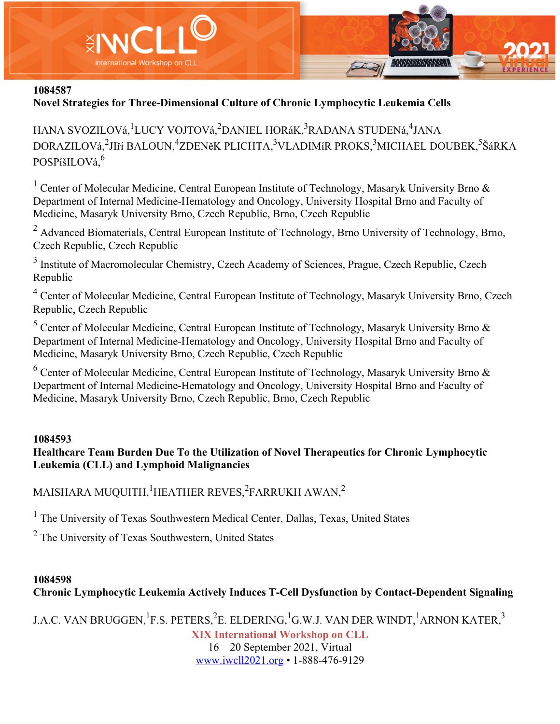

### **Novel Strategies for Three-Dimensional Culture of Chronic Lymphocytic Leukemia Cells**

HANA SVOZILOVá, <sup>1</sup>LUCY VOJTOVá, <sup>2</sup>DANIEL HORáK, <sup>3</sup>RADANA STUDENá, <sup>4</sup>JANA DORAZILOVá,<sup>2</sup>JIří BALOUN,<sup>4</sup>ZDENěK PLICHTA,<sup>3</sup>VLADIMíR PROKS,<sup>3</sup>MICHAEL DOUBEK,<sup>5</sup>ŠáRKA POSPíšILOVá,<sup>6</sup>

<sup>1</sup> Center of Molecular Medicine, Central European Institute of Technology, Masaryk University Brno & Department of Internal Medicine-Hematology and Oncology, University Hospital Brno and Faculty of Medicine, Masaryk University Brno, Czech Republic, Brno, Czech Republic

<sup>2</sup> Advanced Biomaterials, Central European Institute of Technology, Brno University of Technology, Brno, Czech Republic, Czech Republic

<sup>3</sup> Institute of Macromolecular Chemistry, Czech Academy of Sciences, Prague, Czech Republic, Czech Republic

<sup>4</sup> Center of Molecular Medicine, Central European Institute of Technology, Masaryk University Brno, Czech Republic, Czech Republic

 $5$  Center of Molecular Medicine, Central European Institute of Technology, Masaryk University Brno  $\&$ Department of Internal Medicine-Hematology and Oncology, University Hospital Brno and Faculty of Medicine, Masaryk University Brno, Czech Republic, Czech Republic

 $6$  Center of Molecular Medicine, Central European Institute of Technology, Masaryk University Brno & Department of Internal Medicine-Hematology and Oncology, University Hospital Brno and Faculty of Medicine, Masaryk University Brno, Czech Republic, Brno, Czech Republic

#### **1084593**

### **Healthcare Team Burden Due To the Utilization of Novel Therapeutics for Chronic Lymphocytic Leukemia (CLL) and Lymphoid Malignancies**

MAISHARA MUQUITH, $^1$ HEATHER REVES, $^2$ FARRUKH AWAN, $^2$ 

<sup>1</sup> The University of Texas Southwestern Medical Center, Dallas, Texas, United States

<sup>2</sup> The University of Texas Southwestern, United States

#### **1084598**

## **Chronic Lymphocytic Leukemia Actively Induces T-Cell Dysfunction by Contact-Dependent Signaling**

J.A.C. VAN BRUGGEN, $^1$ F.S. PETERS, $^2$ E. ELDERING, $^1$ G.W.J. VAN DER WINDT, $^1$ ARNON KATER, $^3$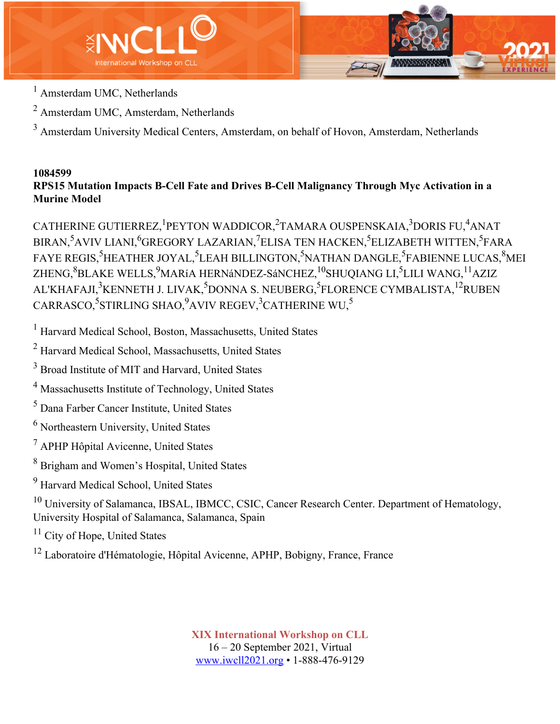

- <sup>1</sup> Amsterdam UMC, Netherlands
- <sup>2</sup> Amsterdam UMC, Amsterdam, Netherlands

<sup>3</sup> Amsterdam University Medical Centers, Amsterdam, on behalf of Hovon, Amsterdam, Netherlands

#### **1084599 RPS15 Mutation Impacts B-Cell Fate and Drives B-Cell Malignancy Through Myc Activation in a Murine Model**

CATHERINE GUTIERREZ, <sup>1</sup>PEYTON WADDICOR, <sup>2</sup>TAMARA OUSPENSKAIA, <sup>3</sup>DORIS FU, <sup>4</sup>ANAT BIRAN,<sup>5</sup>AVIV LIANI,<sup>6</sup>GREGORY LAZARIAN,<sup>7</sup>ELISA TEN HACKEN,<sup>5</sup>ELIZABETH WITTEN,<sup>5</sup>FARA FAYE REGIS,<sup>5</sup>HEATHER JOYAL,<sup>5</sup>LEAH BILLINGTON,<sup>5</sup>NATHAN DANGLE,<sup>5</sup>FABIENNE LUCAS,<sup>8</sup>MEI ZHENG, $^8$ BLAKE WELLS, $^9$ MARíA HERNáNDEZ-SáNCHEZ, $^{10}$ SHUQIANG LI, $^5$ LILI WANG, $^{11}$ AZIZ AL'KHAFAJI,<sup>3</sup>KENNETH J. LIVAK,<sup>5</sup>DONNA S. NEUBERG,<sup>5</sup>FLORENCE CYMBALISTA,<sup>12</sup>RUBEN  $\mathrm{CARRASCO} , \mathrm{^{5}STIRLING}$   $\mathrm{SHAO} , \mathrm{^{9}AVIV}$   $\mathrm{REGEV} , \mathrm{^{3}CATHERINE}$   $\mathrm{WU} , \mathrm{^{5}$ 

<sup>1</sup> Harvard Medical School, Boston, Massachusetts, United States

<sup>2</sup> Harvard Medical School, Massachusetts, United States

<sup>3</sup> Broad Institute of MIT and Harvard, United States

<sup>4</sup> Massachusetts Institute of Technology, United States

<sup>5</sup> Dana Farber Cancer Institute, United States

<sup>6</sup> Northeastern University, United States

<sup>7</sup> APHP Hôpital Avicenne, United States

<sup>8</sup> Brigham and Women's Hospital, United States

<sup>9</sup> Harvard Medical School, United States

<sup>10</sup> University of Salamanca, IBSAL, IBMCC, CSIC, Cancer Research Center. Department of Hematology, University Hospital of Salamanca, Salamanca, Spain

 $11$  City of Hope, United States

<sup>12</sup> Laboratoire d'Hématologie, Hôpital Avicenne, APHP, Bobigny, France, France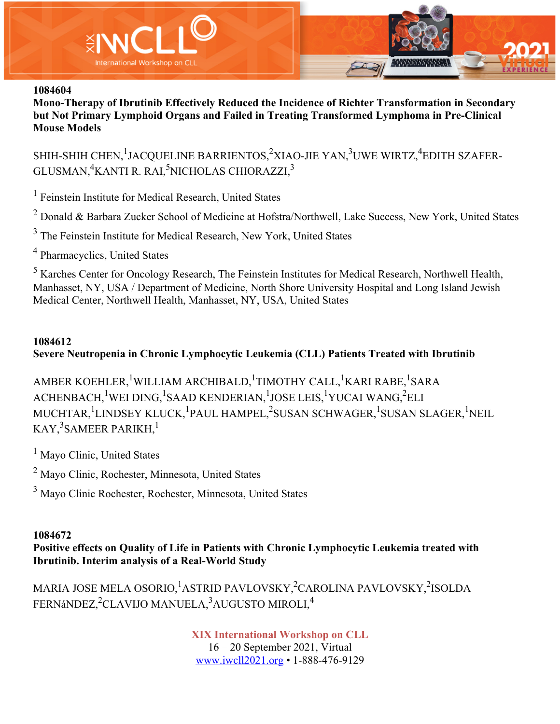

**Mono-Therapy of Ibrutinib Effectively Reduced the Incidence of Richter Transformation in Secondary but Not Primary Lymphoid Organs and Failed in Treating Transformed Lymphoma in Pre-Clinical Mouse Models**

SHIH-SHIH CHEN, $^1$ JACQUELINE BARRIENTOS, $^2$ XIAO-JIE YAN, $^3$ UWE WIRTZ, $^4$ EDITH SZAFER-GLUSMAN, ${}^4$ KANTI R. RAI, ${}^5$ NICHOLAS CHIORAZZI, ${}^3$ 

 $<sup>1</sup>$  Feinstein Institute for Medical Research, United States</sup>

<sup>2</sup> Donald & Barbara Zucker School of Medicine at Hofstra/Northwell, Lake Success, New York, United States

<sup>3</sup> The Feinstein Institute for Medical Research, New York, United States

<sup>4</sup> Pharmacyclics, United States

<sup>5</sup> Karches Center for Oncology Research, The Feinstein Institutes for Medical Research, Northwell Health, Manhasset, NY, USA / Department of Medicine, North Shore University Hospital and Long Island Jewish Medical Center, Northwell Health, Manhasset, NY, USA, United States

#### **1084612**

### **Severe Neutropenia in Chronic Lymphocytic Leukemia (CLL) Patients Treated with Ibrutinib**

AMBER KOEHLER, <sup>1</sup>WILLIAM ARCHIBALD, <sup>1</sup>TIMOTHY CALL, <sup>1</sup>KARI RABE, <sup>1</sup>SARA ACHENBACH, <sup>1</sup>WEI DING, <sup>1</sup>SAAD KENDERIAN, <sup>1</sup>JOSE LEIS, <sup>1</sup>YUCAI WANG, <sup>2</sup>ELI MUCHTAR, <sup>1</sup>LINDSEY KLUCK, <sup>1</sup>PAUL HAMPEL, <sup>2</sup>SUSAN SCHWAGER, <sup>1</sup>SUSAN SLAGER, <sup>1</sup>NEIL KAY, $^3$ SAMEER PARIKH, $^1$ 

<sup>1</sup> Mayo Clinic, United States

<sup>2</sup> Mayo Clinic, Rochester, Minnesota, United States

<sup>3</sup> Mayo Clinic Rochester, Rochester, Minnesota, United States

#### **1084672**

**Positive effects on Quality of Life in Patients with Chronic Lymphocytic Leukemia treated with Ibrutinib. Interim analysis of a Real-World Study**

MARIA JOSE MELA OSORIO, <sup>1</sup>ASTRID PAVLOVSKY, <sup>2</sup>CAROLINA PAVLOVSKY, <sup>2</sup>ISOLDA FERNáNDEZ,<sup>2</sup>CLAVIJO MANUELA,<sup>3</sup>AUGUSTO MIROLI,<sup>4</sup>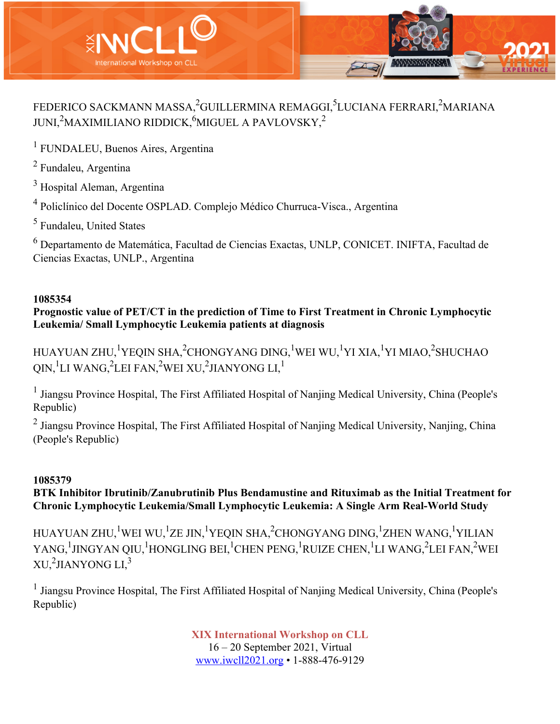

# FEDERICO SACKMANN MASSA,<sup>2</sup>GUILLERMINA REMAGGI,<sup>5</sup>LUCIANA FERRARI,<sup>2</sup>MARIANA JUNI, $^2$ MAXIMILIANO RIDDICK, $^6$ MIGUEL A PAVLOVSKY, $^2$

<sup>1</sup> FUNDALEU, Buenos Aires, Argentina

<sup>2</sup> Fundaleu, Argentina

<sup>3</sup> Hospital Aleman, Argentina

<sup>4</sup> Policlínico del Docente OSPLAD. Complejo Médico Churruca-Visca., Argentina

<sup>5</sup> Fundaleu, United States

<sup>6</sup> Departamento de Matemática, Facultad de Ciencias Exactas, UNLP, CONICET. INIFTA, Facultad de Ciencias Exactas, UNLP., Argentina

### **1085354**

**Prognostic value of PET/CT in the prediction of Time to First Treatment in Chronic Lymphocytic Leukemia/ Small Lymphocytic Leukemia patients at diagnosis**

HUAYUAN ZHU,<sup>1</sup>YEQIN SHA,<sup>2</sup>CHONGYANG DING,<sup>1</sup>WEI WU,<sup>1</sup>YI XIA,<sup>1</sup>YI MIAO,<sup>2</sup>SHUCHAO QIN, $^1$ LI WANG, $^2$ LEI FAN, $^2$ WEI XU, $^2$ JIANYONG LI, $^1$ 

<sup>1</sup> Jiangsu Province Hospital, The First Affiliated Hospital of Nanjing Medical University, China (People's Republic)

<sup>2</sup> Jiangsu Province Hospital, The First Affiliated Hospital of Nanjing Medical University, Nanjing, China (People's Republic)

### **1085379**

**BTK Inhibitor Ibrutinib/Zanubrutinib Plus Bendamustine and Rituximab as the Initial Treatment for Chronic Lymphocytic Leukemia/Small Lymphocytic Leukemia: A Single Arm Real-World Study**

HUAYUAN ZHU,<sup>1</sup>WEI WU,<sup>1</sup>ZE JIN,<sup>1</sup>YEQIN SHA,<sup>2</sup>CHONGYANG DING,<sup>1</sup>ZHEN WANG,<sup>1</sup>YILIAN YANG,<sup>1</sup>JINGYAN QIU,<sup>1</sup>HONGLING BEI,<sup>1</sup>CHEN PENG,<sup>1</sup>RUIZE CHEN,<sup>1</sup>LI WANG,<sup>2</sup>LEI FAN,<sup>2</sup>WEI XU, $^2$ JIANYONG LI, $^3$ 

<sup>1</sup> Jiangsu Province Hospital, The First Affiliated Hospital of Nanjing Medical University, China (People's Republic)